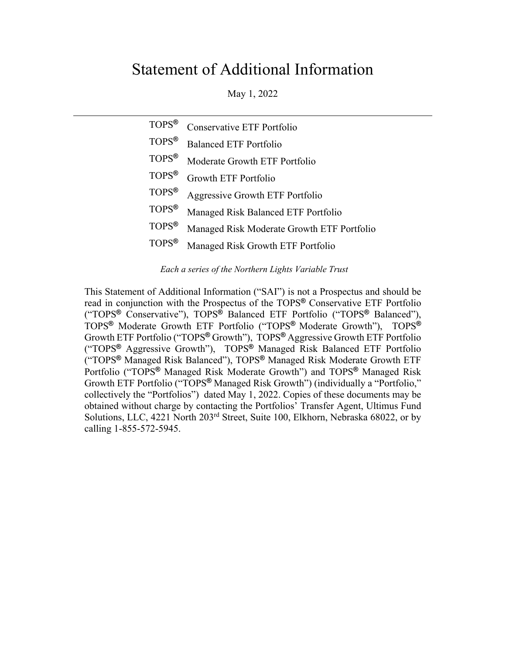## Statement of Additional Information

May 1, 2022

| TOPS <sup>®</sup> | Conservative ETF Portfolio                 |
|-------------------|--------------------------------------------|
| TOPS®             | <b>Balanced ETF Portfolio</b>              |
| TOPS®             | Moderate Growth ETF Portfolio              |
| TOPS®             | <b>Growth ETF Portfolio</b>                |
| TOPS®             | Aggressive Growth ETF Portfolio            |
| TOPS®             | Managed Risk Balanced ETF Portfolio        |
| TOPS <sup>®</sup> | Managed Risk Moderate Growth ETF Portfolio |
| TOPS <sup>®</sup> | Managed Risk Growth ETF Portfolio          |
|                   |                                            |

*Each a series of the Northern Lights Variable Trust*

This Statement of Additional Information ("SAI") is not a Prospectus and should be read in conjunction with the Prospectus of the TOPS**®** Conservative ETF Portfolio ("TOPS**®** Conservative"), TOPS**®** Balanced ETF Portfolio ("TOPS**®** Balanced"), TOPS**®** Moderate Growth ETF Portfolio ("TOPS**®** Moderate Growth"), TOPS**®** Growth ETF Portfolio ("TOPS**®** Growth"), TOPS**®** Aggressive Growth ETF Portfolio ("TOPS**®** Aggressive Growth"), TOPS**®** Managed Risk Balanced ETF Portfolio ("TOPS**®** Managed Risk Balanced"), TOPS**®** Managed Risk Moderate Growth ETF Portfolio ("TOPS**®** Managed Risk Moderate Growth") and TOPS**®** Managed Risk Growth ETF Portfolio ("TOPS**®** Managed Risk Growth") (individually a "Portfolio," collectively the "Portfolios") dated May 1, 2022. Copies of these documents may be obtained without charge by contacting the Portfolios' Transfer Agent, Ultimus Fund Solutions, LLC, 4221 North 203rd Street, Suite 100, Elkhorn, Nebraska 68022, or by calling 1-855-572-5945.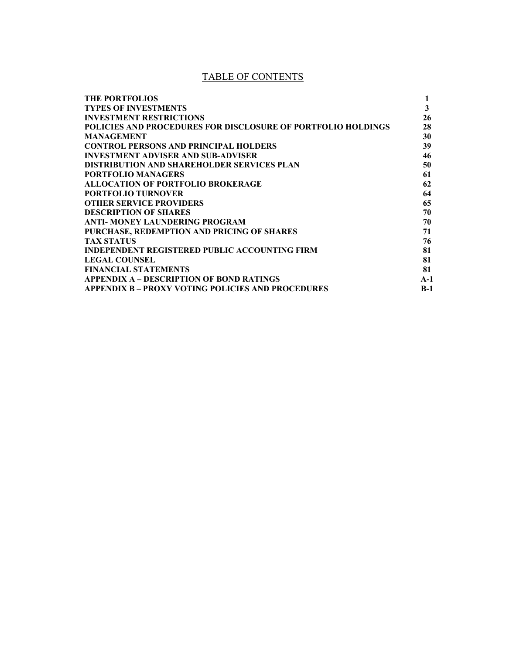## TABLE OF CONTENTS

| <b>THE PORTFOLIOS</b>                                        |       |
|--------------------------------------------------------------|-------|
| <b>TYPES OF INVESTMENTS</b>                                  | 3     |
| <b>INVESTMENT RESTRICTIONS</b>                               | 26    |
| POLICIES AND PROCEDURES FOR DISCLOSURE OF PORTFOLIO HOLDINGS | 28    |
| <b>MANAGEMENT</b>                                            | 30    |
| <b>CONTROL PERSONS AND PRINCIPAL HOLDERS</b>                 | 39    |
| <b>INVESTMENT ADVISER AND SUB-ADVISER</b>                    | 46    |
| <b>DISTRIBUTION AND SHAREHOLDER SERVICES PLAN</b>            | 50    |
| <b>PORTFOLIO MANAGERS</b>                                    | 61    |
| <b>ALLOCATION OF PORTFOLIO BROKERAGE</b>                     | 62    |
| <b>PORTFOLIO TURNOVER</b>                                    | 64    |
| <b>OTHER SERVICE PROVIDERS</b>                               | 65    |
| <b>DESCRIPTION OF SHARES</b>                                 | 70    |
| ANTI- MONEY LAUNDERING PROGRAM                               | 70    |
| PURCHASE, REDEMPTION AND PRICING OF SHARES                   | 71    |
| <b>TAX STATUS</b>                                            | 76    |
| <b>INDEPENDENT REGISTERED PUBLIC ACCOUNTING FIRM</b>         | 81    |
| <b>LEGAL COUNSEL</b>                                         | 81    |
| <b>FINANCIAL STATEMENTS</b>                                  | 81    |
| <b>APPENDIX A – DESCRIPTION OF BOND RATINGS</b>              | $A-1$ |
| <b>APPENDIX B – PROXY VOTING POLICIES AND PROCEDURES</b>     | $B-1$ |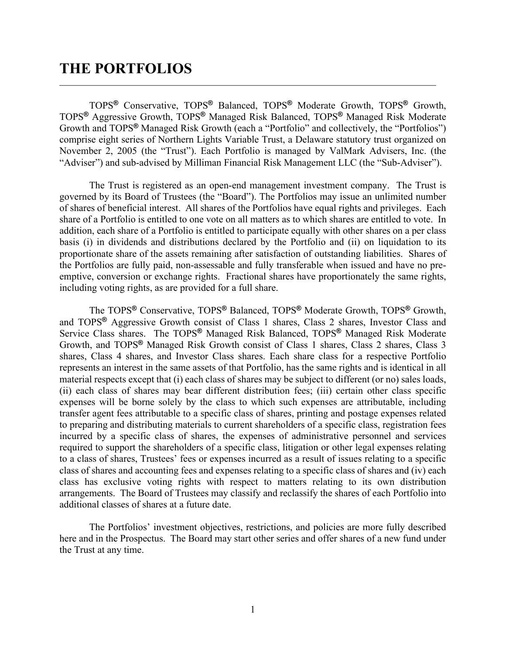## **THE PORTFOLIOS**

TOPS**®** Conservative, TOPS**®** Balanced, TOPS**®** Moderate Growth, TOPS**®** Growth, TOPS**®** Aggressive Growth, TOPS**®** Managed Risk Balanced, TOPS**®** Managed Risk Moderate Growth and TOPS**®** Managed Risk Growth (each a "Portfolio" and collectively, the "Portfolios") comprise eight series of Northern Lights Variable Trust, a Delaware statutory trust organized on November 2, 2005 (the "Trust"). Each Portfolio is managed by ValMark Advisers, Inc. (the "Adviser") and sub-advised by Milliman Financial Risk Management LLC (the "Sub-Adviser").

The Trust is registered as an open-end management investment company. The Trust is governed by its Board of Trustees (the "Board"). The Portfolios may issue an unlimited number of shares of beneficial interest. All shares of the Portfolios have equal rights and privileges. Each share of a Portfolio is entitled to one vote on all matters as to which shares are entitled to vote. In addition, each share of a Portfolio is entitled to participate equally with other shares on a per class basis (i) in dividends and distributions declared by the Portfolio and (ii) on liquidation to its proportionate share of the assets remaining after satisfaction of outstanding liabilities. Shares of the Portfolios are fully paid, non-assessable and fully transferable when issued and have no preemptive, conversion or exchange rights. Fractional shares have proportionately the same rights, including voting rights, as are provided for a full share.

The TOPS**®** Conservative, TOPS**®** Balanced, TOPS**®** Moderate Growth, TOPS**®** Growth, and TOPS**®** Aggressive Growth consist of Class 1 shares, Class 2 shares, Investor Class and Service Class shares. The TOPS**®** Managed Risk Balanced, TOPS**®** Managed Risk Moderate Growth, and TOPS**®** Managed Risk Growth consist of Class 1 shares, Class 2 shares, Class 3 shares, Class 4 shares, and Investor Class shares. Each share class for a respective Portfolio represents an interest in the same assets of that Portfolio, has the same rights and is identical in all material respects except that (i) each class of shares may be subject to different (or no) sales loads, (ii) each class of shares may bear different distribution fees; (iii) certain other class specific expenses will be borne solely by the class to which such expenses are attributable, including transfer agent fees attributable to a specific class of shares, printing and postage expenses related to preparing and distributing materials to current shareholders of a specific class, registration fees incurred by a specific class of shares, the expenses of administrative personnel and services required to support the shareholders of a specific class, litigation or other legal expenses relating to a class of shares, Trustees' fees or expenses incurred as a result of issues relating to a specific class of shares and accounting fees and expenses relating to a specific class of shares and (iv) each class has exclusive voting rights with respect to matters relating to its own distribution arrangements. The Board of Trustees may classify and reclassify the shares of each Portfolio into additional classes of shares at a future date.

The Portfolios' investment objectives, restrictions, and policies are more fully described here and in the Prospectus. The Board may start other series and offer shares of a new fund under the Trust at any time.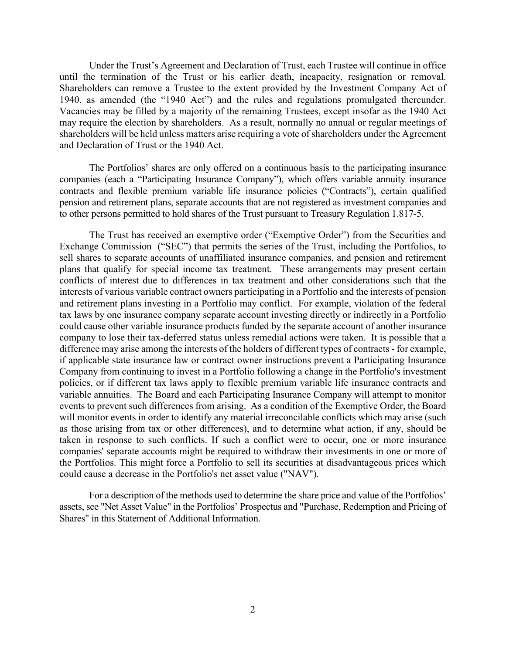Under the Trust's Agreement and Declaration of Trust, each Trustee will continue in office until the termination of the Trust or his earlier death, incapacity, resignation or removal. Shareholders can remove a Trustee to the extent provided by the Investment Company Act of 1940, as amended (the "1940 Act") and the rules and regulations promulgated thereunder. Vacancies may be filled by a majority of the remaining Trustees, except insofar as the 1940 Act may require the election by shareholders. As a result, normally no annual or regular meetings of shareholders will be held unless matters arise requiring a vote of shareholders under the Agreement and Declaration of Trust or the 1940 Act.

The Portfolios' shares are only offered on a continuous basis to the participating insurance companies (each a "Participating Insurance Company"), which offers variable annuity insurance contracts and flexible premium variable life insurance policies ("Contracts"), certain qualified pension and retirement plans, separate accounts that are not registered as investment companies and to other persons permitted to hold shares of the Trust pursuant to Treasury Regulation 1.817-5.

The Trust has received an exemptive order ("Exemptive Order") from the Securities and Exchange Commission ("SEC") that permits the series of the Trust, including the Portfolios, to sell shares to separate accounts of unaffiliated insurance companies, and pension and retirement plans that qualify for special income tax treatment. These arrangements may present certain conflicts of interest due to differences in tax treatment and other considerations such that the interests of various variable contract owners participating in a Portfolio and the interests of pension and retirement plans investing in a Portfolio may conflict. For example, violation of the federal tax laws by one insurance company separate account investing directly or indirectly in a Portfolio could cause other variable insurance products funded by the separate account of another insurance company to lose their tax-deferred status unless remedial actions were taken. It is possible that a difference may arise among the interests of the holders of different types of contracts - for example, if applicable state insurance law or contract owner instructions prevent a Participating Insurance Company from continuing to invest in a Portfolio following a change in the Portfolio's investment policies, or if different tax laws apply to flexible premium variable life insurance contracts and variable annuities. The Board and each Participating Insurance Company will attempt to monitor events to prevent such differences from arising. As a condition of the Exemptive Order, the Board will monitor events in order to identify any material irreconcilable conflicts which may arise (such as those arising from tax or other differences), and to determine what action, if any, should be taken in response to such conflicts. If such a conflict were to occur, one or more insurance companies' separate accounts might be required to withdraw their investments in one or more of the Portfolios. This might force a Portfolio to sell its securities at disadvantageous prices which could cause a decrease in the Portfolio's net asset value ("NAV").

For a description of the methods used to determine the share price and value of the Portfolios' assets, see "Net Asset Value" in the Portfolios' Prospectus and "Purchase, Redemption and Pricing of Shares" in this Statement of Additional Information.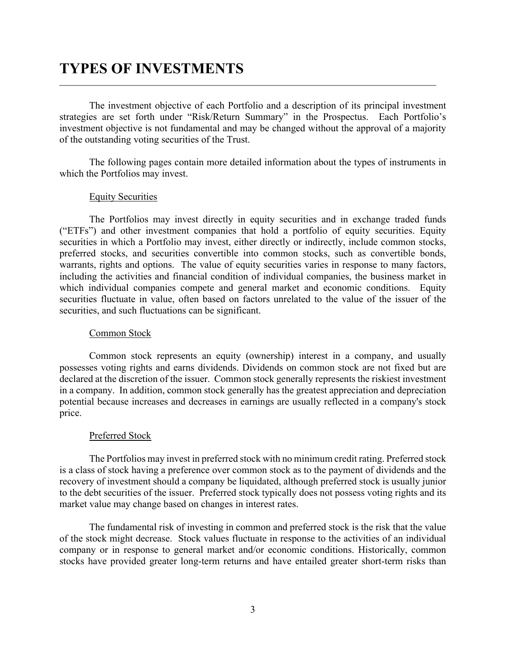## **TYPES OF INVESTMENTS**

The investment objective of each Portfolio and a description of its principal investment strategies are set forth under "Risk/Return Summary" in the Prospectus. Each Portfolio's investment objective is not fundamental and may be changed without the approval of a majority of the outstanding voting securities of the Trust.

The following pages contain more detailed information about the types of instruments in which the Portfolios may invest.

#### Equity Securities

The Portfolios may invest directly in equity securities and in exchange traded funds ("ETFs") and other investment companies that hold a portfolio of equity securities. Equity securities in which a Portfolio may invest, either directly or indirectly, include common stocks, preferred stocks, and securities convertible into common stocks, such as convertible bonds, warrants, rights and options. The value of equity securities varies in response to many factors, including the activities and financial condition of individual companies, the business market in which individual companies compete and general market and economic conditions. Equity securities fluctuate in value, often based on factors unrelated to the value of the issuer of the securities, and such fluctuations can be significant.

#### Common Stock

Common stock represents an equity (ownership) interest in a company, and usually possesses voting rights and earns dividends. Dividends on common stock are not fixed but are declared at the discretion of the issuer. Common stock generally represents the riskiest investment in a company. In addition, common stock generally has the greatest appreciation and depreciation potential because increases and decreases in earnings are usually reflected in a company's stock price.

## Preferred Stock

The Portfolios may invest in preferred stock with no minimum credit rating. Preferred stock is a class of stock having a preference over common stock as to the payment of dividends and the recovery of investment should a company be liquidated, although preferred stock is usually junior to the debt securities of the issuer. Preferred stock typically does not possess voting rights and its market value may change based on changes in interest rates.

The fundamental risk of investing in common and preferred stock is the risk that the value of the stock might decrease. Stock values fluctuate in response to the activities of an individual company or in response to general market and/or economic conditions. Historically, common stocks have provided greater long-term returns and have entailed greater short-term risks than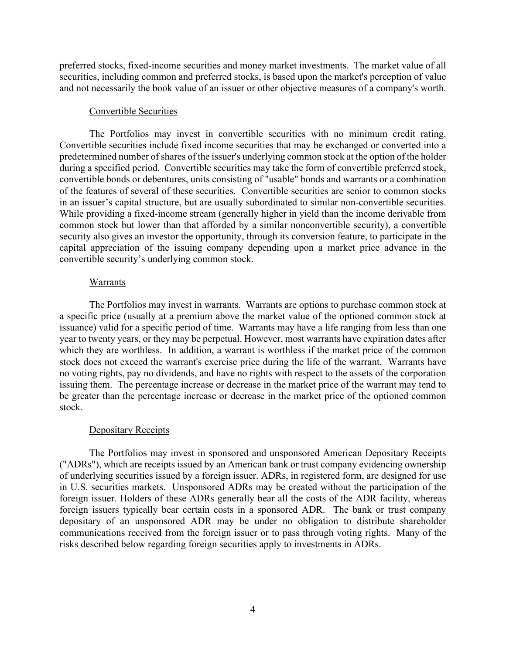preferred stocks, fixed-income securities and money market investments. The market value of all securities, including common and preferred stocks, is based upon the market's perception of value and not necessarily the book value of an issuer or other objective measures of a company's worth.

#### Convertible Securities

The Portfolios may invest in convertible securities with no minimum credit rating. Convertible securities include fixed income securities that may be exchanged or converted into a predetermined number of shares of the issuer's underlying common stock at the option of the holder during a specified period. Convertible securities may take the form of convertible preferred stock, convertible bonds or debentures, units consisting of "usable" bonds and warrants or a combination of the features of several of these securities. Convertible securities are senior to common stocks in an issuer's capital structure, but are usually subordinated to similar non-convertible securities. While providing a fixed-income stream (generally higher in yield than the income derivable from common stock but lower than that afforded by a similar nonconvertible security), a convertible security also gives an investor the opportunity, through its conversion feature, to participate in the capital appreciation of the issuing company depending upon a market price advance in the convertible security's underlying common stock.

#### Warrants

The Portfolios may invest in warrants. Warrants are options to purchase common stock at a specific price (usually at a premium above the market value of the optioned common stock at issuance) valid for a specific period of time. Warrants may have a life ranging from less than one year to twenty years, or they may be perpetual. However, most warrants have expiration dates after which they are worthless. In addition, a warrant is worthless if the market price of the common stock does not exceed the warrant's exercise price during the life of the warrant. Warrants have no voting rights, pay no dividends, and have no rights with respect to the assets of the corporation issuing them. The percentage increase or decrease in the market price of the warrant may tend to be greater than the percentage increase or decrease in the market price of the optioned common stock.

#### Depositary Receipts

The Portfolios may invest in sponsored and unsponsored American Depositary Receipts ("ADRs"), which are receipts issued by an American bank or trust company evidencing ownership of underlying securities issued by a foreign issuer. ADRs, in registered form, are designed for use in U.S. securities markets. Unsponsored ADRs may be created without the participation of the foreign issuer. Holders of these ADRs generally bear all the costs of the ADR facility, whereas foreign issuers typically bear certain costs in a sponsored ADR. The bank or trust company depositary of an unsponsored ADR may be under no obligation to distribute shareholder communications received from the foreign issuer or to pass through voting rights. Many of the risks described below regarding foreign securities apply to investments in ADRs.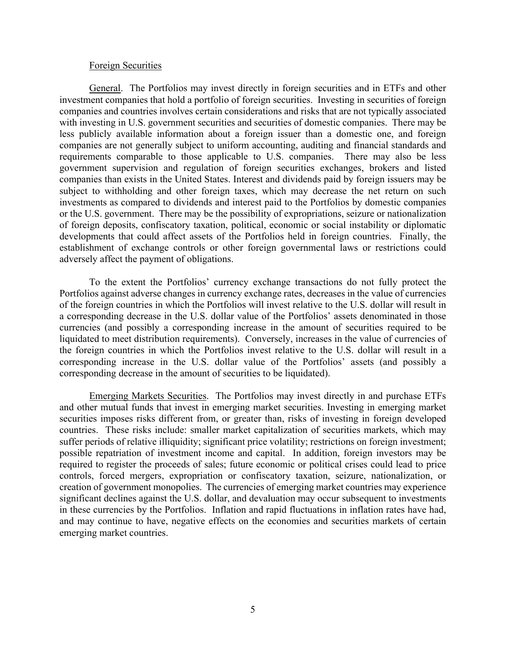#### Foreign Securities

General. The Portfolios may invest directly in foreign securities and in ETFs and other investment companies that hold a portfolio of foreign securities. Investing in securities of foreign companies and countries involves certain considerations and risks that are not typically associated with investing in U.S. government securities and securities of domestic companies. There may be less publicly available information about a foreign issuer than a domestic one, and foreign companies are not generally subject to uniform accounting, auditing and financial standards and requirements comparable to those applicable to U.S. companies. There may also be less government supervision and regulation of foreign securities exchanges, brokers and listed companies than exists in the United States. Interest and dividends paid by foreign issuers may be subject to withholding and other foreign taxes, which may decrease the net return on such investments as compared to dividends and interest paid to the Portfolios by domestic companies or the U.S. government. There may be the possibility of expropriations, seizure or nationalization of foreign deposits, confiscatory taxation, political, economic or social instability or diplomatic developments that could affect assets of the Portfolios held in foreign countries. Finally, the establishment of exchange controls or other foreign governmental laws or restrictions could adversely affect the payment of obligations.

To the extent the Portfolios' currency exchange transactions do not fully protect the Portfolios against adverse changes in currency exchange rates, decreases in the value of currencies of the foreign countries in which the Portfolios will invest relative to the U.S. dollar will result in a corresponding decrease in the U.S. dollar value of the Portfolios' assets denominated in those currencies (and possibly a corresponding increase in the amount of securities required to be liquidated to meet distribution requirements). Conversely, increases in the value of currencies of the foreign countries in which the Portfolios invest relative to the U.S. dollar will result in a corresponding increase in the U.S. dollar value of the Portfolios' assets (and possibly a corresponding decrease in the amount of securities to be liquidated).

Emerging Markets Securities. The Portfolios may invest directly in and purchase ETFs and other mutual funds that invest in emerging market securities. Investing in emerging market securities imposes risks different from, or greater than, risks of investing in foreign developed countries. These risks include: smaller market capitalization of securities markets, which may suffer periods of relative illiquidity; significant price volatility; restrictions on foreign investment; possible repatriation of investment income and capital. In addition, foreign investors may be required to register the proceeds of sales; future economic or political crises could lead to price controls, forced mergers, expropriation or confiscatory taxation, seizure, nationalization, or creation of government monopolies. The currencies of emerging market countries may experience significant declines against the U.S. dollar, and devaluation may occur subsequent to investments in these currencies by the Portfolios. Inflation and rapid fluctuations in inflation rates have had, and may continue to have, negative effects on the economies and securities markets of certain emerging market countries.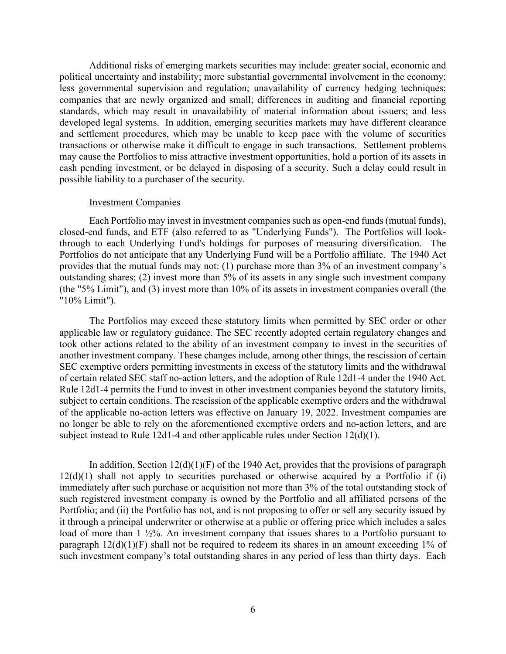Additional risks of emerging markets securities may include: greater social, economic and political uncertainty and instability; more substantial governmental involvement in the economy; less governmental supervision and regulation; unavailability of currency hedging techniques; companies that are newly organized and small; differences in auditing and financial reporting standards, which may result in unavailability of material information about issuers; and less developed legal systems. In addition, emerging securities markets may have different clearance and settlement procedures, which may be unable to keep pace with the volume of securities transactions or otherwise make it difficult to engage in such transactions. Settlement problems may cause the Portfolios to miss attractive investment opportunities, hold a portion of its assets in cash pending investment, or be delayed in disposing of a security. Such a delay could result in possible liability to a purchaser of the security.

#### Investment Companies

Each Portfolio may invest in investment companies such as open-end funds (mutual funds), closed-end funds, and ETF (also referred to as "Underlying Funds"). The Portfolios will lookthrough to each Underlying Fund's holdings for purposes of measuring diversification. The Portfolios do not anticipate that any Underlying Fund will be a Portfolio affiliate. The 1940 Act provides that the mutual funds may not: (1) purchase more than 3% of an investment company's outstanding shares; (2) invest more than 5% of its assets in any single such investment company (the "5% Limit"), and (3) invest more than 10% of its assets in investment companies overall (the "10% Limit").

The Portfolios may exceed these statutory limits when permitted by SEC order or other applicable law or regulatory guidance. The SEC recently adopted certain regulatory changes and took other actions related to the ability of an investment company to invest in the securities of another investment company. These changes include, among other things, the rescission of certain SEC exemptive orders permitting investments in excess of the statutory limits and the withdrawal of certain related SEC staff no-action letters, and the adoption of Rule 12d1-4 under the 1940 Act. Rule 12d1-4 permits the Fund to invest in other investment companies beyond the statutory limits, subject to certain conditions. The rescission of the applicable exemptive orders and the withdrawal of the applicable no-action letters was effective on January 19, 2022. Investment companies are no longer be able to rely on the aforementioned exemptive orders and no-action letters, and are subject instead to Rule 12d1-4 and other applicable rules under Section 12(d)(1).

In addition, Section  $12(d)(1)(F)$  of the 1940 Act, provides that the provisions of paragraph  $12(d)(1)$  shall not apply to securities purchased or otherwise acquired by a Portfolio if (i) immediately after such purchase or acquisition not more than 3% of the total outstanding stock of such registered investment company is owned by the Portfolio and all affiliated persons of the Portfolio; and (ii) the Portfolio has not, and is not proposing to offer or sell any security issued by it through a principal underwriter or otherwise at a public or offering price which includes a sales load of more than 1 ½%. An investment company that issues shares to a Portfolio pursuant to paragraph  $12(d)(1)(F)$  shall not be required to redeem its shares in an amount exceeding 1% of such investment company's total outstanding shares in any period of less than thirty days. Each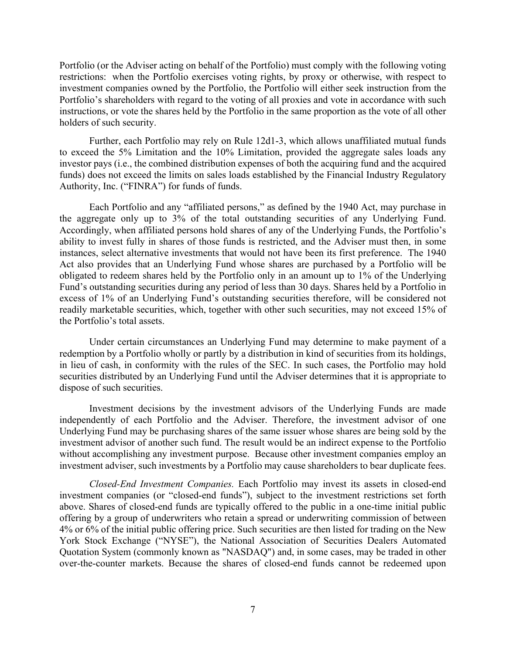Portfolio (or the Adviser acting on behalf of the Portfolio) must comply with the following voting restrictions: when the Portfolio exercises voting rights, by proxy or otherwise, with respect to investment companies owned by the Portfolio, the Portfolio will either seek instruction from the Portfolio's shareholders with regard to the voting of all proxies and vote in accordance with such instructions, or vote the shares held by the Portfolio in the same proportion as the vote of all other holders of such security.

Further, each Portfolio may rely on Rule 12d1-3, which allows unaffiliated mutual funds to exceed the 5% Limitation and the 10% Limitation, provided the aggregate sales loads any investor pays (i.e., the combined distribution expenses of both the acquiring fund and the acquired funds) does not exceed the limits on sales loads established by the Financial Industry Regulatory Authority, Inc. ("FINRA") for funds of funds.

Each Portfolio and any "affiliated persons," as defined by the 1940 Act, may purchase in the aggregate only up to 3% of the total outstanding securities of any Underlying Fund. Accordingly, when affiliated persons hold shares of any of the Underlying Funds, the Portfolio's ability to invest fully in shares of those funds is restricted, and the Adviser must then, in some instances, select alternative investments that would not have been its first preference. The 1940 Act also provides that an Underlying Fund whose shares are purchased by a Portfolio will be obligated to redeem shares held by the Portfolio only in an amount up to 1% of the Underlying Fund's outstanding securities during any period of less than 30 days. Shares held by a Portfolio in excess of 1% of an Underlying Fund's outstanding securities therefore, will be considered not readily marketable securities, which, together with other such securities, may not exceed 15% of the Portfolio's total assets.

Under certain circumstances an Underlying Fund may determine to make payment of a redemption by a Portfolio wholly or partly by a distribution in kind of securities from its holdings, in lieu of cash, in conformity with the rules of the SEC. In such cases, the Portfolio may hold securities distributed by an Underlying Fund until the Adviser determines that it is appropriate to dispose of such securities.

Investment decisions by the investment advisors of the Underlying Funds are made independently of each Portfolio and the Adviser. Therefore, the investment advisor of one Underlying Fund may be purchasing shares of the same issuer whose shares are being sold by the investment advisor of another such fund. The result would be an indirect expense to the Portfolio without accomplishing any investment purpose. Because other investment companies employ an investment adviser, such investments by a Portfolio may cause shareholders to bear duplicate fees.

*Closed-End Investment Companies.* Each Portfolio may invest its assets in closed-end investment companies (or "closed-end funds"), subject to the investment restrictions set forth above. Shares of closed-end funds are typically offered to the public in a one-time initial public offering by a group of underwriters who retain a spread or underwriting commission of between 4% or 6% of the initial public offering price. Such securities are then listed for trading on the New York Stock Exchange ("NYSE"), the National Association of Securities Dealers Automated Quotation System (commonly known as "NASDAQ") and, in some cases, may be traded in other over-the-counter markets. Because the shares of closed-end funds cannot be redeemed upon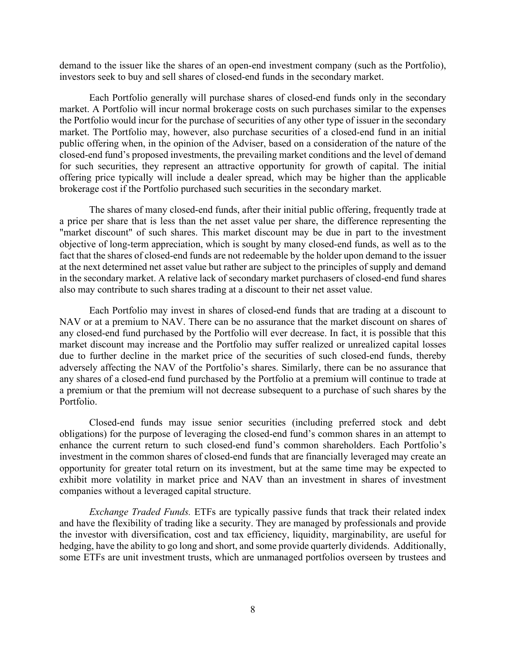demand to the issuer like the shares of an open-end investment company (such as the Portfolio), investors seek to buy and sell shares of closed-end funds in the secondary market.

Each Portfolio generally will purchase shares of closed-end funds only in the secondary market. A Portfolio will incur normal brokerage costs on such purchases similar to the expenses the Portfolio would incur for the purchase of securities of any other type of issuer in the secondary market. The Portfolio may, however, also purchase securities of a closed-end fund in an initial public offering when, in the opinion of the Adviser, based on a consideration of the nature of the closed-end fund's proposed investments, the prevailing market conditions and the level of demand for such securities, they represent an attractive opportunity for growth of capital. The initial offering price typically will include a dealer spread, which may be higher than the applicable brokerage cost if the Portfolio purchased such securities in the secondary market.

The shares of many closed-end funds, after their initial public offering, frequently trade at a price per share that is less than the net asset value per share, the difference representing the "market discount" of such shares. This market discount may be due in part to the investment objective of long-term appreciation, which is sought by many closed-end funds, as well as to the fact that the shares of closed-end funds are not redeemable by the holder upon demand to the issuer at the next determined net asset value but rather are subject to the principles of supply and demand in the secondary market. A relative lack of secondary market purchasers of closed-end fund shares also may contribute to such shares trading at a discount to their net asset value.

Each Portfolio may invest in shares of closed-end funds that are trading at a discount to NAV or at a premium to NAV. There can be no assurance that the market discount on shares of any closed-end fund purchased by the Portfolio will ever decrease. In fact, it is possible that this market discount may increase and the Portfolio may suffer realized or unrealized capital losses due to further decline in the market price of the securities of such closed-end funds, thereby adversely affecting the NAV of the Portfolio's shares. Similarly, there can be no assurance that any shares of a closed-end fund purchased by the Portfolio at a premium will continue to trade at a premium or that the premium will not decrease subsequent to a purchase of such shares by the Portfolio.

Closed-end funds may issue senior securities (including preferred stock and debt obligations) for the purpose of leveraging the closed-end fund's common shares in an attempt to enhance the current return to such closed-end fund's common shareholders. Each Portfolio's investment in the common shares of closed-end funds that are financially leveraged may create an opportunity for greater total return on its investment, but at the same time may be expected to exhibit more volatility in market price and NAV than an investment in shares of investment companies without a leveraged capital structure.

*Exchange Traded Funds.* ETFs are typically passive funds that track their related index and have the flexibility of trading like a security. They are managed by professionals and provide the investor with diversification, cost and tax efficiency, liquidity, marginability, are useful for hedging, have the ability to go long and short, and some provide quarterly dividends. Additionally, some ETFs are unit investment trusts, which are unmanaged portfolios overseen by trustees and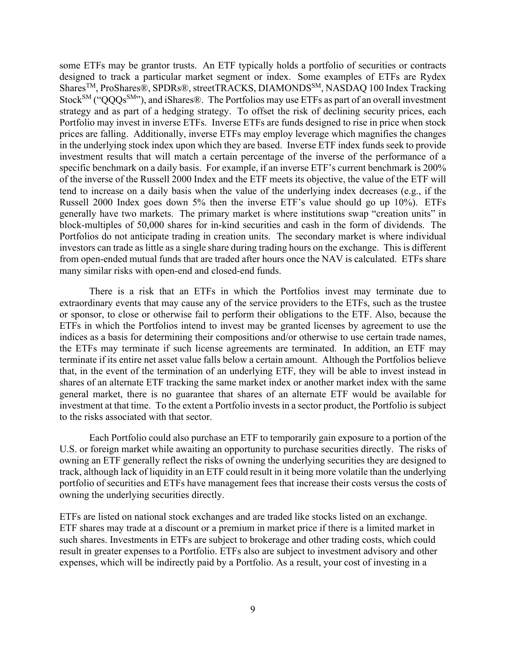some ETFs may be grantor trusts. An ETF typically holds a portfolio of securities or contracts designed to track a particular market segment or index. Some examples of ETFs are Rydex Shares™, ProShares®, SPDRs®, streetTRACKS, DIAMONDS<sup>SM</sup>, NASDAQ 100 Index Tracking Stock<sup>SM</sup> ("QQQs<sup>SM</sup>"), and iShares®. The Portfolios may use ETFs as part of an overall investment strategy and as part of a hedging strategy. To offset the risk of declining security prices, each Portfolio may invest in inverse ETFs. Inverse ETFs are funds designed to rise in price when stock prices are falling. Additionally, inverse ETFs may employ leverage which magnifies the changes in the underlying stock index upon which they are based. Inverse ETF index funds seek to provide investment results that will match a certain percentage of the inverse of the performance of a specific benchmark on a daily basis. For example, if an inverse ETF's current benchmark is 200% of the inverse of the Russell 2000 Index and the ETF meets its objective, the value of the ETF will tend to increase on a daily basis when the value of the underlying index decreases (e.g., if the Russell 2000 Index goes down 5% then the inverse ETF's value should go up 10%). ETFs generally have two markets. The primary market is where institutions swap "creation units" in block-multiples of 50,000 shares for in-kind securities and cash in the form of dividends. The Portfolios do not anticipate trading in creation units. The secondary market is where individual investors can trade as little as a single share during trading hours on the exchange. This is different from open-ended mutual funds that are traded after hours once the NAV is calculated. ETFs share many similar risks with open-end and closed-end funds.

There is a risk that an ETFs in which the Portfolios invest may terminate due to extraordinary events that may cause any of the service providers to the ETFs, such as the trustee or sponsor, to close or otherwise fail to perform their obligations to the ETF. Also, because the ETFs in which the Portfolios intend to invest may be granted licenses by agreement to use the indices as a basis for determining their compositions and/or otherwise to use certain trade names, the ETFs may terminate if such license agreements are terminated. In addition, an ETF may terminate if its entire net asset value falls below a certain amount. Although the Portfolios believe that, in the event of the termination of an underlying ETF, they will be able to invest instead in shares of an alternate ETF tracking the same market index or another market index with the same general market, there is no guarantee that shares of an alternate ETF would be available for investment at that time. To the extent a Portfolio invests in a sector product, the Portfolio is subject to the risks associated with that sector.

Each Portfolio could also purchase an ETF to temporarily gain exposure to a portion of the U.S. or foreign market while awaiting an opportunity to purchase securities directly. The risks of owning an ETF generally reflect the risks of owning the underlying securities they are designed to track, although lack of liquidity in an ETF could result in it being more volatile than the underlying portfolio of securities and ETFs have management fees that increase their costs versus the costs of owning the underlying securities directly.

ETFs are listed on national stock exchanges and are traded like stocks listed on an exchange. ETF shares may trade at a discount or a premium in market price if there is a limited market in such shares. Investments in ETFs are subject to brokerage and other trading costs, which could result in greater expenses to a Portfolio. ETFs also are subject to investment advisory and other expenses, which will be indirectly paid by a Portfolio. As a result, your cost of investing in a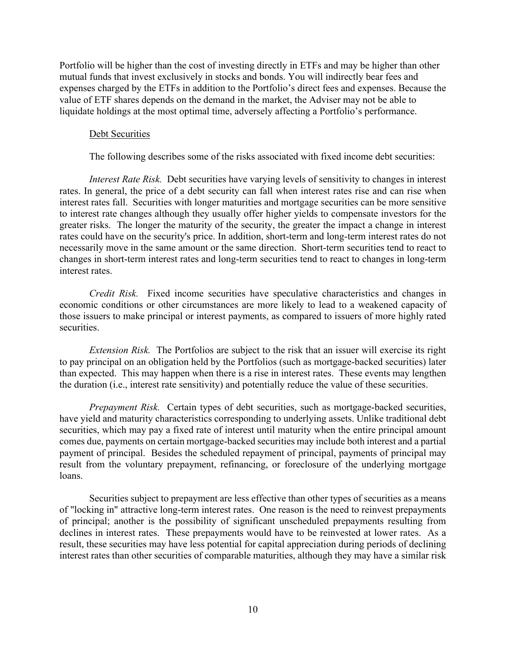Portfolio will be higher than the cost of investing directly in ETFs and may be higher than other mutual funds that invest exclusively in stocks and bonds. You will indirectly bear fees and expenses charged by the ETFs in addition to the Portfolio's direct fees and expenses. Because the value of ETF shares depends on the demand in the market, the Adviser may not be able to liquidate holdings at the most optimal time, adversely affecting a Portfolio's performance.

#### Debt Securities

The following describes some of the risks associated with fixed income debt securities:

*Interest Rate Risk.* Debt securities have varying levels of sensitivity to changes in interest rates. In general, the price of a debt security can fall when interest rates rise and can rise when interest rates fall. Securities with longer maturities and mortgage securities can be more sensitive to interest rate changes although they usually offer higher yields to compensate investors for the greater risks. The longer the maturity of the security, the greater the impact a change in interest rates could have on the security's price. In addition, short-term and long-term interest rates do not necessarily move in the same amount or the same direction. Short-term securities tend to react to changes in short-term interest rates and long-term securities tend to react to changes in long-term interest rates.

*Credit Risk.* Fixed income securities have speculative characteristics and changes in economic conditions or other circumstances are more likely to lead to a weakened capacity of those issuers to make principal or interest payments, as compared to issuers of more highly rated securities.

*Extension Risk.* The Portfolios are subject to the risk that an issuer will exercise its right to pay principal on an obligation held by the Portfolios (such as mortgage-backed securities) later than expected. This may happen when there is a rise in interest rates. These events may lengthen the duration (i.e., interest rate sensitivity) and potentially reduce the value of these securities.

*Prepayment Risk.* Certain types of debt securities, such as mortgage-backed securities, have yield and maturity characteristics corresponding to underlying assets. Unlike traditional debt securities, which may pay a fixed rate of interest until maturity when the entire principal amount comes due, payments on certain mortgage-backed securities may include both interest and a partial payment of principal. Besides the scheduled repayment of principal, payments of principal may result from the voluntary prepayment, refinancing, or foreclosure of the underlying mortgage loans.

Securities subject to prepayment are less effective than other types of securities as a means of "locking in" attractive long-term interest rates. One reason is the need to reinvest prepayments of principal; another is the possibility of significant unscheduled prepayments resulting from declines in interest rates. These prepayments would have to be reinvested at lower rates. As a result, these securities may have less potential for capital appreciation during periods of declining interest rates than other securities of comparable maturities, although they may have a similar risk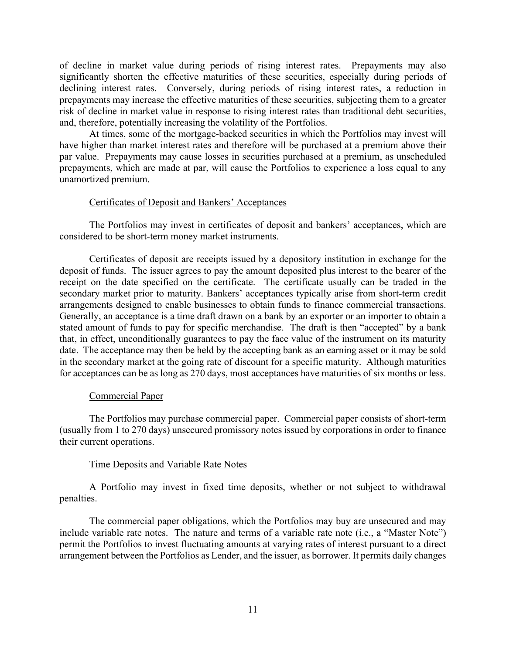of decline in market value during periods of rising interest rates. Prepayments may also significantly shorten the effective maturities of these securities, especially during periods of declining interest rates. Conversely, during periods of rising interest rates, a reduction in prepayments may increase the effective maturities of these securities, subjecting them to a greater risk of decline in market value in response to rising interest rates than traditional debt securities, and, therefore, potentially increasing the volatility of the Portfolios.

At times, some of the mortgage-backed securities in which the Portfolios may invest will have higher than market interest rates and therefore will be purchased at a premium above their par value. Prepayments may cause losses in securities purchased at a premium, as unscheduled prepayments, which are made at par, will cause the Portfolios to experience a loss equal to any unamortized premium.

#### Certificates of Deposit and Bankers' Acceptances

The Portfolios may invest in certificates of deposit and bankers' acceptances, which are considered to be short-term money market instruments.

Certificates of deposit are receipts issued by a depository institution in exchange for the deposit of funds. The issuer agrees to pay the amount deposited plus interest to the bearer of the receipt on the date specified on the certificate. The certificate usually can be traded in the secondary market prior to maturity. Bankers' acceptances typically arise from short-term credit arrangements designed to enable businesses to obtain funds to finance commercial transactions. Generally, an acceptance is a time draft drawn on a bank by an exporter or an importer to obtain a stated amount of funds to pay for specific merchandise. The draft is then "accepted" by a bank that, in effect, unconditionally guarantees to pay the face value of the instrument on its maturity date. The acceptance may then be held by the accepting bank as an earning asset or it may be sold in the secondary market at the going rate of discount for a specific maturity. Although maturities for acceptances can be as long as 270 days, most acceptances have maturities of six months or less.

#### Commercial Paper

The Portfolios may purchase commercial paper. Commercial paper consists of short-term (usually from 1 to 270 days) unsecured promissory notes issued by corporations in order to finance their current operations.

### Time Deposits and Variable Rate Notes

A Portfolio may invest in fixed time deposits, whether or not subject to withdrawal penalties.

The commercial paper obligations, which the Portfolios may buy are unsecured and may include variable rate notes. The nature and terms of a variable rate note (i.e., a "Master Note") permit the Portfolios to invest fluctuating amounts at varying rates of interest pursuant to a direct arrangement between the Portfolios as Lender, and the issuer, as borrower. It permits daily changes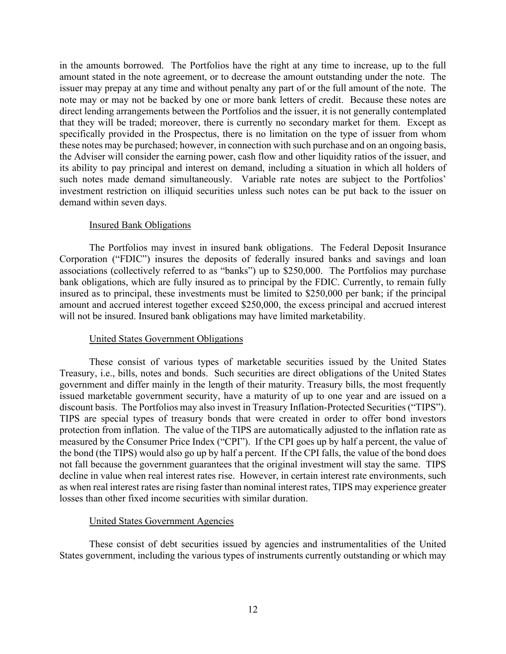in the amounts borrowed. The Portfolios have the right at any time to increase, up to the full amount stated in the note agreement, or to decrease the amount outstanding under the note. The issuer may prepay at any time and without penalty any part of or the full amount of the note. The note may or may not be backed by one or more bank letters of credit. Because these notes are direct lending arrangements between the Portfolios and the issuer, it is not generally contemplated that they will be traded; moreover, there is currently no secondary market for them. Except as specifically provided in the Prospectus, there is no limitation on the type of issuer from whom these notes may be purchased; however, in connection with such purchase and on an ongoing basis, the Adviser will consider the earning power, cash flow and other liquidity ratios of the issuer, and its ability to pay principal and interest on demand, including a situation in which all holders of such notes made demand simultaneously. Variable rate notes are subject to the Portfolios' investment restriction on illiquid securities unless such notes can be put back to the issuer on demand within seven days.

### Insured Bank Obligations

The Portfolios may invest in insured bank obligations. The Federal Deposit Insurance Corporation ("FDIC") insures the deposits of federally insured banks and savings and loan associations (collectively referred to as "banks") up to \$250,000. The Portfolios may purchase bank obligations, which are fully insured as to principal by the FDIC. Currently, to remain fully insured as to principal, these investments must be limited to \$250,000 per bank; if the principal amount and accrued interest together exceed \$250,000, the excess principal and accrued interest will not be insured. Insured bank obligations may have limited marketability.

## United States Government Obligations

These consist of various types of marketable securities issued by the United States Treasury, i.e., bills, notes and bonds. Such securities are direct obligations of the United States government and differ mainly in the length of their maturity. Treasury bills, the most frequently issued marketable government security, have a maturity of up to one year and are issued on a discount basis. The Portfolios may also invest in Treasury Inflation-Protected Securities ("TIPS"). TIPS are special types of treasury bonds that were created in order to offer bond investors protection from inflation. The value of the TIPS are automatically adjusted to the inflation rate as measured by the Consumer Price Index ("CPI"). If the CPI goes up by half a percent, the value of the bond (the TIPS) would also go up by half a percent. If the CPI falls, the value of the bond does not fall because the government guarantees that the original investment will stay the same. TIPS decline in value when real interest rates rise. However, in certain interest rate environments, such as when real interest rates are rising faster than nominal interest rates, TIPS may experience greater losses than other fixed income securities with similar duration.

## United States Government Agencies

These consist of debt securities issued by agencies and instrumentalities of the United States government, including the various types of instruments currently outstanding or which may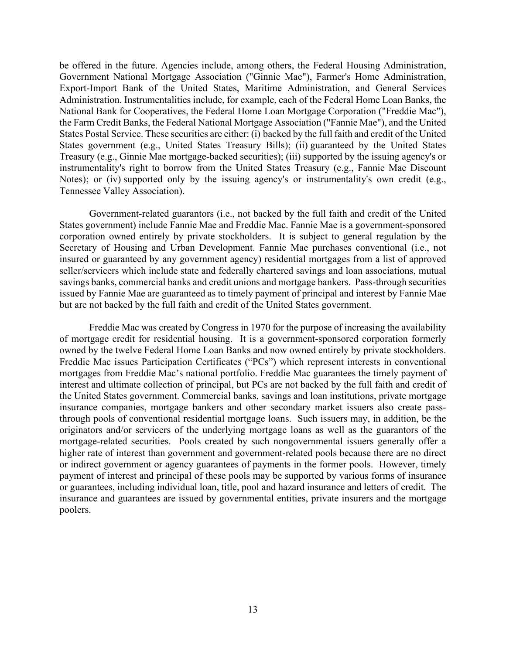be offered in the future. Agencies include, among others, the Federal Housing Administration, Government National Mortgage Association ("Ginnie Mae"), Farmer's Home Administration, Export-Import Bank of the United States, Maritime Administration, and General Services Administration. Instrumentalities include, for example, each of the Federal Home Loan Banks, the National Bank for Cooperatives, the Federal Home Loan Mortgage Corporation ("Freddie Mac"), the Farm Credit Banks, the Federal National Mortgage Association ("Fannie Mae"), and the United States Postal Service. These securities are either: (i) backed by the full faith and credit of the United States government (e.g., United States Treasury Bills); (ii) guaranteed by the United States Treasury (e.g., Ginnie Mae mortgage-backed securities); (iii) supported by the issuing agency's or instrumentality's right to borrow from the United States Treasury (e.g., Fannie Mae Discount Notes); or (iv) supported only by the issuing agency's or instrumentality's own credit (e.g., Tennessee Valley Association).

Government-related guarantors (i.e., not backed by the full faith and credit of the United States government) include Fannie Mae and Freddie Mac. Fannie Mae is a government-sponsored corporation owned entirely by private stockholders. It is subject to general regulation by the Secretary of Housing and Urban Development. Fannie Mae purchases conventional (i.e., not insured or guaranteed by any government agency) residential mortgages from a list of approved seller/servicers which include state and federally chartered savings and loan associations, mutual savings banks, commercial banks and credit unions and mortgage bankers. Pass-through securities issued by Fannie Mae are guaranteed as to timely payment of principal and interest by Fannie Mae but are not backed by the full faith and credit of the United States government.

Freddie Mac was created by Congress in 1970 for the purpose of increasing the availability of mortgage credit for residential housing. It is a government-sponsored corporation formerly owned by the twelve Federal Home Loan Banks and now owned entirely by private stockholders. Freddie Mac issues Participation Certificates ("PCs") which represent interests in conventional mortgages from Freddie Mac's national portfolio. Freddie Mac guarantees the timely payment of interest and ultimate collection of principal, but PCs are not backed by the full faith and credit of the United States government. Commercial banks, savings and loan institutions, private mortgage insurance companies, mortgage bankers and other secondary market issuers also create passthrough pools of conventional residential mortgage loans. Such issuers may, in addition, be the originators and/or servicers of the underlying mortgage loans as well as the guarantors of the mortgage-related securities. Pools created by such nongovernmental issuers generally offer a higher rate of interest than government and government-related pools because there are no direct or indirect government or agency guarantees of payments in the former pools. However, timely payment of interest and principal of these pools may be supported by various forms of insurance or guarantees, including individual loan, title, pool and hazard insurance and letters of credit. The insurance and guarantees are issued by governmental entities, private insurers and the mortgage poolers.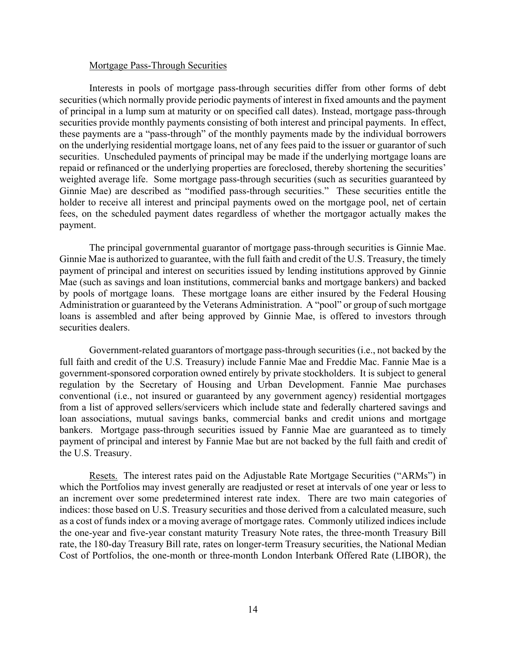### Mortgage Pass-Through Securities

Interests in pools of mortgage pass-through securities differ from other forms of debt securities (which normally provide periodic payments of interest in fixed amounts and the payment of principal in a lump sum at maturity or on specified call dates). Instead, mortgage pass-through securities provide monthly payments consisting of both interest and principal payments. In effect, these payments are a "pass-through" of the monthly payments made by the individual borrowers on the underlying residential mortgage loans, net of any fees paid to the issuer or guarantor of such securities. Unscheduled payments of principal may be made if the underlying mortgage loans are repaid or refinanced or the underlying properties are foreclosed, thereby shortening the securities' weighted average life. Some mortgage pass-through securities (such as securities guaranteed by Ginnie Mae) are described as "modified pass-through securities." These securities entitle the holder to receive all interest and principal payments owed on the mortgage pool, net of certain fees, on the scheduled payment dates regardless of whether the mortgagor actually makes the payment.

The principal governmental guarantor of mortgage pass-through securities is Ginnie Mae. Ginnie Mae is authorized to guarantee, with the full faith and credit of the U.S. Treasury, the timely payment of principal and interest on securities issued by lending institutions approved by Ginnie Mae (such as savings and loan institutions, commercial banks and mortgage bankers) and backed by pools of mortgage loans. These mortgage loans are either insured by the Federal Housing Administration or guaranteed by the Veterans Administration. A "pool" or group of such mortgage loans is assembled and after being approved by Ginnie Mae, is offered to investors through securities dealers.

Government-related guarantors of mortgage pass-through securities (i.e., not backed by the full faith and credit of the U.S. Treasury) include Fannie Mae and Freddie Mac. Fannie Mae is a government-sponsored corporation owned entirely by private stockholders. It is subject to general regulation by the Secretary of Housing and Urban Development. Fannie Mae purchases conventional (i.e., not insured or guaranteed by any government agency) residential mortgages from a list of approved sellers/servicers which include state and federally chartered savings and loan associations, mutual savings banks, commercial banks and credit unions and mortgage bankers. Mortgage pass-through securities issued by Fannie Mae are guaranteed as to timely payment of principal and interest by Fannie Mae but are not backed by the full faith and credit of the U.S. Treasury.

Resets. The interest rates paid on the Adjustable Rate Mortgage Securities ("ARMs") in which the Portfolios may invest generally are readjusted or reset at intervals of one year or less to an increment over some predetermined interest rate index. There are two main categories of indices: those based on U.S. Treasury securities and those derived from a calculated measure, such as a cost of funds index or a moving average of mortgage rates. Commonly utilized indices include the one-year and five-year constant maturity Treasury Note rates, the three-month Treasury Bill rate, the 180-day Treasury Bill rate, rates on longer-term Treasury securities, the National Median Cost of Portfolios, the one-month or three-month London Interbank Offered Rate (LIBOR), the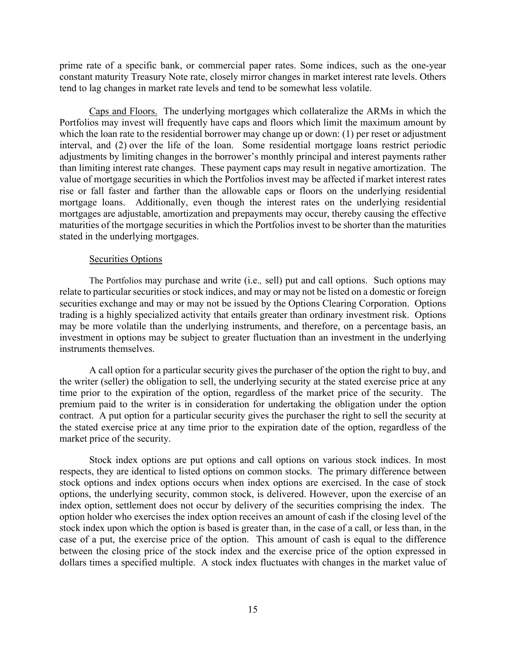prime rate of a specific bank, or commercial paper rates. Some indices, such as the one-year constant maturity Treasury Note rate, closely mirror changes in market interest rate levels. Others tend to lag changes in market rate levels and tend to be somewhat less volatile.

Caps and Floors. The underlying mortgages which collateralize the ARMs in which the Portfolios may invest will frequently have caps and floors which limit the maximum amount by which the loan rate to the residential borrower may change up or down: (1) per reset or adjustment interval, and (2) over the life of the loan. Some residential mortgage loans restrict periodic adjustments by limiting changes in the borrower's monthly principal and interest payments rather than limiting interest rate changes. These payment caps may result in negative amortization. The value of mortgage securities in which the Portfolios invest may be affected if market interest rates rise or fall faster and farther than the allowable caps or floors on the underlying residential mortgage loans. Additionally, even though the interest rates on the underlying residential mortgages are adjustable, amortization and prepayments may occur, thereby causing the effective maturities of the mortgage securities in which the Portfolios invest to be shorter than the maturities stated in the underlying mortgages.

#### Securities Options

The Portfolios may purchase and write (i.e.*,* sell) put and call options. Such options may relate to particular securities or stock indices, and may or may not be listed on a domestic or foreign securities exchange and may or may not be issued by the Options Clearing Corporation. Options trading is a highly specialized activity that entails greater than ordinary investment risk. Options may be more volatile than the underlying instruments, and therefore, on a percentage basis, an investment in options may be subject to greater fluctuation than an investment in the underlying instruments themselves.

A call option for a particular security gives the purchaser of the option the right to buy, and the writer (seller) the obligation to sell, the underlying security at the stated exercise price at any time prior to the expiration of the option, regardless of the market price of the security. The premium paid to the writer is in consideration for undertaking the obligation under the option contract. A put option for a particular security gives the purchaser the right to sell the security at the stated exercise price at any time prior to the expiration date of the option, regardless of the market price of the security.

Stock index options are put options and call options on various stock indices. In most respects, they are identical to listed options on common stocks. The primary difference between stock options and index options occurs when index options are exercised. In the case of stock options, the underlying security, common stock, is delivered. However, upon the exercise of an index option, settlement does not occur by delivery of the securities comprising the index. The option holder who exercises the index option receives an amount of cash if the closing level of the stock index upon which the option is based is greater than, in the case of a call, or less than, in the case of a put, the exercise price of the option. This amount of cash is equal to the difference between the closing price of the stock index and the exercise price of the option expressed in dollars times a specified multiple. A stock index fluctuates with changes in the market value of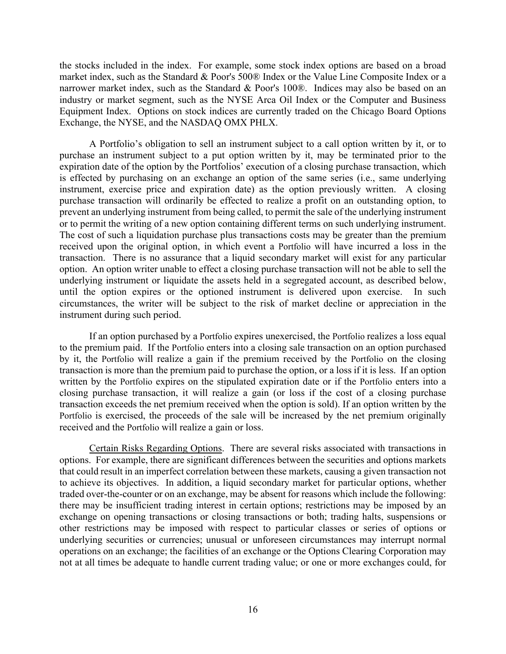the stocks included in the index. For example, some stock index options are based on a broad market index, such as the Standard & Poor's 500® Index or the Value Line Composite Index or a narrower market index, such as the Standard & Poor's 100®. Indices may also be based on an industry or market segment, such as the NYSE Arca Oil Index or the Computer and Business Equipment Index. Options on stock indices are currently traded on the Chicago Board Options Exchange, the NYSE, and the NASDAQ OMX PHLX.

A Portfolio's obligation to sell an instrument subject to a call option written by it, or to purchase an instrument subject to a put option written by it, may be terminated prior to the expiration date of the option by the Portfolios' execution of a closing purchase transaction, which is effected by purchasing on an exchange an option of the same series (i.e., same underlying instrument, exercise price and expiration date) as the option previously written. A closing purchase transaction will ordinarily be effected to realize a profit on an outstanding option, to prevent an underlying instrument from being called, to permit the sale of the underlying instrument or to permit the writing of a new option containing different terms on such underlying instrument. The cost of such a liquidation purchase plus transactions costs may be greater than the premium received upon the original option, in which event a Portfolio will have incurred a loss in the transaction. There is no assurance that a liquid secondary market will exist for any particular option. An option writer unable to effect a closing purchase transaction will not be able to sell the underlying instrument or liquidate the assets held in a segregated account, as described below, until the option expires or the optioned instrument is delivered upon exercise. In such circumstances, the writer will be subject to the risk of market decline or appreciation in the instrument during such period.

If an option purchased by a Portfolio expires unexercised, the Portfolio realizes a loss equal to the premium paid. If the Portfolio enters into a closing sale transaction on an option purchased by it, the Portfolio will realize a gain if the premium received by the Portfolio on the closing transaction is more than the premium paid to purchase the option, or a loss if it is less. If an option written by the Portfolio expires on the stipulated expiration date or if the Portfolio enters into a closing purchase transaction, it will realize a gain (or loss if the cost of a closing purchase transaction exceeds the net premium received when the option is sold). If an option written by the Portfolio is exercised, the proceeds of the sale will be increased by the net premium originally received and the Portfolio will realize a gain or loss.

Certain Risks Regarding Options. There are several risks associated with transactions in options. For example, there are significant differences between the securities and options markets that could result in an imperfect correlation between these markets, causing a given transaction not to achieve its objectives. In addition, a liquid secondary market for particular options, whether traded over-the-counter or on an exchange, may be absent for reasons which include the following: there may be insufficient trading interest in certain options; restrictions may be imposed by an exchange on opening transactions or closing transactions or both; trading halts, suspensions or other restrictions may be imposed with respect to particular classes or series of options or underlying securities or currencies; unusual or unforeseen circumstances may interrupt normal operations on an exchange; the facilities of an exchange or the Options Clearing Corporation may not at all times be adequate to handle current trading value; or one or more exchanges could, for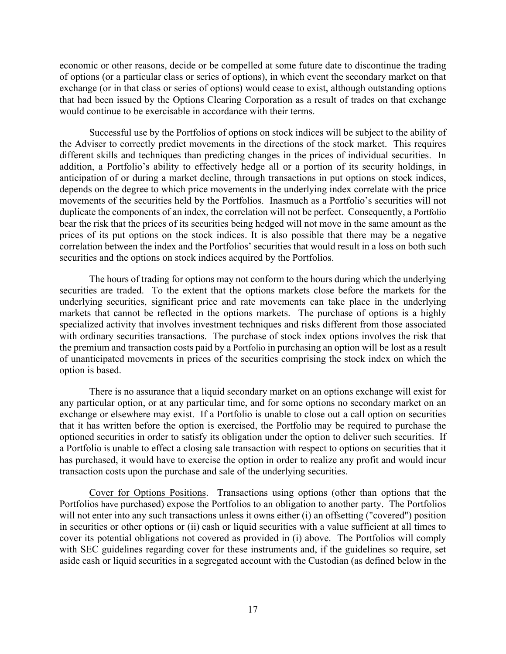economic or other reasons, decide or be compelled at some future date to discontinue the trading of options (or a particular class or series of options), in which event the secondary market on that exchange (or in that class or series of options) would cease to exist, although outstanding options that had been issued by the Options Clearing Corporation as a result of trades on that exchange would continue to be exercisable in accordance with their terms.

Successful use by the Portfolios of options on stock indices will be subject to the ability of the Adviser to correctly predict movements in the directions of the stock market. This requires different skills and techniques than predicting changes in the prices of individual securities. In addition, a Portfolio's ability to effectively hedge all or a portion of its security holdings, in anticipation of or during a market decline, through transactions in put options on stock indices, depends on the degree to which price movements in the underlying index correlate with the price movements of the securities held by the Portfolios. Inasmuch as a Portfolio's securities will not duplicate the components of an index, the correlation will not be perfect. Consequently, a Portfolio bear the risk that the prices of its securities being hedged will not move in the same amount as the prices of its put options on the stock indices. It is also possible that there may be a negative correlation between the index and the Portfolios' securities that would result in a loss on both such securities and the options on stock indices acquired by the Portfolios.

The hours of trading for options may not conform to the hours during which the underlying securities are traded. To the extent that the options markets close before the markets for the underlying securities, significant price and rate movements can take place in the underlying markets that cannot be reflected in the options markets. The purchase of options is a highly specialized activity that involves investment techniques and risks different from those associated with ordinary securities transactions. The purchase of stock index options involves the risk that the premium and transaction costs paid by a Portfolio in purchasing an option will be lost as a result of unanticipated movements in prices of the securities comprising the stock index on which the option is based.

There is no assurance that a liquid secondary market on an options exchange will exist for any particular option, or at any particular time, and for some options no secondary market on an exchange or elsewhere may exist. If a Portfolio is unable to close out a call option on securities that it has written before the option is exercised, the Portfolio may be required to purchase the optioned securities in order to satisfy its obligation under the option to deliver such securities. If a Portfolio is unable to effect a closing sale transaction with respect to options on securities that it has purchased, it would have to exercise the option in order to realize any profit and would incur transaction costs upon the purchase and sale of the underlying securities.

Cover for Options Positions. Transactions using options (other than options that the Portfolios have purchased) expose the Portfolios to an obligation to another party. The Portfolios will not enter into any such transactions unless it owns either (i) an offsetting ("covered") position in securities or other options or (ii) cash or liquid securities with a value sufficient at all times to cover its potential obligations not covered as provided in (i) above. The Portfolios will comply with SEC guidelines regarding cover for these instruments and, if the guidelines so require, set aside cash or liquid securities in a segregated account with the Custodian (as defined below in the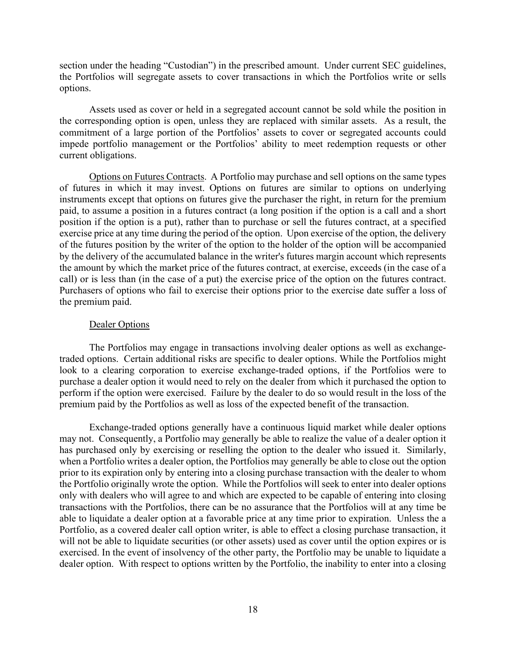section under the heading "Custodian") in the prescribed amount. Under current SEC guidelines, the Portfolios will segregate assets to cover transactions in which the Portfolios write or sells options.

Assets used as cover or held in a segregated account cannot be sold while the position in the corresponding option is open, unless they are replaced with similar assets. As a result, the commitment of a large portion of the Portfolios' assets to cover or segregated accounts could impede portfolio management or the Portfolios' ability to meet redemption requests or other current obligations.

Options on Futures Contracts. A Portfolio may purchase and sell options on the same types of futures in which it may invest. Options on futures are similar to options on underlying instruments except that options on futures give the purchaser the right, in return for the premium paid, to assume a position in a futures contract (a long position if the option is a call and a short position if the option is a put), rather than to purchase or sell the futures contract, at a specified exercise price at any time during the period of the option. Upon exercise of the option, the delivery of the futures position by the writer of the option to the holder of the option will be accompanied by the delivery of the accumulated balance in the writer's futures margin account which represents the amount by which the market price of the futures contract, at exercise, exceeds (in the case of a call) or is less than (in the case of a put) the exercise price of the option on the futures contract. Purchasers of options who fail to exercise their options prior to the exercise date suffer a loss of the premium paid.

#### Dealer Options

The Portfolios may engage in transactions involving dealer options as well as exchangetraded options. Certain additional risks are specific to dealer options. While the Portfolios might look to a clearing corporation to exercise exchange-traded options, if the Portfolios were to purchase a dealer option it would need to rely on the dealer from which it purchased the option to perform if the option were exercised. Failure by the dealer to do so would result in the loss of the premium paid by the Portfolios as well as loss of the expected benefit of the transaction.

Exchange-traded options generally have a continuous liquid market while dealer options may not. Consequently, a Portfolio may generally be able to realize the value of a dealer option it has purchased only by exercising or reselling the option to the dealer who issued it. Similarly, when a Portfolio writes a dealer option, the Portfolios may generally be able to close out the option prior to its expiration only by entering into a closing purchase transaction with the dealer to whom the Portfolio originally wrote the option. While the Portfolios will seek to enter into dealer options only with dealers who will agree to and which are expected to be capable of entering into closing transactions with the Portfolios, there can be no assurance that the Portfolios will at any time be able to liquidate a dealer option at a favorable price at any time prior to expiration. Unless the a Portfolio, as a covered dealer call option writer, is able to effect a closing purchase transaction, it will not be able to liquidate securities (or other assets) used as cover until the option expires or is exercised. In the event of insolvency of the other party, the Portfolio may be unable to liquidate a dealer option. With respect to options written by the Portfolio, the inability to enter into a closing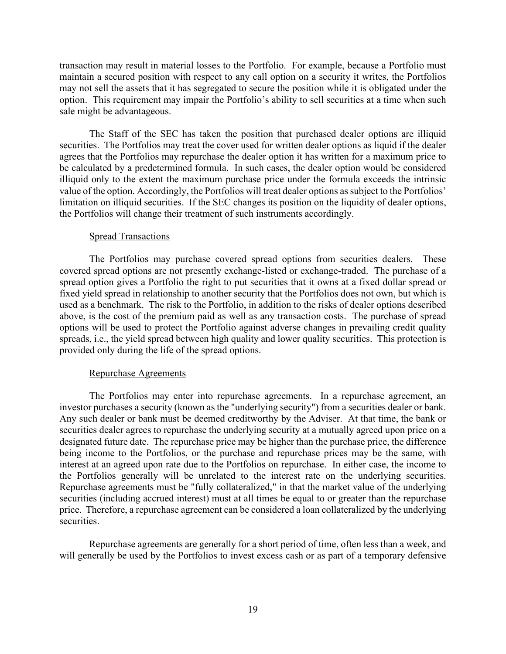transaction may result in material losses to the Portfolio. For example, because a Portfolio must maintain a secured position with respect to any call option on a security it writes, the Portfolios may not sell the assets that it has segregated to secure the position while it is obligated under the option. This requirement may impair the Portfolio's ability to sell securities at a time when such sale might be advantageous.

The Staff of the SEC has taken the position that purchased dealer options are illiquid securities. The Portfolios may treat the cover used for written dealer options as liquid if the dealer agrees that the Portfolios may repurchase the dealer option it has written for a maximum price to be calculated by a predetermined formula. In such cases, the dealer option would be considered illiquid only to the extent the maximum purchase price under the formula exceeds the intrinsic value of the option. Accordingly, the Portfolios will treat dealer options as subject to the Portfolios' limitation on illiquid securities. If the SEC changes its position on the liquidity of dealer options, the Portfolios will change their treatment of such instruments accordingly.

#### Spread Transactions

The Portfolios may purchase covered spread options from securities dealers. These covered spread options are not presently exchange-listed or exchange-traded. The purchase of a spread option gives a Portfolio the right to put securities that it owns at a fixed dollar spread or fixed yield spread in relationship to another security that the Portfolios does not own, but which is used as a benchmark. The risk to the Portfolio, in addition to the risks of dealer options described above, is the cost of the premium paid as well as any transaction costs. The purchase of spread options will be used to protect the Portfolio against adverse changes in prevailing credit quality spreads, i.e., the yield spread between high quality and lower quality securities. This protection is provided only during the life of the spread options.

#### Repurchase Agreements

The Portfolios may enter into repurchase agreements. In a repurchase agreement, an investor purchases a security (known as the "underlying security") from a securities dealer or bank. Any such dealer or bank must be deemed creditworthy by the Adviser. At that time, the bank or securities dealer agrees to repurchase the underlying security at a mutually agreed upon price on a designated future date. The repurchase price may be higher than the purchase price, the difference being income to the Portfolios, or the purchase and repurchase prices may be the same, with interest at an agreed upon rate due to the Portfolios on repurchase. In either case, the income to the Portfolios generally will be unrelated to the interest rate on the underlying securities. Repurchase agreements must be "fully collateralized," in that the market value of the underlying securities (including accrued interest) must at all times be equal to or greater than the repurchase price. Therefore, a repurchase agreement can be considered a loan collateralized by the underlying securities.

Repurchase agreements are generally for a short period of time, often less than a week, and will generally be used by the Portfolios to invest excess cash or as part of a temporary defensive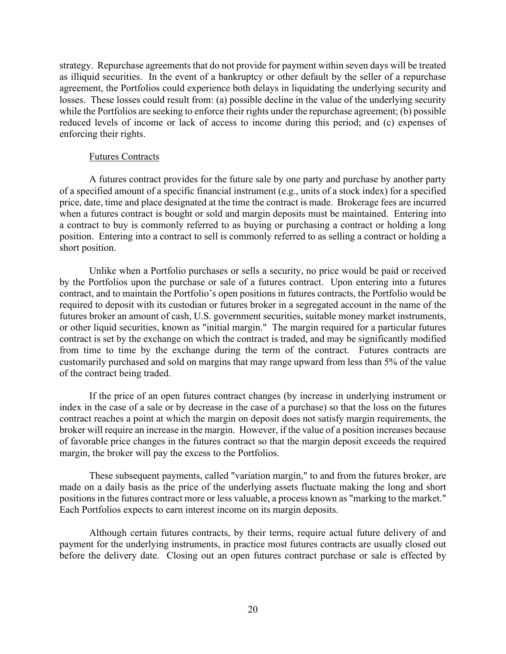strategy. Repurchase agreements that do not provide for payment within seven days will be treated as illiquid securities. In the event of a bankruptcy or other default by the seller of a repurchase agreement, the Portfolios could experience both delays in liquidating the underlying security and losses. These losses could result from: (a) possible decline in the value of the underlying security while the Portfolios are seeking to enforce their rights under the repurchase agreement; (b) possible reduced levels of income or lack of access to income during this period; and (c) expenses of enforcing their rights.

### Futures Contracts

A futures contract provides for the future sale by one party and purchase by another party of a specified amount of a specific financial instrument (e.g., units of a stock index) for a specified price, date, time and place designated at the time the contract is made. Brokerage fees are incurred when a futures contract is bought or sold and margin deposits must be maintained. Entering into a contract to buy is commonly referred to as buying or purchasing a contract or holding a long position. Entering into a contract to sell is commonly referred to as selling a contract or holding a short position.

Unlike when a Portfolio purchases or sells a security, no price would be paid or received by the Portfolios upon the purchase or sale of a futures contract. Upon entering into a futures contract, and to maintain the Portfolio's open positions in futures contracts, the Portfolio would be required to deposit with its custodian or futures broker in a segregated account in the name of the futures broker an amount of cash, U.S. government securities, suitable money market instruments, or other liquid securities, known as "initial margin." The margin required for a particular futures contract is set by the exchange on which the contract is traded, and may be significantly modified from time to time by the exchange during the term of the contract. Futures contracts are customarily purchased and sold on margins that may range upward from less than 5% of the value of the contract being traded.

If the price of an open futures contract changes (by increase in underlying instrument or index in the case of a sale or by decrease in the case of a purchase) so that the loss on the futures contract reaches a point at which the margin on deposit does not satisfy margin requirements, the broker will require an increase in the margin. However, if the value of a position increases because of favorable price changes in the futures contract so that the margin deposit exceeds the required margin, the broker will pay the excess to the Portfolios.

These subsequent payments, called "variation margin," to and from the futures broker, are made on a daily basis as the price of the underlying assets fluctuate making the long and short positions in the futures contract more or less valuable, a process known as "marking to the market." Each Portfolios expects to earn interest income on its margin deposits.

Although certain futures contracts, by their terms, require actual future delivery of and payment for the underlying instruments, in practice most futures contracts are usually closed out before the delivery date. Closing out an open futures contract purchase or sale is effected by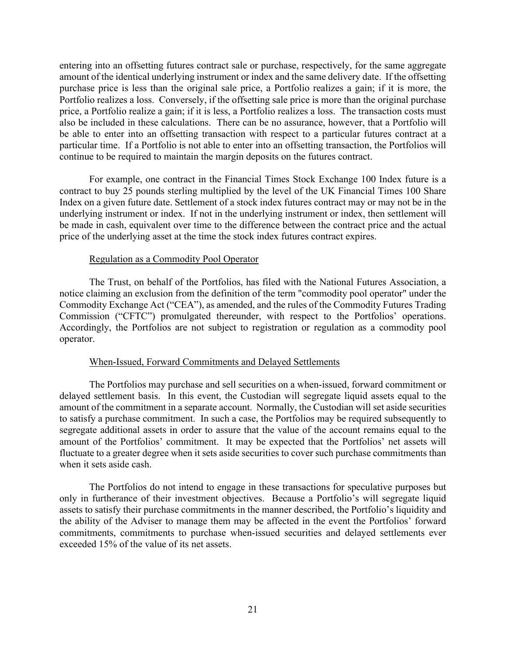entering into an offsetting futures contract sale or purchase, respectively, for the same aggregate amount of the identical underlying instrument or index and the same delivery date. If the offsetting purchase price is less than the original sale price, a Portfolio realizes a gain; if it is more, the Portfolio realizes a loss. Conversely, if the offsetting sale price is more than the original purchase price, a Portfolio realize a gain; if it is less, a Portfolio realizes a loss. The transaction costs must also be included in these calculations. There can be no assurance, however, that a Portfolio will be able to enter into an offsetting transaction with respect to a particular futures contract at a particular time. If a Portfolio is not able to enter into an offsetting transaction, the Portfolios will continue to be required to maintain the margin deposits on the futures contract.

For example, one contract in the Financial Times Stock Exchange 100 Index future is a contract to buy 25 pounds sterling multiplied by the level of the UK Financial Times 100 Share Index on a given future date. Settlement of a stock index futures contract may or may not be in the underlying instrument or index. If not in the underlying instrument or index, then settlement will be made in cash, equivalent over time to the difference between the contract price and the actual price of the underlying asset at the time the stock index futures contract expires.

#### Regulation as a Commodity Pool Operator

The Trust, on behalf of the Portfolios, has filed with the National Futures Association, a notice claiming an exclusion from the definition of the term "commodity pool operator" under the Commodity Exchange Act ("CEA"), as amended, and the rules of the Commodity Futures Trading Commission ("CFTC") promulgated thereunder, with respect to the Portfolios' operations. Accordingly, the Portfolios are not subject to registration or regulation as a commodity pool operator.

### When-Issued, Forward Commitments and Delayed Settlements

The Portfolios may purchase and sell securities on a when-issued, forward commitment or delayed settlement basis. In this event, the Custodian will segregate liquid assets equal to the amount of the commitment in a separate account. Normally, the Custodian will set aside securities to satisfy a purchase commitment. In such a case, the Portfolios may be required subsequently to segregate additional assets in order to assure that the value of the account remains equal to the amount of the Portfolios' commitment. It may be expected that the Portfolios' net assets will fluctuate to a greater degree when it sets aside securities to cover such purchase commitments than when it sets aside cash.

The Portfolios do not intend to engage in these transactions for speculative purposes but only in furtherance of their investment objectives. Because a Portfolio's will segregate liquid assets to satisfy their purchase commitments in the manner described, the Portfolio's liquidity and the ability of the Adviser to manage them may be affected in the event the Portfolios' forward commitments, commitments to purchase when-issued securities and delayed settlements ever exceeded 15% of the value of its net assets.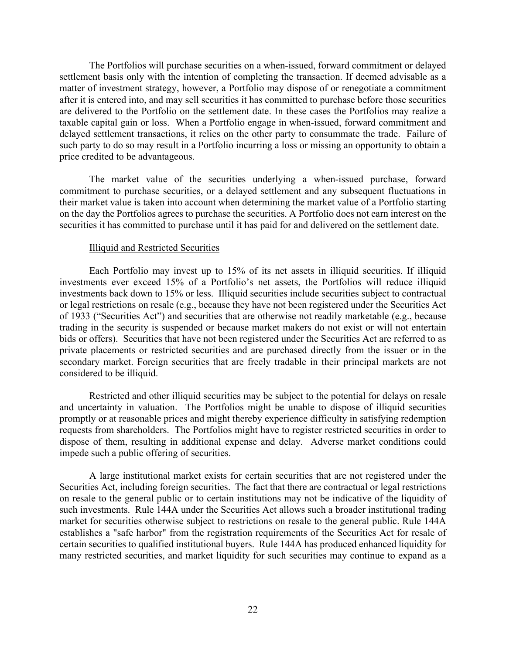The Portfolios will purchase securities on a when-issued, forward commitment or delayed settlement basis only with the intention of completing the transaction. If deemed advisable as a matter of investment strategy, however, a Portfolio may dispose of or renegotiate a commitment after it is entered into, and may sell securities it has committed to purchase before those securities are delivered to the Portfolio on the settlement date. In these cases the Portfolios may realize a taxable capital gain or loss. When a Portfolio engage in when-issued, forward commitment and delayed settlement transactions, it relies on the other party to consummate the trade. Failure of such party to do so may result in a Portfolio incurring a loss or missing an opportunity to obtain a price credited to be advantageous.

The market value of the securities underlying a when-issued purchase, forward commitment to purchase securities, or a delayed settlement and any subsequent fluctuations in their market value is taken into account when determining the market value of a Portfolio starting on the day the Portfolios agrees to purchase the securities. A Portfolio does not earn interest on the securities it has committed to purchase until it has paid for and delivered on the settlement date.

#### Illiquid and Restricted Securities

Each Portfolio may invest up to 15% of its net assets in illiquid securities. If illiquid investments ever exceed 15% of a Portfolio's net assets, the Portfolios will reduce illiquid investments back down to 15% or less. Illiquid securities include securities subject to contractual or legal restrictions on resale (e.g., because they have not been registered under the Securities Act of 1933 ("Securities Act") and securities that are otherwise not readily marketable (e.g., because trading in the security is suspended or because market makers do not exist or will not entertain bids or offers). Securities that have not been registered under the Securities Act are referred to as private placements or restricted securities and are purchased directly from the issuer or in the secondary market. Foreign securities that are freely tradable in their principal markets are not considered to be illiquid.

Restricted and other illiquid securities may be subject to the potential for delays on resale and uncertainty in valuation. The Portfolios might be unable to dispose of illiquid securities promptly or at reasonable prices and might thereby experience difficulty in satisfying redemption requests from shareholders. The Portfolios might have to register restricted securities in order to dispose of them, resulting in additional expense and delay. Adverse market conditions could impede such a public offering of securities.

A large institutional market exists for certain securities that are not registered under the Securities Act, including foreign securities. The fact that there are contractual or legal restrictions on resale to the general public or to certain institutions may not be indicative of the liquidity of such investments. Rule 144A under the Securities Act allows such a broader institutional trading market for securities otherwise subject to restrictions on resale to the general public. Rule 144A establishes a "safe harbor" from the registration requirements of the Securities Act for resale of certain securities to qualified institutional buyers. Rule 144A has produced enhanced liquidity for many restricted securities, and market liquidity for such securities may continue to expand as a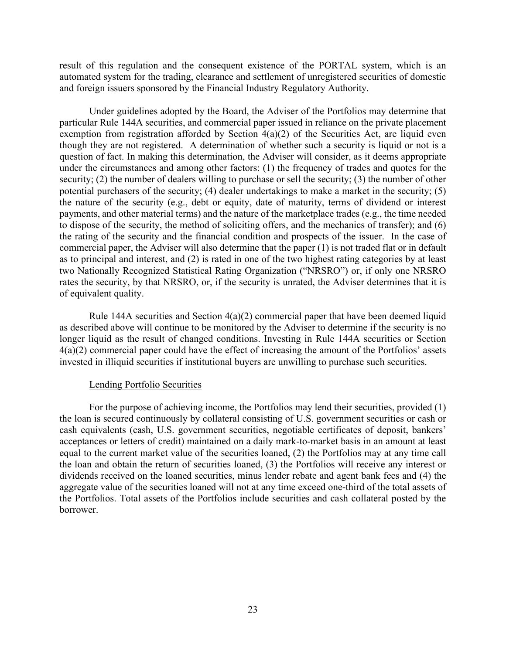result of this regulation and the consequent existence of the PORTAL system, which is an automated system for the trading, clearance and settlement of unregistered securities of domestic and foreign issuers sponsored by the Financial Industry Regulatory Authority.

Under guidelines adopted by the Board, the Adviser of the Portfolios may determine that particular Rule 144A securities, and commercial paper issued in reliance on the private placement exemption from registration afforded by Section 4(a)(2) of the Securities Act, are liquid even though they are not registered. A determination of whether such a security is liquid or not is a question of fact. In making this determination, the Adviser will consider, as it deems appropriate under the circumstances and among other factors: (1) the frequency of trades and quotes for the security; (2) the number of dealers willing to purchase or sell the security; (3) the number of other potential purchasers of the security; (4) dealer undertakings to make a market in the security; (5) the nature of the security (e.g., debt or equity, date of maturity, terms of dividend or interest payments, and other material terms) and the nature of the marketplace trades (e.g., the time needed to dispose of the security, the method of soliciting offers, and the mechanics of transfer); and (6) the rating of the security and the financial condition and prospects of the issuer. In the case of commercial paper, the Adviser will also determine that the paper (1) is not traded flat or in default as to principal and interest, and (2) is rated in one of the two highest rating categories by at least two Nationally Recognized Statistical Rating Organization ("NRSRO") or, if only one NRSRO rates the security, by that NRSRO, or, if the security is unrated, the Adviser determines that it is of equivalent quality.

Rule 144A securities and Section 4(a)(2) commercial paper that have been deemed liquid as described above will continue to be monitored by the Adviser to determine if the security is no longer liquid as the result of changed conditions. Investing in Rule 144A securities or Section 4(a)(2) commercial paper could have the effect of increasing the amount of the Portfolios' assets invested in illiquid securities if institutional buyers are unwilling to purchase such securities.

#### Lending Portfolio Securities

For the purpose of achieving income, the Portfolios may lend their securities, provided (1) the loan is secured continuously by collateral consisting of U.S. government securities or cash or cash equivalents (cash, U.S. government securities, negotiable certificates of deposit, bankers' acceptances or letters of credit) maintained on a daily mark-to-market basis in an amount at least equal to the current market value of the securities loaned, (2) the Portfolios may at any time call the loan and obtain the return of securities loaned, (3) the Portfolios will receive any interest or dividends received on the loaned securities, minus lender rebate and agent bank fees and (4) the aggregate value of the securities loaned will not at any time exceed one-third of the total assets of the Portfolios. Total assets of the Portfolios include securities and cash collateral posted by the borrower.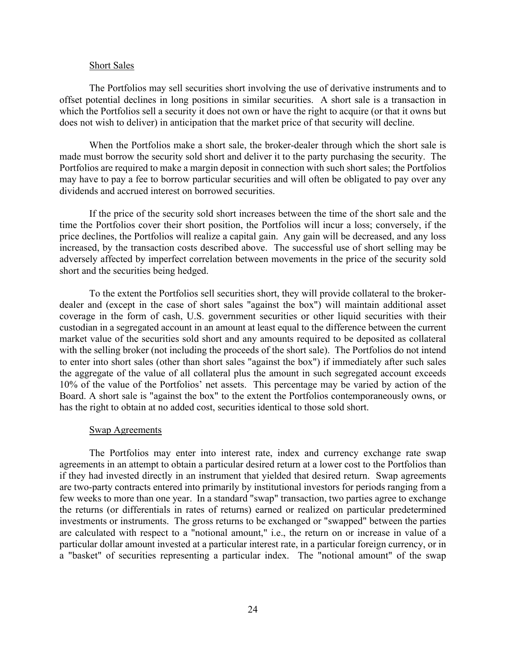#### Short Sales

The Portfolios may sell securities short involving the use of derivative instruments and to offset potential declines in long positions in similar securities. A short sale is a transaction in which the Portfolios sell a security it does not own or have the right to acquire (or that it owns but does not wish to deliver) in anticipation that the market price of that security will decline.

When the Portfolios make a short sale, the broker-dealer through which the short sale is made must borrow the security sold short and deliver it to the party purchasing the security. The Portfolios are required to make a margin deposit in connection with such short sales; the Portfolios may have to pay a fee to borrow particular securities and will often be obligated to pay over any dividends and accrued interest on borrowed securities.

If the price of the security sold short increases between the time of the short sale and the time the Portfolios cover their short position, the Portfolios will incur a loss; conversely, if the price declines, the Portfolios will realize a capital gain. Any gain will be decreased, and any loss increased, by the transaction costs described above. The successful use of short selling may be adversely affected by imperfect correlation between movements in the price of the security sold short and the securities being hedged.

To the extent the Portfolios sell securities short, they will provide collateral to the brokerdealer and (except in the case of short sales "against the box") will maintain additional asset coverage in the form of cash, U.S. government securities or other liquid securities with their custodian in a segregated account in an amount at least equal to the difference between the current market value of the securities sold short and any amounts required to be deposited as collateral with the selling broker (not including the proceeds of the short sale). The Portfolios do not intend to enter into short sales (other than short sales "against the box") if immediately after such sales the aggregate of the value of all collateral plus the amount in such segregated account exceeds 10% of the value of the Portfolios' net assets. This percentage may be varied by action of the Board. A short sale is "against the box" to the extent the Portfolios contemporaneously owns, or has the right to obtain at no added cost, securities identical to those sold short.

#### Swap Agreements

The Portfolios may enter into interest rate, index and currency exchange rate swap agreements in an attempt to obtain a particular desired return at a lower cost to the Portfolios than if they had invested directly in an instrument that yielded that desired return. Swap agreements are two-party contracts entered into primarily by institutional investors for periods ranging from a few weeks to more than one year. In a standard "swap" transaction, two parties agree to exchange the returns (or differentials in rates of returns) earned or realized on particular predetermined investments or instruments. The gross returns to be exchanged or "swapped" between the parties are calculated with respect to a "notional amount," i.e., the return on or increase in value of a particular dollar amount invested at a particular interest rate, in a particular foreign currency, or in a "basket" of securities representing a particular index. The "notional amount" of the swap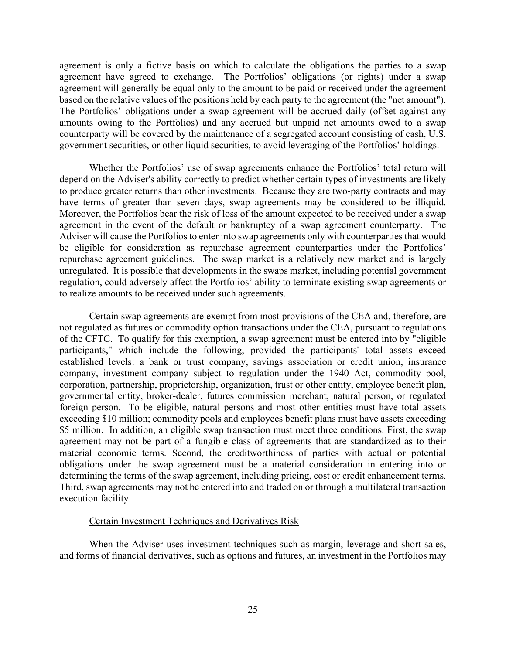agreement is only a fictive basis on which to calculate the obligations the parties to a swap agreement have agreed to exchange. The Portfolios' obligations (or rights) under a swap agreement will generally be equal only to the amount to be paid or received under the agreement based on the relative values of the positions held by each party to the agreement (the "net amount"). The Portfolios' obligations under a swap agreement will be accrued daily (offset against any amounts owing to the Portfolios) and any accrued but unpaid net amounts owed to a swap counterparty will be covered by the maintenance of a segregated account consisting of cash, U.S. government securities, or other liquid securities, to avoid leveraging of the Portfolios' holdings.

Whether the Portfolios' use of swap agreements enhance the Portfolios' total return will depend on the Adviser's ability correctly to predict whether certain types of investments are likely to produce greater returns than other investments. Because they are two-party contracts and may have terms of greater than seven days, swap agreements may be considered to be illiquid. Moreover, the Portfolios bear the risk of loss of the amount expected to be received under a swap agreement in the event of the default or bankruptcy of a swap agreement counterparty. The Adviser will cause the Portfolios to enter into swap agreements only with counterparties that would be eligible for consideration as repurchase agreement counterparties under the Portfolios' repurchase agreement guidelines. The swap market is a relatively new market and is largely unregulated. It is possible that developments in the swaps market, including potential government regulation, could adversely affect the Portfolios' ability to terminate existing swap agreements or to realize amounts to be received under such agreements.

Certain swap agreements are exempt from most provisions of the CEA and, therefore, are not regulated as futures or commodity option transactions under the CEA, pursuant to regulations of the CFTC. To qualify for this exemption, a swap agreement must be entered into by "eligible participants," which include the following, provided the participants' total assets exceed established levels: a bank or trust company, savings association or credit union, insurance company, investment company subject to regulation under the 1940 Act, commodity pool, corporation, partnership, proprietorship, organization, trust or other entity, employee benefit plan, governmental entity, broker-dealer, futures commission merchant, natural person, or regulated foreign person. To be eligible, natural persons and most other entities must have total assets exceeding \$10 million; commodity pools and employees benefit plans must have assets exceeding \$5 million. In addition, an eligible swap transaction must meet three conditions. First, the swap agreement may not be part of a fungible class of agreements that are standardized as to their material economic terms. Second, the creditworthiness of parties with actual or potential obligations under the swap agreement must be a material consideration in entering into or determining the terms of the swap agreement, including pricing, cost or credit enhancement terms. Third, swap agreements may not be entered into and traded on or through a multilateral transaction execution facility.

#### Certain Investment Techniques and Derivatives Risk

When the Adviser uses investment techniques such as margin, leverage and short sales, and forms of financial derivatives, such as options and futures, an investment in the Portfolios may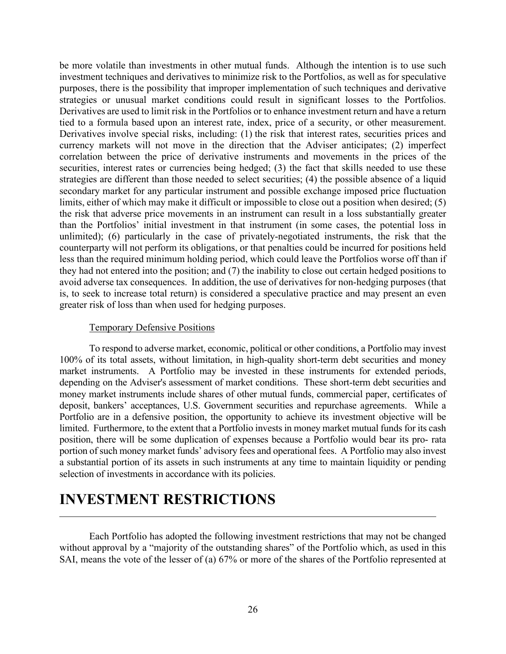be more volatile than investments in other mutual funds. Although the intention is to use such investment techniques and derivatives to minimize risk to the Portfolios, as well as for speculative purposes, there is the possibility that improper implementation of such techniques and derivative strategies or unusual market conditions could result in significant losses to the Portfolios. Derivatives are used to limit risk in the Portfolios or to enhance investment return and have a return tied to a formula based upon an interest rate, index, price of a security, or other measurement. Derivatives involve special risks, including: (1) the risk that interest rates, securities prices and currency markets will not move in the direction that the Adviser anticipates; (2) imperfect correlation between the price of derivative instruments and movements in the prices of the securities, interest rates or currencies being hedged; (3) the fact that skills needed to use these strategies are different than those needed to select securities; (4) the possible absence of a liquid secondary market for any particular instrument and possible exchange imposed price fluctuation limits, either of which may make it difficult or impossible to close out a position when desired; (5) the risk that adverse price movements in an instrument can result in a loss substantially greater than the Portfolios' initial investment in that instrument (in some cases, the potential loss in unlimited); (6) particularly in the case of privately-negotiated instruments, the risk that the counterparty will not perform its obligations, or that penalties could be incurred for positions held less than the required minimum holding period, which could leave the Portfolios worse off than if they had not entered into the position; and (7) the inability to close out certain hedged positions to avoid adverse tax consequences. In addition, the use of derivatives for non-hedging purposes (that is, to seek to increase total return) is considered a speculative practice and may present an even greater risk of loss than when used for hedging purposes.

#### Temporary Defensive Positions

To respond to adverse market, economic, political or other conditions, a Portfolio may invest 100% of its total assets, without limitation, in high-quality short-term debt securities and money market instruments. A Portfolio may be invested in these instruments for extended periods, depending on the Adviser's assessment of market conditions. These short-term debt securities and money market instruments include shares of other mutual funds, commercial paper, certificates of deposit, bankers' acceptances, U.S. Government securities and repurchase agreements. While a Portfolio are in a defensive position, the opportunity to achieve its investment objective will be limited. Furthermore, to the extent that a Portfolio invests in money market mutual funds for its cash position, there will be some duplication of expenses because a Portfolio would bear its pro- rata portion of such money market funds' advisory fees and operational fees. A Portfolio may also invest a substantial portion of its assets in such instruments at any time to maintain liquidity or pending selection of investments in accordance with its policies.

## **INVESTMENT RESTRICTIONS**

Each Portfolio has adopted the following investment restrictions that may not be changed without approval by a "majority of the outstanding shares" of the Portfolio which, as used in this SAI, means the vote of the lesser of (a) 67% or more of the shares of the Portfolio represented at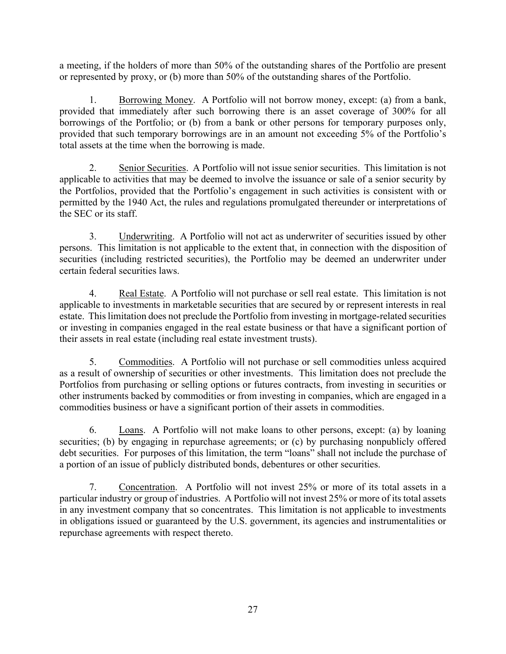a meeting, if the holders of more than 50% of the outstanding shares of the Portfolio are present or represented by proxy, or (b) more than 50% of the outstanding shares of the Portfolio.

1. Borrowing Money. A Portfolio will not borrow money, except: (a) from a bank, provided that immediately after such borrowing there is an asset coverage of 300% for all borrowings of the Portfolio; or (b) from a bank or other persons for temporary purposes only, provided that such temporary borrowings are in an amount not exceeding 5% of the Portfolio's total assets at the time when the borrowing is made.

2. Senior Securities. A Portfolio will not issue senior securities. This limitation is not applicable to activities that may be deemed to involve the issuance or sale of a senior security by the Portfolios, provided that the Portfolio's engagement in such activities is consistent with or permitted by the 1940 Act, the rules and regulations promulgated thereunder or interpretations of the SEC or its staff.

3. Underwriting. A Portfolio will not act as underwriter of securities issued by other persons. This limitation is not applicable to the extent that, in connection with the disposition of securities (including restricted securities), the Portfolio may be deemed an underwriter under certain federal securities laws.

4. Real Estate. A Portfolio will not purchase or sell real estate. This limitation is not applicable to investments in marketable securities that are secured by or represent interests in real estate. This limitation does not preclude the Portfolio from investing in mortgage-related securities or investing in companies engaged in the real estate business or that have a significant portion of their assets in real estate (including real estate investment trusts).

5. Commodities. A Portfolio will not purchase or sell commodities unless acquired as a result of ownership of securities or other investments. This limitation does not preclude the Portfolios from purchasing or selling options or futures contracts, from investing in securities or other instruments backed by commodities or from investing in companies, which are engaged in a commodities business or have a significant portion of their assets in commodities.

6. Loans. A Portfolio will not make loans to other persons, except: (a) by loaning securities; (b) by engaging in repurchase agreements; or (c) by purchasing nonpublicly offered debt securities. For purposes of this limitation, the term "loans" shall not include the purchase of a portion of an issue of publicly distributed bonds, debentures or other securities.

7. Concentration. A Portfolio will not invest 25% or more of its total assets in a particular industry or group of industries. A Portfolio will not invest 25% or more of its total assets in any investment company that so concentrates. This limitation is not applicable to investments in obligations issued or guaranteed by the U.S. government, its agencies and instrumentalities or repurchase agreements with respect thereto.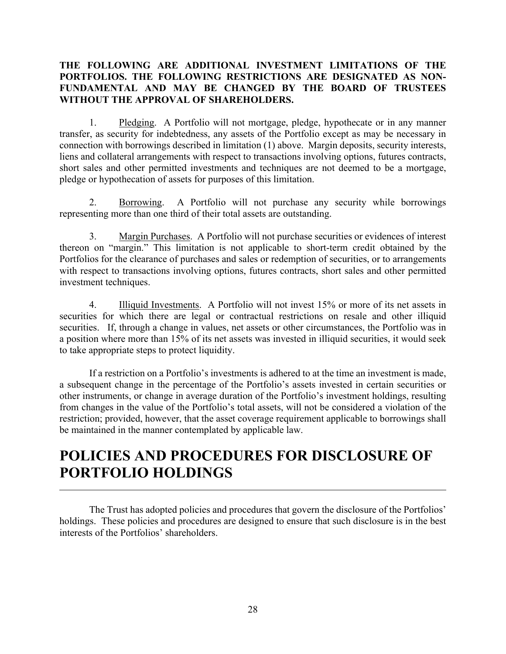## **THE FOLLOWING ARE ADDITIONAL INVESTMENT LIMITATIONS OF THE PORTFOLIOS. THE FOLLOWING RESTRICTIONS ARE DESIGNATED AS NON-FUNDAMENTAL AND MAY BE CHANGED BY THE BOARD OF TRUSTEES WITHOUT THE APPROVAL OF SHAREHOLDERS.**

1. Pledging. A Portfolio will not mortgage, pledge, hypothecate or in any manner transfer, as security for indebtedness, any assets of the Portfolio except as may be necessary in connection with borrowings described in limitation (1) above. Margin deposits, security interests, liens and collateral arrangements with respect to transactions involving options, futures contracts, short sales and other permitted investments and techniques are not deemed to be a mortgage, pledge or hypothecation of assets for purposes of this limitation.

2. Borrowing. A Portfolio will not purchase any security while borrowings representing more than one third of their total assets are outstanding.

3. Margin Purchases. A Portfolio will not purchase securities or evidences of interest thereon on "margin." This limitation is not applicable to short-term credit obtained by the Portfolios for the clearance of purchases and sales or redemption of securities, or to arrangements with respect to transactions involving options, futures contracts, short sales and other permitted investment techniques.

4. Illiquid Investments. A Portfolio will not invest 15% or more of its net assets in securities for which there are legal or contractual restrictions on resale and other illiquid securities. If, through a change in values, net assets or other circumstances, the Portfolio was in a position where more than 15% of its net assets was invested in illiquid securities, it would seek to take appropriate steps to protect liquidity.

If a restriction on a Portfolio's investments is adhered to at the time an investment is made, a subsequent change in the percentage of the Portfolio's assets invested in certain securities or other instruments, or change in average duration of the Portfolio's investment holdings, resulting from changes in the value of the Portfolio's total assets, will not be considered a violation of the restriction; provided, however, that the asset coverage requirement applicable to borrowings shall be maintained in the manner contemplated by applicable law.

# **POLICIES AND PROCEDURES FOR DISCLOSURE OF PORTFOLIO HOLDINGS**

The Trust has adopted policies and procedures that govern the disclosure of the Portfolios' holdings. These policies and procedures are designed to ensure that such disclosure is in the best interests of the Portfolios' shareholders.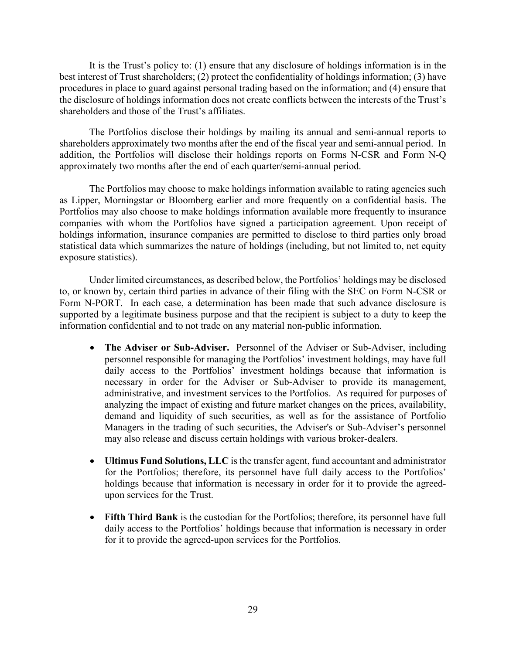It is the Trust's policy to: (1) ensure that any disclosure of holdings information is in the best interest of Trust shareholders; (2) protect the confidentiality of holdings information; (3) have procedures in place to guard against personal trading based on the information; and (4) ensure that the disclosure of holdings information does not create conflicts between the interests of the Trust's shareholders and those of the Trust's affiliates.

The Portfolios disclose their holdings by mailing its annual and semi-annual reports to shareholders approximately two months after the end of the fiscal year and semi-annual period. In addition, the Portfolios will disclose their holdings reports on Forms N-CSR and Form N-Q approximately two months after the end of each quarter/semi-annual period.

The Portfolios may choose to make holdings information available to rating agencies such as Lipper, Morningstar or Bloomberg earlier and more frequently on a confidential basis. The Portfolios may also choose to make holdings information available more frequently to insurance companies with whom the Portfolios have signed a participation agreement. Upon receipt of holdings information, insurance companies are permitted to disclose to third parties only broad statistical data which summarizes the nature of holdings (including, but not limited to, net equity exposure statistics).

Under limited circumstances, as described below, the Portfolios' holdings may be disclosed to, or known by, certain third parties in advance of their filing with the SEC on Form N-CSR or Form N-PORT. In each case, a determination has been made that such advance disclosure is supported by a legitimate business purpose and that the recipient is subject to a duty to keep the information confidential and to not trade on any material non-public information.

- **The Adviser or Sub-Adviser.** Personnel of the Adviser or Sub-Adviser, including personnel responsible for managing the Portfolios' investment holdings, may have full daily access to the Portfolios' investment holdings because that information is necessary in order for the Adviser or Sub-Adviser to provide its management, administrative, and investment services to the Portfolios. As required for purposes of analyzing the impact of existing and future market changes on the prices, availability, demand and liquidity of such securities, as well as for the assistance of Portfolio Managers in the trading of such securities, the Adviser's or Sub-Adviser's personnel may also release and discuss certain holdings with various broker-dealers.
- **Ultimus Fund Solutions, LLC** is the transfer agent, fund accountant and administrator for the Portfolios; therefore, its personnel have full daily access to the Portfolios' holdings because that information is necessary in order for it to provide the agreedupon services for the Trust.
- **Fifth Third Bank** is the custodian for the Portfolios; therefore, its personnel have full daily access to the Portfolios' holdings because that information is necessary in order for it to provide the agreed-upon services for the Portfolios.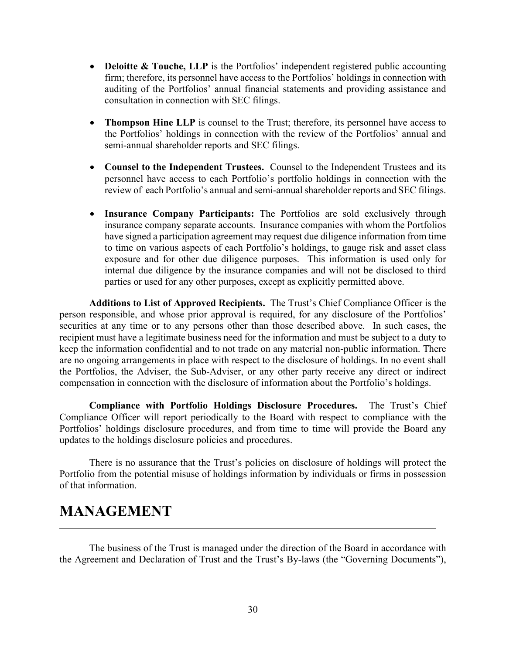- **Deloitte & Touche, LLP** is the Portfolios' independent registered public accounting firm; therefore, its personnel have access to the Portfolios' holdings in connection with auditing of the Portfolios' annual financial statements and providing assistance and consultation in connection with SEC filings.
- **Thompson Hine LLP** is counsel to the Trust; therefore, its personnel have access to the Portfolios' holdings in connection with the review of the Portfolios' annual and semi-annual shareholder reports and SEC filings.
- **Counsel to the Independent Trustees.** Counsel to the Independent Trustees and its personnel have access to each Portfolio's portfolio holdings in connection with the review of each Portfolio's annual and semi-annual shareholder reports and SEC filings.
- **Insurance Company Participants:** The Portfolios are sold exclusively through insurance company separate accounts. Insurance companies with whom the Portfolios have signed a participation agreement may request due diligence information from time to time on various aspects of each Portfolio's holdings, to gauge risk and asset class exposure and for other due diligence purposes. This information is used only for internal due diligence by the insurance companies and will not be disclosed to third parties or used for any other purposes, except as explicitly permitted above.

**Additions to List of Approved Recipients.** The Trust's Chief Compliance Officer is the person responsible, and whose prior approval is required, for any disclosure of the Portfolios' securities at any time or to any persons other than those described above. In such cases, the recipient must have a legitimate business need for the information and must be subject to a duty to keep the information confidential and to not trade on any material non-public information. There are no ongoing arrangements in place with respect to the disclosure of holdings. In no event shall the Portfolios, the Adviser, the Sub-Adviser, or any other party receive any direct or indirect compensation in connection with the disclosure of information about the Portfolio's holdings.

**Compliance with Portfolio Holdings Disclosure Procedures.** The Trust's Chief Compliance Officer will report periodically to the Board with respect to compliance with the Portfolios' holdings disclosure procedures, and from time to time will provide the Board any updates to the holdings disclosure policies and procedures.

There is no assurance that the Trust's policies on disclosure of holdings will protect the Portfolio from the potential misuse of holdings information by individuals or firms in possession of that information.

## **MANAGEMENT**

The business of the Trust is managed under the direction of the Board in accordance with the Agreement and Declaration of Trust and the Trust's By-laws (the "Governing Documents"),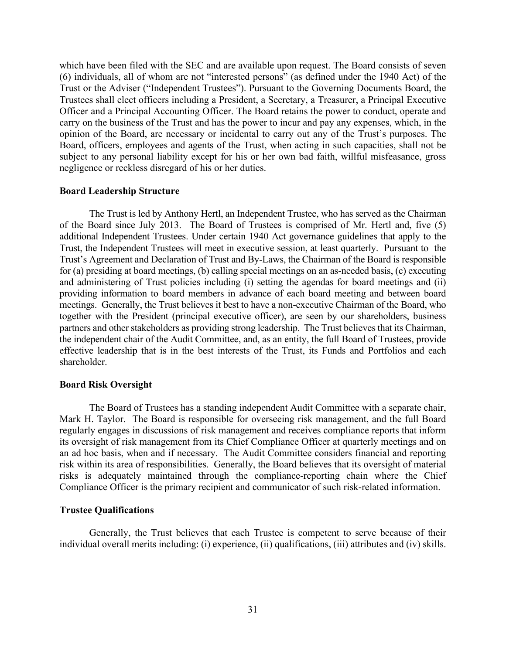which have been filed with the SEC and are available upon request. The Board consists of seven (6) individuals, all of whom are not "interested persons" (as defined under the 1940 Act) of the Trust or the Adviser ("Independent Trustees"). Pursuant to the Governing Documents Board, the Trustees shall elect officers including a President, a Secretary, a Treasurer, a Principal Executive Officer and a Principal Accounting Officer. The Board retains the power to conduct, operate and carry on the business of the Trust and has the power to incur and pay any expenses, which, in the opinion of the Board, are necessary or incidental to carry out any of the Trust's purposes. The Board, officers, employees and agents of the Trust, when acting in such capacities, shall not be subject to any personal liability except for his or her own bad faith, willful misfeasance, gross negligence or reckless disregard of his or her duties.

#### **Board Leadership Structure**

The Trust is led by Anthony Hertl, an Independent Trustee, who has served as the Chairman of the Board since July 2013. The Board of Trustees is comprised of Mr. Hertl and, five (5) additional Independent Trustees. Under certain 1940 Act governance guidelines that apply to the Trust, the Independent Trustees will meet in executive session, at least quarterly. Pursuant to the Trust's Agreement and Declaration of Trust and By-Laws, the Chairman of the Board is responsible for (a) presiding at board meetings, (b) calling special meetings on an as-needed basis, (c) executing and administering of Trust policies including (i) setting the agendas for board meetings and (ii) providing information to board members in advance of each board meeting and between board meetings. Generally, the Trust believes it best to have a non-executive Chairman of the Board, who together with the President (principal executive officer), are seen by our shareholders, business partners and other stakeholders as providing strong leadership. The Trust believes that its Chairman, the independent chair of the Audit Committee, and, as an entity, the full Board of Trustees, provide effective leadership that is in the best interests of the Trust, its Funds and Portfolios and each shareholder.

#### **Board Risk Oversight**

The Board of Trustees has a standing independent Audit Committee with a separate chair, Mark H. Taylor. The Board is responsible for overseeing risk management, and the full Board regularly engages in discussions of risk management and receives compliance reports that inform its oversight of risk management from its Chief Compliance Officer at quarterly meetings and on an ad hoc basis, when and if necessary. The Audit Committee considers financial and reporting risk within its area of responsibilities. Generally, the Board believes that its oversight of material risks is adequately maintained through the compliance-reporting chain where the Chief Compliance Officer is the primary recipient and communicator of such risk-related information.

#### **Trustee Qualifications**

Generally, the Trust believes that each Trustee is competent to serve because of their individual overall merits including: (i) experience, (ii) qualifications, (iii) attributes and (iv) skills.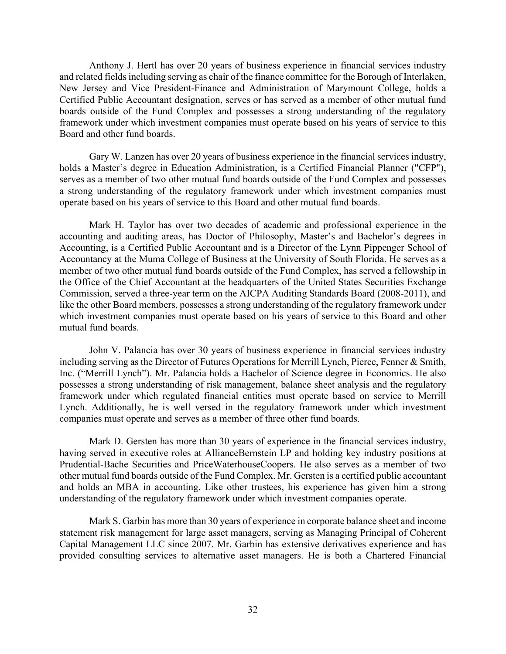Anthony J. Hertl has over 20 years of business experience in financial services industry and related fields including serving as chair of the finance committee for the Borough of Interlaken, New Jersey and Vice President-Finance and Administration of Marymount College, holds a Certified Public Accountant designation, serves or has served as a member of other mutual fund boards outside of the Fund Complex and possesses a strong understanding of the regulatory framework under which investment companies must operate based on his years of service to this Board and other fund boards.

Gary W. Lanzen has over 20 years of business experience in the financial services industry, holds a Master's degree in Education Administration, is a Certified Financial Planner ("CFP"), serves as a member of two other mutual fund boards outside of the Fund Complex and possesses a strong understanding of the regulatory framework under which investment companies must operate based on his years of service to this Board and other mutual fund boards.

Mark H. Taylor has over two decades of academic and professional experience in the accounting and auditing areas, has Doctor of Philosophy, Master's and Bachelor's degrees in Accounting, is a Certified Public Accountant and is a Director of the Lynn Pippenger School of Accountancy at the Muma College of Business at the University of South Florida. He serves as a member of two other mutual fund boards outside of the Fund Complex, has served a fellowship in the Office of the Chief Accountant at the headquarters of the United States Securities Exchange Commission, served a three-year term on the AICPA Auditing Standards Board (2008-2011), and like the other Board members, possesses a strong understanding of the regulatory framework under which investment companies must operate based on his years of service to this Board and other mutual fund boards.

John V. Palancia has over 30 years of business experience in financial services industry including serving as the Director of Futures Operations for Merrill Lynch, Pierce, Fenner & Smith, Inc. ("Merrill Lynch"). Mr. Palancia holds a Bachelor of Science degree in Economics. He also possesses a strong understanding of risk management, balance sheet analysis and the regulatory framework under which regulated financial entities must operate based on service to Merrill Lynch. Additionally, he is well versed in the regulatory framework under which investment companies must operate and serves as a member of three other fund boards.

Mark D. Gersten has more than 30 years of experience in the financial services industry, having served in executive roles at AllianceBernstein LP and holding key industry positions at Prudential-Bache Securities and PriceWaterhouseCoopers. He also serves as a member of two other mutual fund boards outside of the Fund Complex. Mr. Gersten is a certified public accountant and holds an MBA in accounting. Like other trustees, his experience has given him a strong understanding of the regulatory framework under which investment companies operate.

Mark S. Garbin has more than 30 years of experience in corporate balance sheet and income statement risk management for large asset managers, serving as Managing Principal of Coherent Capital Management LLC since 2007. Mr. Garbin has extensive derivatives experience and has provided consulting services to alternative asset managers. He is both a Chartered Financial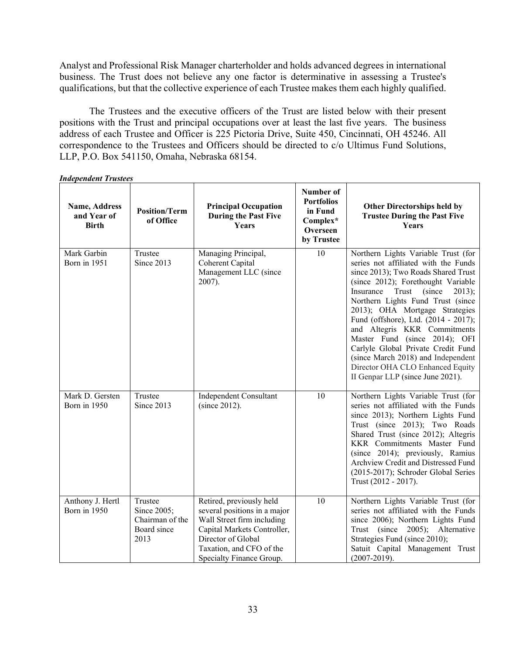Analyst and Professional Risk Manager charterholder and holds advanced degrees in international business. The Trust does not believe any one factor is determinative in assessing a Trustee's qualifications, but that the collective experience of each Trustee makes them each highly qualified.

The Trustees and the executive officers of the Trust are listed below with their present positions with the Trust and principal occupations over at least the last five years. The business address of each Trustee and Officer is 225 Pictoria Drive, Suite 450, Cincinnati, OH 45246. All correspondence to the Trustees and Officers should be directed to c/o Ultimus Fund Solutions, LLP, P.O. Box 541150, Omaha, Nebraska 68154.

**Name, Address and Year of Birth Position/Term of Office Principal Occupation During the Past Five Years Number of Portfolios in Fund Complex\* Overseen by Trustee Other Directorships held by Trustee During the Past Five Years** Mark Garbin Born in 1951 Trustee Since 2013 Managing Principal, Coherent Capital Management LLC (since 2007). 10 Northern Lights Variable Trust (for series not affiliated with the Funds since 2013); Two Roads Shared Trust (since 2012); Forethought Variable Insurance Trust (since 2013); Northern Lights Fund Trust (since 2013); OHA Mortgage Strategies Fund (offshore), Ltd. (2014 - 2017); and Altegris KKR Commitments Master Fund (since 2014); OFI Carlyle Global Private Credit Fund (since March 2018) and Independent Director OHA CLO Enhanced Equity II Genpar LLP (since June 2021). Mark D. Gersten Born in 1950 Trustee Since 2013 Independent Consultant (since 2012). 10 Northern Lights Variable Trust (for series not affiliated with the Funds since 2013); Northern Lights Fund Trust (since 2013); Two Roads Shared Trust (since 2012); Altegris KKR Commitments Master Fund (since 2014); previously, Ramius Archview Credit and Distressed Fund (2015-2017); Schroder Global Series Trust (2012 - 2017). Anthony J. Hertl Born in 1950 Trustee Since 2005: Chairman of the Board since 2013 Retired, previously held several positions in a major Wall Street firm including Capital Markets Controller, Director of Global Taxation, and CFO of the Specialty Finance Group. 10 Northern Lights Variable Trust (for series not affiliated with the Funds since 2006); Northern Lights Fund Trust (since 2005); Alternative Strategies Fund (since 2010); Satuit Capital Management Trust (2007-2019).

*Independent Trustees*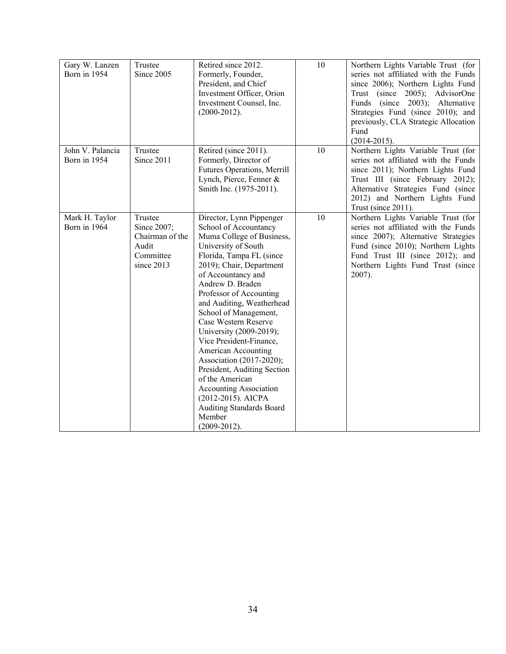| Gary W. Lanzen<br>Born in 1954   | Trustee<br>Since 2005                                                         | Retired since 2012.<br>Formerly, Founder,<br>President, and Chief<br>Investment Officer, Orion<br>Investment Counsel, Inc.<br>$(2000-2012).$                                                                                                                                                                                                                                                                                                                                                                                                                                                        | 10 | Northern Lights Variable Trust (for<br>series not affiliated with the Funds<br>since 2006); Northern Lights Fund<br>Trust (since 2005); AdvisorOne<br>(since 2003); Alternative<br>Funds<br>Strategies Fund (since 2010); and<br>previously, CLA Strategic Allocation<br>Fund<br>$(2014 - 2015).$ |
|----------------------------------|-------------------------------------------------------------------------------|-----------------------------------------------------------------------------------------------------------------------------------------------------------------------------------------------------------------------------------------------------------------------------------------------------------------------------------------------------------------------------------------------------------------------------------------------------------------------------------------------------------------------------------------------------------------------------------------------------|----|---------------------------------------------------------------------------------------------------------------------------------------------------------------------------------------------------------------------------------------------------------------------------------------------------|
| John V. Palancia<br>Born in 1954 | Trustee<br>Since 2011                                                         | Retired (since 2011).<br>Formerly, Director of<br>Futures Operations, Merrill<br>Lynch, Pierce, Fenner &<br>Smith Inc. (1975-2011).                                                                                                                                                                                                                                                                                                                                                                                                                                                                 | 10 | Northern Lights Variable Trust (for<br>series not affiliated with the Funds<br>since 2011); Northern Lights Fund<br>Trust III (since February 2012);<br>Alternative Strategies Fund (since<br>2012) and Northern Lights Fund<br>Trust (since 2011).                                               |
| Mark H. Taylor<br>Born in 1964   | Trustee<br>Since 2007;<br>Chairman of the<br>Audit<br>Committee<br>since 2013 | Director, Lynn Pippenger<br>School of Accountancy<br>Muma College of Business,<br>University of South<br>Florida, Tampa FL (since<br>2019); Chair, Department<br>of Accountancy and<br>Andrew D. Braden<br>Professor of Accounting<br>and Auditing, Weatherhead<br>School of Management,<br>Case Western Reserve<br>University (2009-2019);<br>Vice President-Finance,<br>American Accounting<br>Association (2017-2020);<br>President, Auditing Section<br>of the American<br><b>Accounting Association</b><br>(2012-2015). AICPA<br><b>Auditing Standards Board</b><br>Member<br>$(2009 - 2012).$ | 10 | Northern Lights Variable Trust (for<br>series not affiliated with the Funds<br>since 2007); Alternative Strategies<br>Fund (since 2010); Northern Lights<br>Fund Trust III (since 2012); and<br>Northern Lights Fund Trust (since<br>2007).                                                       |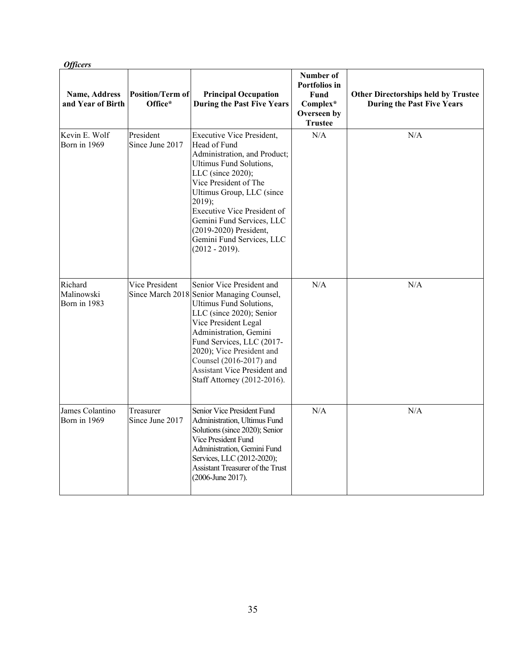| onucus                                |                                    |                                                                                                                                                                                                                                                                                                                                                   |                                                                                        |                                                                                 |
|---------------------------------------|------------------------------------|---------------------------------------------------------------------------------------------------------------------------------------------------------------------------------------------------------------------------------------------------------------------------------------------------------------------------------------------------|----------------------------------------------------------------------------------------|---------------------------------------------------------------------------------|
| Name, Address<br>and Year of Birth    | <b>Position/Term of</b><br>Office* | <b>Principal Occupation</b><br><b>During the Past Five Years</b>                                                                                                                                                                                                                                                                                  | Number of<br><b>Portfolios</b> in<br>Fund<br>Complex*<br>Overseen by<br><b>Trustee</b> | <b>Other Directorships held by Trustee</b><br><b>During the Past Five Years</b> |
| Kevin E. Wolf<br>Born in 1969         | President<br>Since June 2017       | <b>Executive Vice President,</b><br>Head of Fund<br>Administration, and Product;<br>Ultimus Fund Solutions,<br>LLC (since 2020);<br>Vice President of The<br>Ultimus Group, LLC (since<br>$2019$ ;<br><b>Executive Vice President of</b><br>Gemini Fund Services, LLC<br>(2019-2020) President,<br>Gemini Fund Services, LLC<br>$(2012 - 2019).$  | N/A                                                                                    | N/A                                                                             |
| Richard<br>Malinowski<br>Born in 1983 | Vice President                     | Senior Vice President and<br>Since March 2018 Senior Managing Counsel,<br><b>Ultimus Fund Solutions,</b><br>LLC (since 2020); Senior<br>Vice President Legal<br>Administration, Gemini<br>Fund Services, LLC (2017-<br>2020); Vice President and<br>Counsel (2016-2017) and<br><b>Assistant Vice President and</b><br>Staff Attorney (2012-2016). | N/A                                                                                    | N/A                                                                             |
| James Colantino<br>Born in 1969       | Treasurer<br>Since June 2017       | Senior Vice President Fund<br>Administration, Ultimus Fund<br>Solutions (since 2020); Senior<br>Vice President Fund<br>Administration, Gemini Fund<br>Services, LLC (2012-2020);<br>Assistant Treasurer of the Trust<br>(2006-June 2017).                                                                                                         | N/A                                                                                    | N/A                                                                             |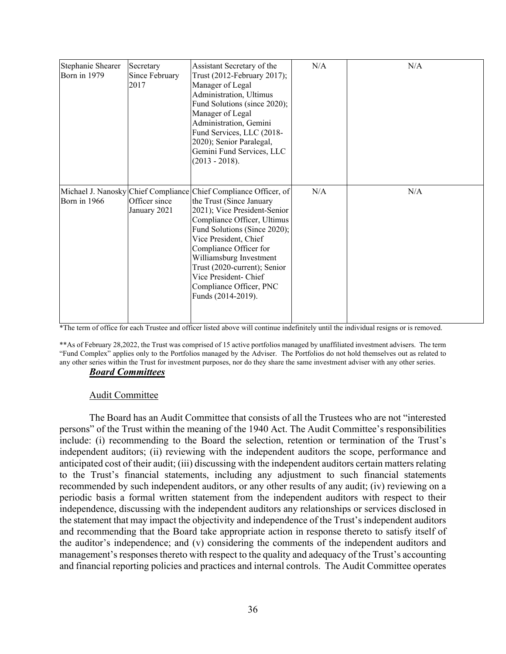| Stephanie Shearer<br>Born in 1979 | Secretary<br>Since February<br>2017 | Assistant Secretary of the<br>Trust (2012-February 2017);<br>Manager of Legal<br>Administration, Ultimus<br>Fund Solutions (since 2020);<br>Manager of Legal<br>Administration, Gemini<br>Fund Services, LLC (2018-<br>2020); Senior Paralegal,<br>Gemini Fund Services, LLC<br>$(2013 - 2018).$                                                                                    | N/A | N/A |
|-----------------------------------|-------------------------------------|-------------------------------------------------------------------------------------------------------------------------------------------------------------------------------------------------------------------------------------------------------------------------------------------------------------------------------------------------------------------------------------|-----|-----|
| Born in 1966                      | Officer since<br>January 2021       | Michael J. Nanosky Chief Compliance Chief Compliance Officer, of<br>the Trust (Since January<br>2021); Vice President-Senior<br>Compliance Officer, Ultimus<br>Fund Solutions (Since 2020);<br>Vice President, Chief<br>Compliance Officer for<br>Williamsburg Investment<br>Trust (2020-current); Senior<br>Vice President- Chief<br>Compliance Officer, PNC<br>Funds (2014-2019). | N/A | N/A |

\*The term of office for each Trustee and officer listed above will continue indefinitely until the individual resigns or is removed.

\*\*As of February 28,2022, the Trust was comprised of 15 active portfolios managed by unaffiliated investment advisers. The term "Fund Complex" applies only to the Portfolios managed by the Adviser. The Portfolios do not hold themselves out as related to any other series within the Trust for investment purposes, nor do they share the same investment adviser with any other series.

#### *Board Committees*

#### Audit Committee

The Board has an Audit Committee that consists of all the Trustees who are not "interested persons" of the Trust within the meaning of the 1940 Act. The Audit Committee's responsibilities include: (i) recommending to the Board the selection, retention or termination of the Trust's independent auditors; (ii) reviewing with the independent auditors the scope, performance and anticipated cost of their audit; (iii) discussing with the independent auditors certain matters relating to the Trust's financial statements, including any adjustment to such financial statements recommended by such independent auditors, or any other results of any audit; (iv) reviewing on a periodic basis a formal written statement from the independent auditors with respect to their independence, discussing with the independent auditors any relationships or services disclosed in the statement that may impact the objectivity and independence of the Trust's independent auditors and recommending that the Board take appropriate action in response thereto to satisfy itself of the auditor's independence; and (v) considering the comments of the independent auditors and management's responses thereto with respect to the quality and adequacy of the Trust's accounting and financial reporting policies and practices and internal controls. The Audit Committee operates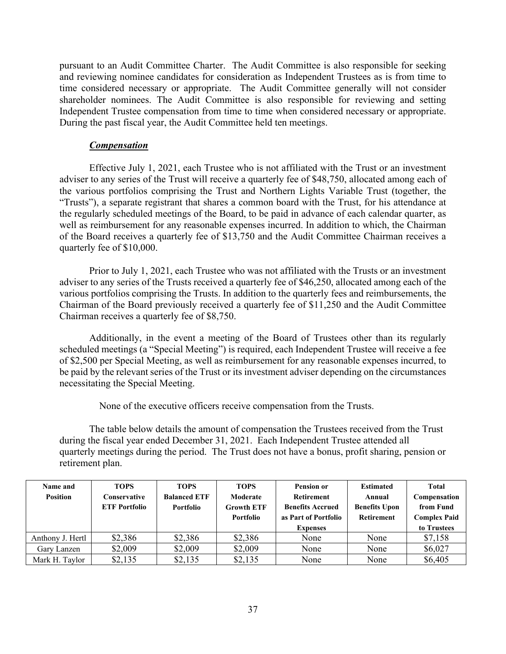pursuant to an Audit Committee Charter. The Audit Committee is also responsible for seeking and reviewing nominee candidates for consideration as Independent Trustees as is from time to time considered necessary or appropriate. The Audit Committee generally will not consider shareholder nominees. The Audit Committee is also responsible for reviewing and setting Independent Trustee compensation from time to time when considered necessary or appropriate. During the past fiscal year, the Audit Committee held ten meetings.

#### *Compensation*

Effective July 1, 2021, each Trustee who is not affiliated with the Trust or an investment adviser to any series of the Trust will receive a quarterly fee of \$48,750, allocated among each of the various portfolios comprising the Trust and Northern Lights Variable Trust (together, the "Trusts"), a separate registrant that shares a common board with the Trust, for his attendance at the regularly scheduled meetings of the Board, to be paid in advance of each calendar quarter, as well as reimbursement for any reasonable expenses incurred. In addition to which, the Chairman of the Board receives a quarterly fee of \$13,750 and the Audit Committee Chairman receives a quarterly fee of \$10,000.

Prior to July 1, 2021, each Trustee who was not affiliated with the Trusts or an investment adviser to any series of the Trusts received a quarterly fee of \$46,250, allocated among each of the various portfolios comprising the Trusts. In addition to the quarterly fees and reimbursements, the Chairman of the Board previously received a quarterly fee of \$11,250 and the Audit Committee Chairman receives a quarterly fee of \$8,750.

Additionally, in the event a meeting of the Board of Trustees other than its regularly scheduled meetings (a "Special Meeting") is required, each Independent Trustee will receive a fee of \$2,500 per Special Meeting, as well as reimbursement for any reasonable expenses incurred, to be paid by the relevant series of the Trust or its investment adviser depending on the circumstances necessitating the Special Meeting.

None of the executive officers receive compensation from the Trusts.

The table below details the amount of compensation the Trustees received from the Trust during the fiscal year ended December 31, 2021. Each Independent Trustee attended all quarterly meetings during the period. The Trust does not have a bonus, profit sharing, pension or retirement plan.

| Name and         | <b>TOPS</b>          | <b>TOPS</b>         | <b>TOPS</b>       | <b>Pension or</b>       | <b>Estimated</b>     | Total               |
|------------------|----------------------|---------------------|-------------------|-------------------------|----------------------|---------------------|
| <b>Position</b>  | Conservative         | <b>Balanced ETF</b> | Moderate          | <b>Retirement</b>       | Annual               | Compensation        |
|                  | <b>ETF Portfolio</b> | Portfolio           | <b>Growth ETF</b> | <b>Benefits Accrued</b> | <b>Benefits Upon</b> | from Fund           |
|                  |                      |                     | <b>Portfolio</b>  | as Part of Portfolio    | <b>Retirement</b>    | <b>Complex Paid</b> |
|                  |                      |                     |                   | <b>Expenses</b>         |                      | to Trustees         |
| Anthony J. Hertl | \$2,386              | \$2,386             | \$2,386           | None                    | None                 | \$7,158             |
| Gary Lanzen      | \$2,009              | \$2,009             | \$2,009           | None                    | None                 | \$6,027             |
| Mark H. Taylor   | \$2,135              | \$2,135             | \$2,135           | None                    | None                 | \$6,405             |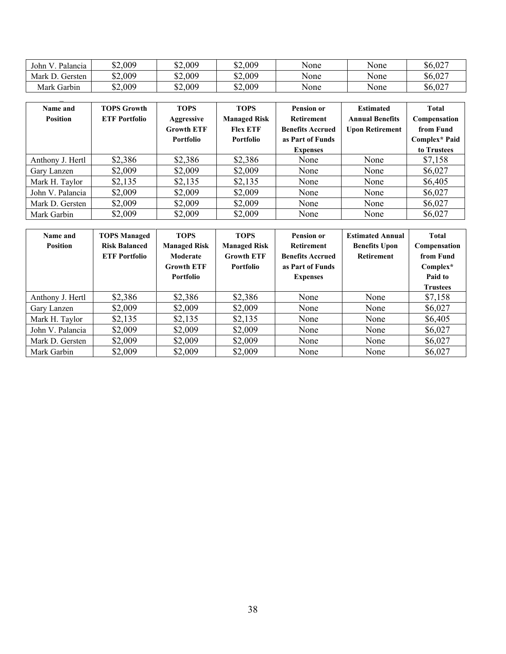| John V<br>Palancia | \$2,009 | \$2,009 | \$2,009 | None | None | \$6,027   |
|--------------------|---------|---------|---------|------|------|-----------|
| Mark D. Gersten    | \$2,009 | \$2,009 | \$2,009 | None | None | $$6,02^-$ |
| Mark Garbin        | \$2,009 | \$2,009 | \$2,009 | None | None | \$6,027   |

| Name and<br><b>Position</b> | <b>TOPS Growth</b><br><b>ETF Portfolio</b> | <b>TOPS</b><br>Aggressive<br><b>Growth ETF</b><br><b>Portfolio</b> | <b>TOPS</b><br><b>Managed Risk</b><br><b>Flex ETF</b><br><b>Portfolio</b> | <b>Pension or</b><br><b>Retirement</b><br><b>Benefits Accrued</b><br>as Part of Funds<br><b>Expenses</b> | <b>Estimated</b><br><b>Annual Benefits</b><br><b>Upon Retirement</b> | Total<br>Compensation<br>from Fund<br>Complex* Paid<br>to Trustees |
|-----------------------------|--------------------------------------------|--------------------------------------------------------------------|---------------------------------------------------------------------------|----------------------------------------------------------------------------------------------------------|----------------------------------------------------------------------|--------------------------------------------------------------------|
| Anthony J. Hertl            | \$2,386                                    | \$2,386                                                            | \$2,386                                                                   | None                                                                                                     | None                                                                 | \$7,158                                                            |
| Gary Lanzen                 | \$2,009                                    | \$2,009                                                            | \$2,009                                                                   | None                                                                                                     | None                                                                 | \$6,027                                                            |
| Mark H. Taylor              | \$2,135                                    | \$2,135                                                            | \$2,135                                                                   | None                                                                                                     | None                                                                 | \$6,405                                                            |
| John V. Palancia            | \$2,009                                    | \$2,009                                                            | \$2,009                                                                   | None                                                                                                     | None                                                                 | \$6,027                                                            |
| Mark D. Gersten             | \$2,009                                    | \$2,009                                                            | \$2,009                                                                   | None                                                                                                     | None                                                                 | \$6,027                                                            |
| Mark Garbin                 | \$2,009                                    | \$2,009                                                            | \$2,009                                                                   | None                                                                                                     | None                                                                 | \$6,027                                                            |

| Name and         | <b>TOPS Managed</b>  | <b>TOPS</b>         | <b>TOPS</b>         | <b>Pension or</b>       | <b>Estimated Annual</b> | <b>Total</b>    |
|------------------|----------------------|---------------------|---------------------|-------------------------|-------------------------|-----------------|
| <b>Position</b>  | <b>Risk Balanced</b> | <b>Managed Risk</b> | <b>Managed Risk</b> | <b>Retirement</b>       | <b>Benefits Upon</b>    | Compensation    |
|                  | <b>ETF Portfolio</b> | Moderate            | <b>Growth ETF</b>   | <b>Benefits Accrued</b> | <b>Retirement</b>       | from Fund       |
|                  |                      | <b>Growth ETF</b>   | Portfolio           | as Part of Funds        |                         | Complex*        |
|                  |                      | <b>Portfolio</b>    |                     | <b>Expenses</b>         |                         | Paid to         |
|                  |                      |                     |                     |                         |                         | <b>Trustees</b> |
| Anthony J. Hertl | \$2,386              | \$2,386             | \$2,386             | None                    | None                    | \$7,158         |
| Gary Lanzen      | \$2,009              | \$2,009             | \$2,009             | None                    | None                    | \$6,027         |
| Mark H. Taylor   | \$2,135              | \$2,135             | \$2,135             | None                    | None                    | \$6,405         |
| John V. Palancia | \$2,009              | \$2,009             | \$2,009             | None                    | None                    | \$6,027         |
| Mark D. Gersten  | \$2,009              | \$2,009             | \$2,009             | None                    | None                    | \$6,027         |
| Mark Garbin      | \$2,009              | \$2,009             | \$2,009             | None                    | None                    | \$6,027         |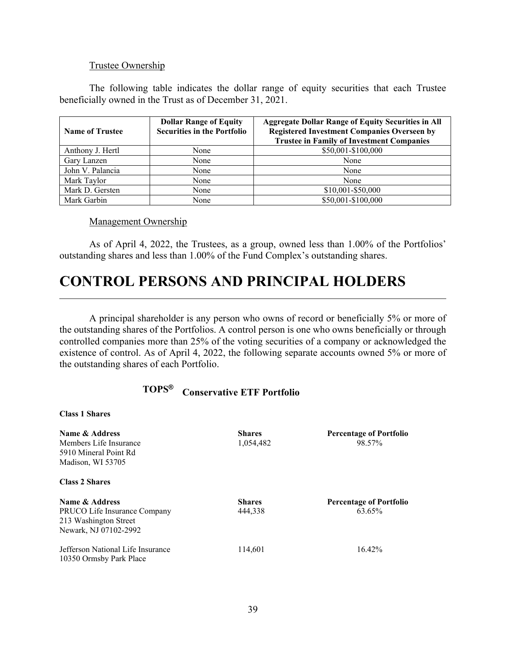#### Trustee Ownership

The following table indicates the dollar range of equity securities that each Trustee beneficially owned in the Trust as of December 31, 2021.

| <b>Name of Trustee</b> | <b>Dollar Range of Equity</b><br><b>Securities in the Portfolio</b> | <b>Aggregate Dollar Range of Equity Securities in All</b><br><b>Registered Investment Companies Overseen by</b><br><b>Trustee in Family of Investment Companies</b> |
|------------------------|---------------------------------------------------------------------|---------------------------------------------------------------------------------------------------------------------------------------------------------------------|
| Anthony J. Hertl       | None                                                                | \$50,001-\$100,000                                                                                                                                                  |
| Gary Lanzen            | None                                                                | None                                                                                                                                                                |
| John V. Palancia       | None                                                                | None                                                                                                                                                                |
| Mark Taylor            | None                                                                | None                                                                                                                                                                |
| Mark D. Gersten        | None                                                                | \$10,001-\$50,000                                                                                                                                                   |
| Mark Garbin            | None                                                                | \$50,001-\$100,000                                                                                                                                                  |

#### Management Ownership

As of April 4, 2022, the Trustees, as a group, owned less than 1.00% of the Portfolios' outstanding shares and less than 1.00% of the Fund Complex's outstanding shares.

# **CONTROL PERSONS AND PRINCIPAL HOLDERS**

A principal shareholder is any person who owns of record or beneficially 5% or more of the outstanding shares of the Portfolios. A control person is one who owns beneficially or through controlled companies more than 25% of the voting securities of a company or acknowledged the existence of control. As of April 4, 2022, the following separate accounts owned 5% or more of the outstanding shares of each Portfolio.

# **TOPS® Conservative ETF Portfolio**

**Class 1 Shares**

| Name & Address<br>Members Life Insurance<br>5910 Mineral Point Rd<br>Madison, WI 53705<br><b>Class 2 Shares</b> | <b>Shares</b><br>1,054,482 | <b>Percentage of Portfolio</b><br>98.57% |
|-----------------------------------------------------------------------------------------------------------------|----------------------------|------------------------------------------|
| Name & Address<br>PRUCO Life Insurance Company<br>213 Washington Street<br>Newark, NJ 07102-2992                | <b>Shares</b><br>444.338   | <b>Percentage of Portfolio</b><br>63.65% |
| Jefferson National Life Insurance<br>10350 Ormsby Park Place                                                    | 114,601                    | 16.42%                                   |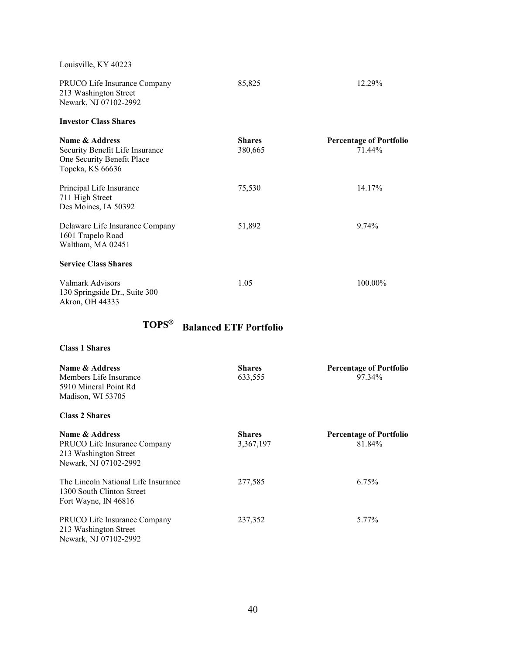| Louisville, KY 40223                                                                                |                               |                                          |
|-----------------------------------------------------------------------------------------------------|-------------------------------|------------------------------------------|
| PRUCO Life Insurance Company<br>213 Washington Street<br>Newark, NJ 07102-2992                      | 85,825                        | 12.29%                                   |
| <b>Investor Class Shares</b>                                                                        |                               |                                          |
| Name & Address<br>Security Benefit Life Insurance<br>One Security Benefit Place<br>Topeka, KS 66636 | <b>Shares</b><br>380,665      | <b>Percentage of Portfolio</b><br>71.44% |
| Principal Life Insurance<br>711 High Street<br>Des Moines, IA 50392                                 | 75,530                        | 14.17%                                   |
| Delaware Life Insurance Company<br>1601 Trapelo Road<br>Waltham, MA 02451                           | 51,892                        | 9.74%                                    |
| <b>Service Class Shares</b>                                                                         |                               |                                          |
| Valmark Advisors<br>130 Springside Dr., Suite 300<br>Akron, OH 44333                                | 1.05                          | 100.00%                                  |
| <b>TOPS®</b>                                                                                        | <b>Balanced ETF Portfolio</b> |                                          |
| <b>Class 1 Shares</b>                                                                               |                               |                                          |
| Name & Address<br>Members Life Insurance<br>5910 Mineral Point Rd<br>Madison, WI 53705              | <b>Shares</b><br>633,555      | <b>Percentage of Portfolio</b><br>97.34% |
| <b>Class 2 Shares</b>                                                                               |                               |                                          |
| Name & Address<br>PRUCO Life Insurance Company<br>213 Washington Street<br>Newark, NJ 07102-2992    | <b>Shares</b><br>3,367,197    | <b>Percentage of Portfolio</b><br>81.84% |
| The Lincoln National Life Insurance<br>1300 South Clinton Street<br>Fort Wayne, IN 46816            | 277,585                       | 6.75%                                    |
| PRUCO Life Insurance Company<br>213 Washington Street<br>Newark, NJ 07102-2992                      | 237,352                       | 5.77%                                    |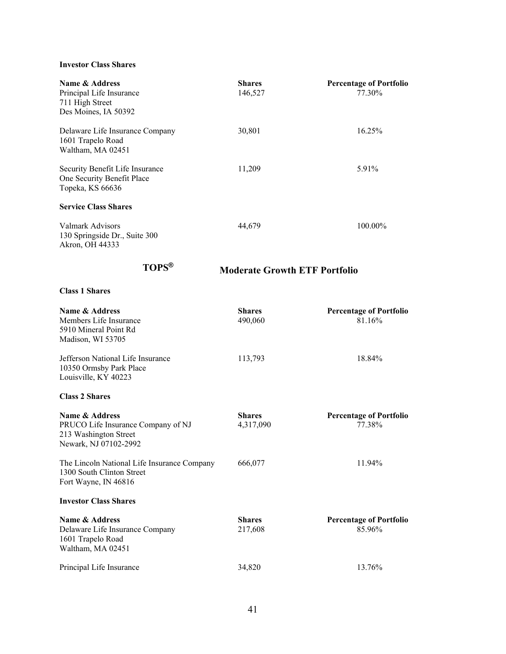#### **Investor Class Shares**

| Name & Address<br>Principal Life Insurance<br>711 High Street<br>Des Moines, IA 50392                             | <b>Shares</b><br>146,527             | <b>Percentage of Portfolio</b><br>77.30% |
|-------------------------------------------------------------------------------------------------------------------|--------------------------------------|------------------------------------------|
| Delaware Life Insurance Company<br>1601 Trapelo Road<br>Waltham, MA 02451                                         | 30,801                               | 16.25%                                   |
| Security Benefit Life Insurance<br>One Security Benefit Place<br>Topeka, KS 66636                                 | 11,209                               | 5.91%                                    |
| <b>Service Class Shares</b>                                                                                       |                                      |                                          |
| Valmark Advisors<br>130 Springside Dr., Suite 300<br>Akron, OH 44333                                              | 44,679                               | 100.00%                                  |
| <b>TOPS®</b>                                                                                                      | <b>Moderate Growth ETF Portfolio</b> |                                          |
| <b>Class 1 Shares</b>                                                                                             |                                      |                                          |
| Name & Address<br>Members Life Insurance<br>5910 Mineral Point Rd<br>Madison, WI 53705                            | <b>Shares</b><br>490,060             | <b>Percentage of Portfolio</b><br>81.16% |
| Jefferson National Life Insurance<br>10350 Ormsby Park Place<br>Louisville, KY 40223                              | 113,793                              | 18.84%                                   |
| <b>Class 2 Shares</b>                                                                                             |                                      |                                          |
| <b>Name &amp; Address</b><br>PRUCO Life Insurance Company of NJ<br>213 Washington Street<br>Newark, NJ 07102-2992 | <b>Shares</b><br>4,317,090           | <b>Percentage of Portfolio</b><br>77.38% |
| The Lincoln National Life Insurance Company<br>1300 South Clinton Street<br>Fort Wayne, IN 46816                  | 666,077                              | 11.94%                                   |
| <b>Investor Class Shares</b>                                                                                      |                                      |                                          |
| Name & Address<br>Delaware Life Insurance Company<br>1601 Trapelo Road<br>Waltham, MA 02451                       | <b>Shares</b><br>217,608             | <b>Percentage of Portfolio</b><br>85.96% |
| Principal Life Insurance                                                                                          | 34,820                               | 13.76%                                   |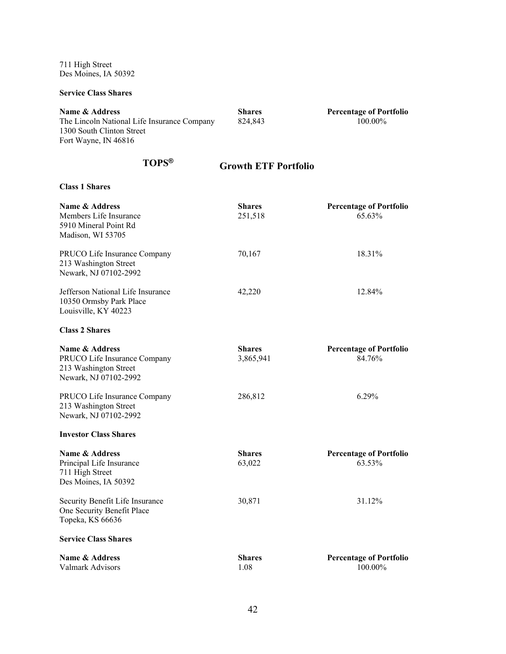711 High Street Des Moines, IA 50392

#### **Service Class Shares**

| Name & Address<br>The Lincoln National Life Insurance Company<br>1300 South Clinton Street<br>Fort Wayne, IN 46816 | <b>Shares</b><br>824,843    | <b>Percentage of Portfolio</b><br>100.00% |
|--------------------------------------------------------------------------------------------------------------------|-----------------------------|-------------------------------------------|
| <b>TOPS®</b>                                                                                                       | <b>Growth ETF Portfolio</b> |                                           |
| <b>Class 1 Shares</b>                                                                                              |                             |                                           |
| Name & Address<br>Members Life Insurance<br>5910 Mineral Point Rd<br>Madison, WI 53705                             | <b>Shares</b><br>251,518    | <b>Percentage of Portfolio</b><br>65.63%  |
| PRUCO Life Insurance Company<br>213 Washington Street<br>Newark, NJ 07102-2992                                     | 70,167                      | 18.31%                                    |
| Jefferson National Life Insurance<br>10350 Ormsby Park Place<br>Louisville, KY 40223                               | 42,220                      | 12.84%                                    |
| <b>Class 2 Shares</b>                                                                                              |                             |                                           |
| Name & Address<br>PRUCO Life Insurance Company<br>213 Washington Street<br>Newark, NJ 07102-2992                   | <b>Shares</b><br>3,865,941  | <b>Percentage of Portfolio</b><br>84.76%  |
| PRUCO Life Insurance Company<br>213 Washington Street<br>Newark, NJ 07102-2992                                     | 286,812                     | 6.29%                                     |
| <b>Investor Class Shares</b>                                                                                       |                             |                                           |
| <b>Name &amp; Address</b><br>Principal Life Insurance<br>711 High Street<br>Des Moines, IA 50392                   | <b>Shares</b><br>63,022     | <b>Percentage of Portfolio</b><br>63.53%  |
| Security Benefit Life Insurance<br>One Security Benefit Place<br>Topeka, KS 66636                                  | 30,871                      | 31.12%                                    |
| <b>Service Class Shares</b>                                                                                        |                             |                                           |
| Name & Address<br>Valmark Advisors                                                                                 | <b>Shares</b><br>1.08       | <b>Percentage of Portfolio</b><br>100.00% |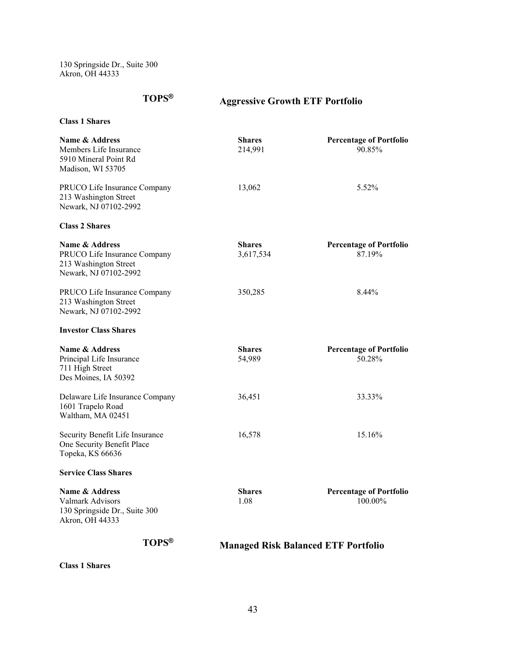130 Springside Dr., Suite 300 Akron, OH 44333

# **TOPS® Aggressive Growth ETF Portfolio**

**Class 1 Shares**

| Name & Address<br>Members Life Insurance<br>5910 Mineral Point Rd<br>Madison, WI 53705           | <b>Shares</b><br>214,991   | <b>Percentage of Portfolio</b><br>90.85%   |
|--------------------------------------------------------------------------------------------------|----------------------------|--------------------------------------------|
| PRUCO Life Insurance Company<br>213 Washington Street<br>Newark, NJ 07102-2992                   | 13,062                     | 5.52%                                      |
| <b>Class 2 Shares</b>                                                                            |                            |                                            |
| Name & Address<br>PRUCO Life Insurance Company<br>213 Washington Street<br>Newark, NJ 07102-2992 | <b>Shares</b><br>3,617,534 | <b>Percentage of Portfolio</b><br>87.19%   |
| PRUCO Life Insurance Company<br>213 Washington Street<br>Newark, NJ 07102-2992                   | 350,285                    | $8.44\%$                                   |
| <b>Investor Class Shares</b>                                                                     |                            |                                            |
| Name & Address<br>Principal Life Insurance<br>711 High Street<br>Des Moines, IA 50392            | <b>Shares</b><br>54,989    | <b>Percentage of Portfolio</b><br>50.28%   |
| Delaware Life Insurance Company<br>1601 Trapelo Road<br>Waltham, MA 02451                        | 36,451                     | 33.33%                                     |
| Security Benefit Life Insurance<br>One Security Benefit Place<br>Topeka, KS 66636                | 16,578                     | 15.16%                                     |
| <b>Service Class Shares</b>                                                                      |                            |                                            |
| Name & Address<br>Valmark Advisors<br>130 Springside Dr., Suite 300<br>Akron, OH 44333           | <b>Shares</b><br>1.08      | <b>Percentage of Portfolio</b><br>100.00%  |
| <b>TOPS®</b>                                                                                     |                            | <b>Managed Risk Balanced ETF Portfolio</b> |

**Class 1 Shares**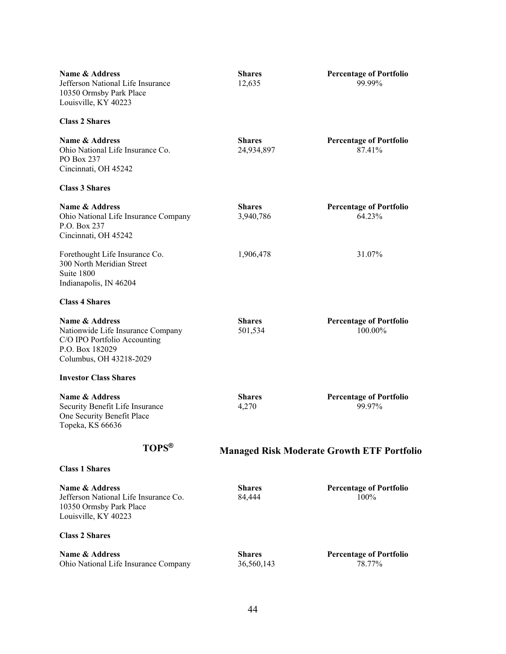| Name & Address<br>Jefferson National Life Insurance<br>10350 Ormsby Park Place<br>Louisville, KY 40223                            | <b>Shares</b><br>12,635     | <b>Percentage of Portfolio</b><br>99.99%          |
|-----------------------------------------------------------------------------------------------------------------------------------|-----------------------------|---------------------------------------------------|
| <b>Class 2 Shares</b>                                                                                                             |                             |                                                   |
| <b>Name &amp; Address</b><br>Ohio National Life Insurance Co.<br>PO Box 237<br>Cincinnati, OH 45242                               | <b>Shares</b><br>24,934,897 | <b>Percentage of Portfolio</b><br>87.41%          |
| <b>Class 3 Shares</b>                                                                                                             |                             |                                                   |
| Name & Address<br>Ohio National Life Insurance Company<br>P.O. Box 237<br>Cincinnati, OH 45242                                    | <b>Shares</b><br>3,940,786  | <b>Percentage of Portfolio</b><br>64.23%          |
| Forethought Life Insurance Co.<br>300 North Meridian Street<br>Suite 1800<br>Indianapolis, IN 46204                               | 1,906,478                   | 31.07%                                            |
| <b>Class 4 Shares</b>                                                                                                             |                             |                                                   |
| Name & Address<br>Nationwide Life Insurance Company<br>C/O IPO Portfolio Accounting<br>P.O. Box 182029<br>Columbus, OH 43218-2029 | <b>Shares</b><br>501,534    | <b>Percentage of Portfolio</b><br>100.00%         |
| <b>Investor Class Shares</b>                                                                                                      |                             |                                                   |
| Name & Address<br>Security Benefit Life Insurance<br>One Security Benefit Place<br>Topeka, KS 66636                               | <b>Shares</b><br>4,270      | <b>Percentage of Portfolio</b><br>99.97%          |
| <b>TOPS®</b>                                                                                                                      |                             | <b>Managed Risk Moderate Growth ETF Portfolio</b> |
| <b>Class 1 Shares</b>                                                                                                             |                             |                                                   |
| <b>Name &amp; Address</b><br>Jefferson National Life Insurance Co.<br>10350 Ormsby Park Place<br>Louisville, KY 40223             | <b>Shares</b><br>84,444     | <b>Percentage of Portfolio</b><br>100%            |
| <b>Class 2 Shares</b>                                                                                                             |                             |                                                   |
| Name & Address<br>Ohio National Life Insurance Company                                                                            | <b>Shares</b><br>36,560,143 | <b>Percentage of Portfolio</b><br>78.77%          |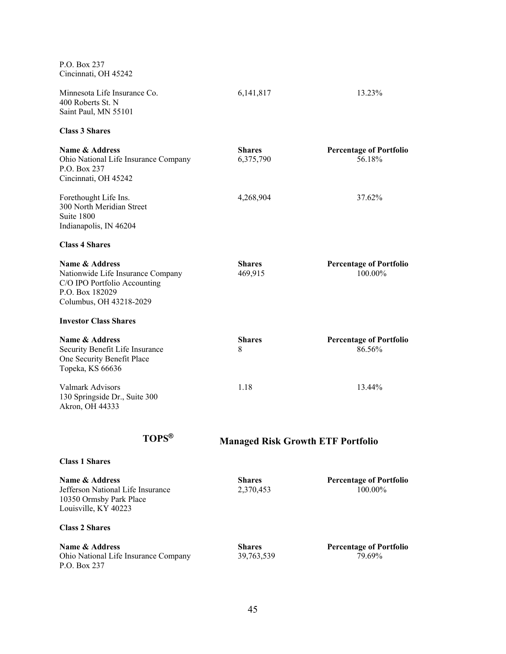| P.O. Box 237<br>Cincinnati, OH 45242                                                                                              |                                          |                                           |
|-----------------------------------------------------------------------------------------------------------------------------------|------------------------------------------|-------------------------------------------|
| Minnesota Life Insurance Co.<br>400 Roberts St. N<br>Saint Paul, MN 55101                                                         | 6,141,817                                | 13.23%                                    |
| <b>Class 3 Shares</b>                                                                                                             |                                          |                                           |
| <b>Name &amp; Address</b><br>Ohio National Life Insurance Company<br>P.O. Box 237<br>Cincinnati, OH 45242                         | <b>Shares</b><br>6,375,790               | <b>Percentage of Portfolio</b><br>56.18%  |
| Forethought Life Ins.<br>300 North Meridian Street<br>Suite 1800<br>Indianapolis, IN 46204                                        | 4,268,904                                | 37.62%                                    |
| <b>Class 4 Shares</b>                                                                                                             |                                          |                                           |
| Name & Address<br>Nationwide Life Insurance Company<br>C/O IPO Portfolio Accounting<br>P.O. Box 182029<br>Columbus, OH 43218-2029 | <b>Shares</b><br>469,915                 | <b>Percentage of Portfolio</b><br>100.00% |
| <b>Investor Class Shares</b>                                                                                                      |                                          |                                           |
| Name & Address<br>Security Benefit Life Insurance<br>One Security Benefit Place<br>Topeka, KS 66636                               | <b>Shares</b><br>8                       | <b>Percentage of Portfolio</b><br>86.56%  |
| Valmark Advisors<br>130 Springside Dr., Suite 300<br>Akron, OH 44333                                                              | 1.18                                     | 13.44%                                    |
| <b>TOPS®</b>                                                                                                                      | <b>Managed Risk Growth ETF Portfolio</b> |                                           |
| <b>Class 1 Shares</b>                                                                                                             |                                          |                                           |
| Name & Address<br>Jefferson National Life Insurance<br>10350 Ormsby Park Place<br>Louisville, KY 40223                            | <b>Shares</b><br>2,370,453               | <b>Percentage of Portfolio</b><br>100.00% |
| <b>Class 2 Shares</b>                                                                                                             |                                          |                                           |
| <b>Name &amp; Address</b><br>Ohio National Life Insurance Company<br>P.O. Box 237                                                 | <b>Shares</b><br>39,763,539              | <b>Percentage of Portfolio</b><br>79.69%  |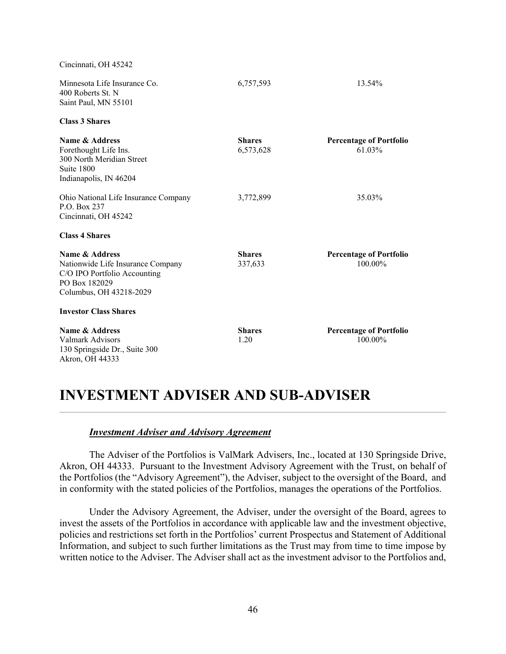| Cincinnati, OH 45242                                                                                                            |                            |                                           |
|---------------------------------------------------------------------------------------------------------------------------------|----------------------------|-------------------------------------------|
| Minnesota Life Insurance Co.<br>400 Roberts St. N<br>Saint Paul, MN 55101                                                       | 6,757,593                  | 13.54%                                    |
| <b>Class 3 Shares</b>                                                                                                           |                            |                                           |
| Name & Address<br>Forethought Life Ins.<br>300 North Meridian Street<br>Suite 1800<br>Indianapolis, IN 46204                    | <b>Shares</b><br>6,573,628 | <b>Percentage of Portfolio</b><br>61.03%  |
| Ohio National Life Insurance Company<br>P.O. Box 237<br>Cincinnati, OH 45242                                                    | 3,772,899                  | 35.03%                                    |
| <b>Class 4 Shares</b>                                                                                                           |                            |                                           |
| Name & Address<br>Nationwide Life Insurance Company<br>C/O IPO Portfolio Accounting<br>PO Box 182029<br>Columbus, OH 43218-2029 | <b>Shares</b><br>337,633   | <b>Percentage of Portfolio</b><br>100.00% |
| <b>Investor Class Shares</b>                                                                                                    |                            |                                           |
| Name & Address<br>Valmark Advisors<br>130 Springside Dr., Suite 300<br>Akron, OH 44333                                          | <b>Shares</b><br>1.20      | <b>Percentage of Portfolio</b><br>100.00% |

### **INVESTMENT ADVISER AND SUB-ADVISER**

#### *Investment Adviser and Advisory Agreement*

The Adviser of the Portfolios is ValMark Advisers, Inc., located at 130 Springside Drive, Akron, OH 44333. Pursuant to the Investment Advisory Agreement with the Trust, on behalf of the Portfolios (the "Advisory Agreement"), the Adviser, subject to the oversight of the Board, and in conformity with the stated policies of the Portfolios, manages the operations of the Portfolios.

Under the Advisory Agreement, the Adviser, under the oversight of the Board, agrees to invest the assets of the Portfolios in accordance with applicable law and the investment objective, policies and restrictions set forth in the Portfolios' current Prospectus and Statement of Additional Information, and subject to such further limitations as the Trust may from time to time impose by written notice to the Adviser. The Adviser shall act as the investment advisor to the Portfolios and,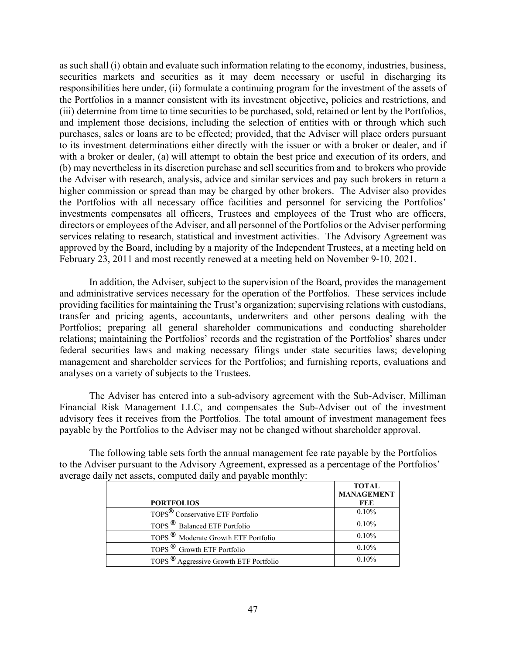as such shall (i) obtain and evaluate such information relating to the economy, industries, business, securities markets and securities as it may deem necessary or useful in discharging its responsibilities here under, (ii) formulate a continuing program for the investment of the assets of the Portfolios in a manner consistent with its investment objective, policies and restrictions, and (iii) determine from time to time securities to be purchased, sold, retained or lent by the Portfolios, and implement those decisions, including the selection of entities with or through which such purchases, sales or loans are to be effected; provided, that the Adviser will place orders pursuant to its investment determinations either directly with the issuer or with a broker or dealer, and if with a broker or dealer, (a) will attempt to obtain the best price and execution of its orders, and (b) may nevertheless in its discretion purchase and sell securities from and to brokers who provide the Adviser with research, analysis, advice and similar services and pay such brokers in return a higher commission or spread than may be charged by other brokers. The Adviser also provides the Portfolios with all necessary office facilities and personnel for servicing the Portfolios' investments compensates all officers, Trustees and employees of the Trust who are officers, directors or employees of the Adviser, and all personnel of the Portfolios or the Adviser performing services relating to research, statistical and investment activities. The Advisory Agreement was approved by the Board, including by a majority of the Independent Trustees, at a meeting held on February 23, 2011 and most recently renewed at a meeting held on November 9-10, 2021.

In addition, the Adviser, subject to the supervision of the Board, provides the management and administrative services necessary for the operation of the Portfolios. These services include providing facilities for maintaining the Trust's organization; supervising relations with custodians, transfer and pricing agents, accountants, underwriters and other persons dealing with the Portfolios; preparing all general shareholder communications and conducting shareholder relations; maintaining the Portfolios' records and the registration of the Portfolios' shares under federal securities laws and making necessary filings under state securities laws; developing management and shareholder services for the Portfolios; and furnishing reports, evaluations and analyses on a variety of subjects to the Trustees.

The Adviser has entered into a sub-advisory agreement with the Sub-Adviser, Milliman Financial Risk Management LLC, and compensates the Sub-Adviser out of the investment advisory fees it receives from the Portfolios. The total amount of investment management fees payable by the Portfolios to the Adviser may not be changed without shareholder approval.

The following table sets forth the annual management fee rate payable by the Portfolios to the Adviser pursuant to the Advisory Agreement, expressed as a percentage of the Portfolios' average daily net assets, computed daily and payable monthly:

|                                                   | <b>TOTAL</b><br><b>MANAGEMENT</b> |
|---------------------------------------------------|-----------------------------------|
| <b>PORTFOLIOS</b>                                 | FEE                               |
| TOPS <sup>®</sup> Conservative ETF Portfolio      | 0.10%                             |
| TOPS <sup>®</sup> Balanced ETF Portfolio          | 0.10%                             |
| TOPS <sup>®</sup> Moderate Growth ETF Portfolio   | 0.10%                             |
| TOPS <sup>®</sup> Growth ETF Portfolio            | 0.10%                             |
| TOPS <sup>®</sup> Aggressive Growth ETF Portfolio | 0.10%                             |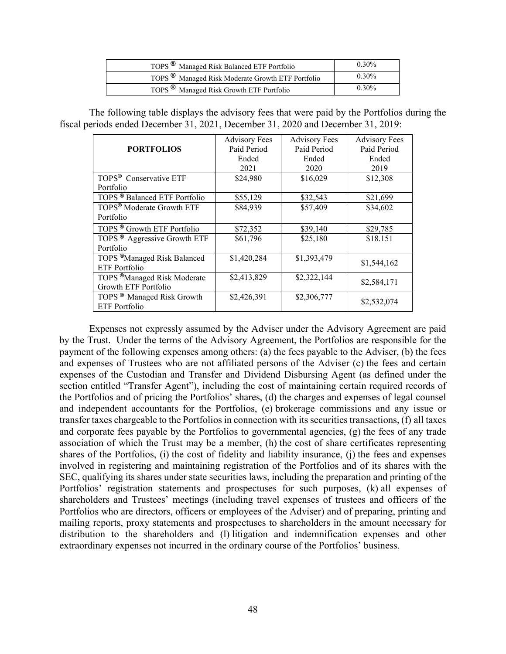| TOPS <sup>®</sup> Managed Risk Balanced ETF Portfolio        | $0.30\%$ |
|--------------------------------------------------------------|----------|
| TOPS <sup>®</sup> Managed Risk Moderate Growth ETF Portfolio | $0.30\%$ |
| TOPS <sup>®</sup> Managed Risk Growth ETF Portfolio          | $0.30\%$ |

The following table displays the advisory fees that were paid by the Portfolios during the fiscal periods ended December 31, 2021, December 31, 2020 and December 31, 2019:

|                                          | <b>Advisory Fees</b> | <b>Advisory Fees</b> | <b>Advisory Fees</b> |
|------------------------------------------|----------------------|----------------------|----------------------|
| <b>PORTFOLIOS</b>                        | Paid Period          | Paid Period          | Paid Period          |
|                                          | Ended                | Ended                | Ended                |
|                                          | 2021                 | 2020                 | 2019                 |
| TOPS <sup>®</sup> Conservative ETF       | \$24,980             | \$16,029             | \$12,308             |
| Portfolio                                |                      |                      |                      |
| TOPS <sup>®</sup> Balanced ETF Portfolio | \$55,129             | \$32,543             | \$21,699             |
| TOPS <sup>®</sup> Moderate Growth ETF    | \$84,939             | \$57,409             | \$34,602             |
| Portfolio                                |                      |                      |                      |
| TOPS <sup>®</sup> Growth ETF Portfolio   | \$72,352             | \$39,140             | \$29,785             |
| TOPS <sup>®</sup> Aggressive Growth ETF  | \$61,796             | \$25,180             | \$18.151             |
| Portfolio                                |                      |                      |                      |
| TOPS <sup>®</sup> Managed Risk Balanced  | \$1,420,284          | \$1,393,479          |                      |
| <b>ETF</b> Portfolio                     |                      |                      | \$1,544,162          |
| TOPS <sup>®</sup> Managed Risk Moderate  | \$2,413,829          | \$2,322,144          |                      |
| Growth ETF Portfolio                     |                      |                      | \$2,584,171          |
| TOPS <sup>®</sup> Managed Risk Growth    | \$2,426,391          | \$2,306,777          |                      |
| ETF Portfolio                            |                      |                      | \$2,532,074          |

Expenses not expressly assumed by the Adviser under the Advisory Agreement are paid by the Trust. Under the terms of the Advisory Agreement, the Portfolios are responsible for the payment of the following expenses among others: (a) the fees payable to the Adviser, (b) the fees and expenses of Trustees who are not affiliated persons of the Adviser (c) the fees and certain expenses of the Custodian and Transfer and Dividend Disbursing Agent (as defined under the section entitled "Transfer Agent"), including the cost of maintaining certain required records of the Portfolios and of pricing the Portfolios' shares, (d) the charges and expenses of legal counsel and independent accountants for the Portfolios, (e) brokerage commissions and any issue or transfer taxes chargeable to the Portfolios in connection with its securities transactions, (f) all taxes and corporate fees payable by the Portfolios to governmental agencies, (g) the fees of any trade association of which the Trust may be a member, (h) the cost of share certificates representing shares of the Portfolios, (i) the cost of fidelity and liability insurance, (j) the fees and expenses involved in registering and maintaining registration of the Portfolios and of its shares with the SEC, qualifying its shares under state securities laws, including the preparation and printing of the Portfolios' registration statements and prospectuses for such purposes, (k) all expenses of shareholders and Trustees' meetings (including travel expenses of trustees and officers of the Portfolios who are directors, officers or employees of the Adviser) and of preparing, printing and mailing reports, proxy statements and prospectuses to shareholders in the amount necessary for distribution to the shareholders and (l) litigation and indemnification expenses and other extraordinary expenses not incurred in the ordinary course of the Portfolios' business.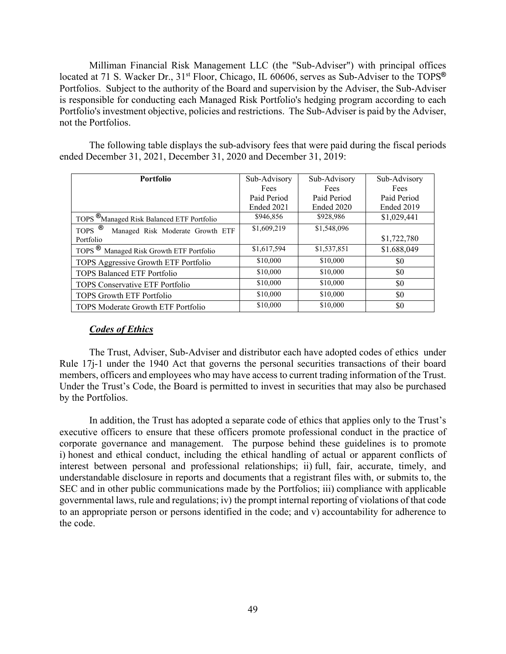Milliman Financial Risk Management LLC (the "Sub-Adviser") with principal offices located at 71 S. Wacker Dr., 31<sup>st</sup> Floor, Chicago, IL 60606, serves as Sub-Adviser to the TOPS<sup>®</sup> Portfolios. Subject to the authority of the Board and supervision by the Adviser, the Sub-Adviser is responsible for conducting each Managed Risk Portfolio's hedging program according to each Portfolio's investment objective, policies and restrictions. The Sub-Adviser is paid by the Adviser, not the Portfolios.

| <b>Portfolio</b>                                        | Sub-Advisory | Sub-Advisory | Sub-Advisory |
|---------------------------------------------------------|--------------|--------------|--------------|
|                                                         | Fees         | Fees         | Fees         |
|                                                         | Paid Period  | Paid Period  | Paid Period  |
|                                                         | Ended 2021   | Ended 2020   | Ended 2019   |
| TOPS <sup>®</sup> Managed Risk Balanced ETF Portfolio   | \$946,856    | \$928,986    | \$1,029,441  |
| TOPS $^{\circledR}$<br>Managed Risk Moderate Growth ETF | \$1,609,219  | \$1,548,096  |              |
| Portfolio                                               |              |              | \$1,722,780  |
| TOPS <sup>®</sup> Managed Risk Growth ETF Portfolio     | \$1,617,594  | \$1,537,851  | \$1.688,049  |
| TOPS Aggressive Growth ETF Portfolio                    | \$10,000     | \$10,000     | \$0          |
| <b>TOPS Balanced ETF Portfolio</b>                      | \$10,000     | \$10,000     | \$0          |
| TOPS Conservative ETF Portfolio                         | \$10,000     | \$10,000     | \$0          |
| <b>TOPS Growth ETF Portfolio</b>                        | \$10,000     | \$10,000     | \$0          |
| TOPS Moderate Growth ETF Portfolio                      | \$10,000     | \$10,000     | \$0          |

The following table displays the sub-advisory fees that were paid during the fiscal periods ended December 31, 2021, December 31, 2020 and December 31, 2019:

#### *Codes of Ethics*

The Trust, Adviser, Sub-Adviser and distributor each have adopted codes of ethics under Rule 17j-1 under the 1940 Act that governs the personal securities transactions of their board members, officers and employees who may have access to current trading information of the Trust. Under the Trust's Code, the Board is permitted to invest in securities that may also be purchased by the Portfolios.

In addition, the Trust has adopted a separate code of ethics that applies only to the Trust's executive officers to ensure that these officers promote professional conduct in the practice of corporate governance and management. The purpose behind these guidelines is to promote i) honest and ethical conduct, including the ethical handling of actual or apparent conflicts of interest between personal and professional relationships; ii) full, fair, accurate, timely, and understandable disclosure in reports and documents that a registrant files with, or submits to, the SEC and in other public communications made by the Portfolios; iii) compliance with applicable governmental laws, rule and regulations; iv) the prompt internal reporting of violations of that code to an appropriate person or persons identified in the code; and v) accountability for adherence to the code.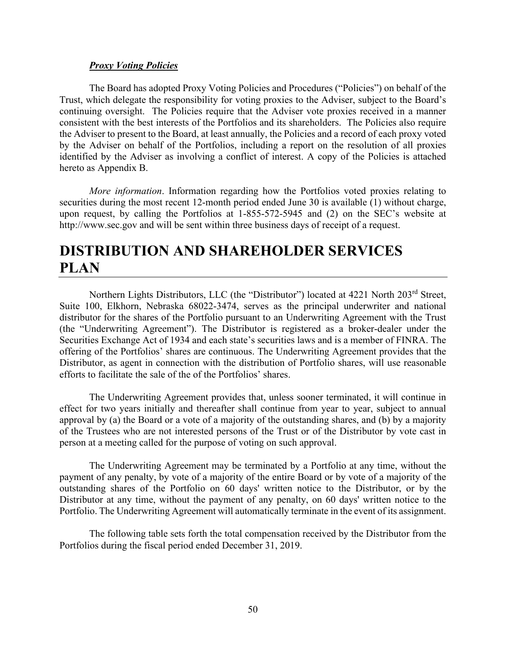#### *Proxy Voting Policies*

The Board has adopted Proxy Voting Policies and Procedures ("Policies") on behalf of the Trust, which delegate the responsibility for voting proxies to the Adviser, subject to the Board's continuing oversight. The Policies require that the Adviser vote proxies received in a manner consistent with the best interests of the Portfolios and its shareholders. The Policies also require the Adviser to present to the Board, at least annually, the Policies and a record of each proxy voted by the Adviser on behalf of the Portfolios, including a report on the resolution of all proxies identified by the Adviser as involving a conflict of interest. A copy of the Policies is attached hereto as Appendix B.

*More information*. Information regarding how the Portfolios voted proxies relating to securities during the most recent 12-month period ended June 30 is available (1) without charge, upon request, by calling the Portfolios at 1-855-572-5945 and (2) on the SEC's website at http://www.sec.gov and will be sent within three business days of receipt of a request.

### **DISTRIBUTION AND SHAREHOLDER SERVICES PLAN**

Northern Lights Distributors, LLC (the "Distributor") located at 4221 North 203<sup>rd</sup> Street, Suite 100, Elkhorn, Nebraska 68022-3474, serves as the principal underwriter and national distributor for the shares of the Portfolio pursuant to an Underwriting Agreement with the Trust (the "Underwriting Agreement"). The Distributor is registered as a broker-dealer under the Securities Exchange Act of 1934 and each state's securities laws and is a member of FINRA. The offering of the Portfolios' shares are continuous. The Underwriting Agreement provides that the Distributor, as agent in connection with the distribution of Portfolio shares, will use reasonable efforts to facilitate the sale of the of the Portfolios' shares.

The Underwriting Agreement provides that, unless sooner terminated, it will continue in effect for two years initially and thereafter shall continue from year to year, subject to annual approval by (a) the Board or a vote of a majority of the outstanding shares, and (b) by a majority of the Trustees who are not interested persons of the Trust or of the Distributor by vote cast in person at a meeting called for the purpose of voting on such approval.

The Underwriting Agreement may be terminated by a Portfolio at any time, without the payment of any penalty, by vote of a majority of the entire Board or by vote of a majority of the outstanding shares of the Portfolio on 60 days' written notice to the Distributor, or by the Distributor at any time, without the payment of any penalty, on 60 days' written notice to the Portfolio. The Underwriting Agreement will automatically terminate in the event of its assignment.

The following table sets forth the total compensation received by the Distributor from the Portfolios during the fiscal period ended December 31, 2019.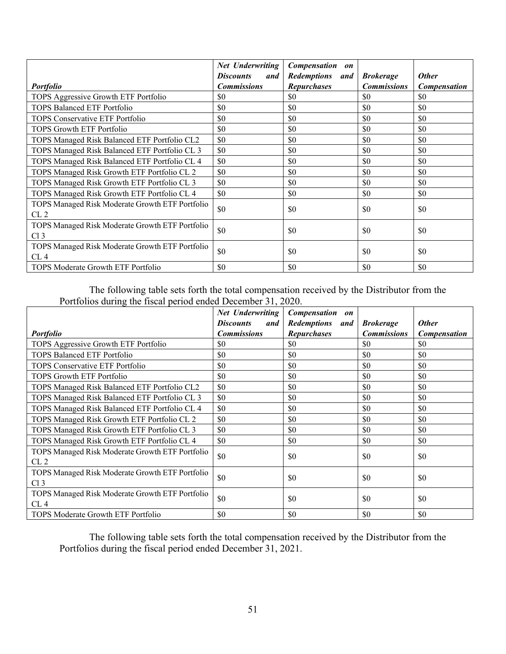|                                                 | <b>Net Underwriting</b> | <b>Compensation</b><br>on |                    |                     |
|-------------------------------------------------|-------------------------|---------------------------|--------------------|---------------------|
|                                                 | <i>Discounts</i><br>and | <b>Redemptions</b><br>and | <b>Brokerage</b>   | <b>Other</b>        |
| <b>Portfolio</b>                                | <b>Commissions</b>      | <b>Repurchases</b>        | <b>Commissions</b> | <b>Compensation</b> |
| TOPS Aggressive Growth ETF Portfolio            | \$0                     | \$0                       | \$0                | \$0                 |
| <b>TOPS Balanced ETF Portfolio</b>              | \$0                     | \$0                       | \$0                | \$0                 |
| <b>TOPS Conservative ETF Portfolio</b>          | \$0                     | \$0                       | \$0                | \$0                 |
| <b>TOPS Growth ETF Portfolio</b>                | \$0                     | \$0                       | \$0                | \$0                 |
| TOPS Managed Risk Balanced ETF Portfolio CL2    | \$0                     | \$0                       | \$0                | \$0                 |
| TOPS Managed Risk Balanced ETF Portfolio CL 3   | \$0                     | \$0                       | \$0                | \$0                 |
| TOPS Managed Risk Balanced ETF Portfolio CL 4   | \$0                     | \$0                       | \$0                | \$0                 |
| TOPS Managed Risk Growth ETF Portfolio CL 2     | \$0                     | \$0                       | \$0                | \$0                 |
| TOPS Managed Risk Growth ETF Portfolio CL 3     | \$0                     | \$0                       | \$0                | \$0                 |
| TOPS Managed Risk Growth ETF Portfolio CL 4     | \$0                     | \$0                       | \$0                | \$0                 |
| TOPS Managed Risk Moderate Growth ETF Portfolio | \$0                     | \$0                       | \$0                | \$0                 |
| CL2                                             |                         |                           |                    |                     |
| TOPS Managed Risk Moderate Growth ETF Portfolio | \$0                     | \$0                       | \$0                | \$0                 |
| Cl <sub>3</sub>                                 |                         |                           |                    |                     |
| TOPS Managed Risk Moderate Growth ETF Portfolio | \$0                     | \$0                       | \$0                | \$0                 |
| CL4                                             |                         |                           |                    |                     |
| TOPS Moderate Growth ETF Portfolio              | \$0                     | \$0                       | \$0                | \$0                 |

The following table sets forth the total compensation received by the Distributor from the Portfolios during the fiscal period ended December 31, 2020.

|                                                                    | <b>Net Underwriting</b> | <b>Compensation</b><br>on |                    |                     |
|--------------------------------------------------------------------|-------------------------|---------------------------|--------------------|---------------------|
|                                                                    | <b>Discounts</b><br>and | <b>Redemptions</b><br>and | <b>Brokerage</b>   | <b>Other</b>        |
| <b>Portfolio</b>                                                   | <b>Commissions</b>      | <b>Repurchases</b>        | <b>Commissions</b> | <b>Compensation</b> |
| TOPS Aggressive Growth ETF Portfolio                               | \$0                     | \$0                       | \$0                | \$0                 |
| <b>TOPS Balanced ETF Portfolio</b>                                 | \$0                     | \$0                       | \$0                | \$0                 |
| TOPS Conservative ETF Portfolio                                    | \$0                     | \$0                       | \$0                | \$0                 |
| <b>TOPS Growth ETF Portfolio</b>                                   | \$0                     | \$0                       | \$0                | \$0                 |
| TOPS Managed Risk Balanced ETF Portfolio CL2                       | \$0                     | \$0                       | \$0                | \$0                 |
| TOPS Managed Risk Balanced ETF Portfolio CL 3                      | \$0                     | \$0                       | \$0                | \$0                 |
| TOPS Managed Risk Balanced ETF Portfolio CL 4                      | \$0                     | \$0                       | \$0                | \$0                 |
| TOPS Managed Risk Growth ETF Portfolio CL 2                        | \$0                     | \$0                       | \$0                | \$0                 |
| TOPS Managed Risk Growth ETF Portfolio CL 3                        | \$0                     | \$0                       | \$0                | \$0                 |
| TOPS Managed Risk Growth ETF Portfolio CL 4                        | \$0                     | \$0                       | \$0                | \$0                 |
| TOPS Managed Risk Moderate Growth ETF Portfolio<br>CL <sub>2</sub> | \$0                     | \$0                       | \$0                | \$0                 |
| TOPS Managed Risk Moderate Growth ETF Portfolio<br>Cl <sub>3</sub> | \$0                     | \$0                       | \$0                | \$0                 |
| TOPS Managed Risk Moderate Growth ETF Portfolio<br>CL4             | \$0                     | \$0                       | \$0                | \$0                 |
| TOPS Moderate Growth ETF Portfolio                                 | \$0                     | \$0                       | \$0                | \$0                 |

The following table sets forth the total compensation received by the Distributor from the Portfolios during the fiscal period ended December 31, 2021.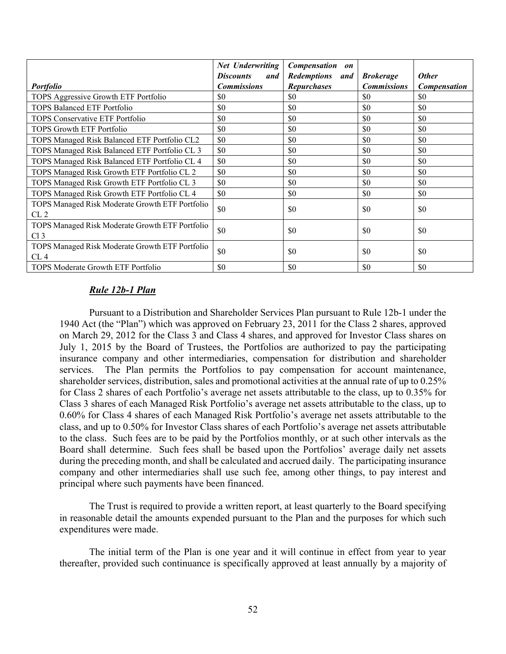|                                                                    | <b>Net Underwriting</b><br><b>Discounts</b><br>and | <b>Compensation</b><br>on<br><b>Redemptions</b><br>and | <b>Brokerage</b>   | <b>Other</b>        |
|--------------------------------------------------------------------|----------------------------------------------------|--------------------------------------------------------|--------------------|---------------------|
| <b>Portfolio</b>                                                   | <b>Commissions</b>                                 | <b>Repurchases</b>                                     | <b>Commissions</b> | <b>Compensation</b> |
| TOPS Aggressive Growth ETF Portfolio                               | \$0                                                | \$0                                                    | \$0                | \$0                 |
| <b>TOPS Balanced ETF Portfolio</b>                                 | \$0                                                | \$0                                                    | \$0                | \$0                 |
| TOPS Conservative ETF Portfolio                                    | \$0                                                | \$0                                                    | \$0                | \$0                 |
| <b>TOPS Growth ETF Portfolio</b>                                   | \$0                                                | \$0                                                    | \$0                | \$0                 |
| TOPS Managed Risk Balanced ETF Portfolio CL2                       | \$0                                                | \$0                                                    | \$0                | \$0                 |
| TOPS Managed Risk Balanced ETF Portfolio CL 3                      | \$0                                                | \$0                                                    | \$0                | \$0                 |
| TOPS Managed Risk Balanced ETF Portfolio CL 4                      | \$0                                                | \$0                                                    | \$0                | \$0                 |
| TOPS Managed Risk Growth ETF Portfolio CL 2                        | \$0                                                | \$0                                                    | \$0                | \$0                 |
| TOPS Managed Risk Growth ETF Portfolio CL 3                        | \$0                                                | \$0                                                    | \$0                | \$0                 |
| TOPS Managed Risk Growth ETF Portfolio CL 4                        | \$0                                                | \$0                                                    | \$0                | \$0                 |
| TOPS Managed Risk Moderate Growth ETF Portfolio<br>CL <sub>2</sub> | \$0                                                | \$0                                                    | \$0                | \$0                 |
| TOPS Managed Risk Moderate Growth ETF Portfolio<br>Cl <sub>3</sub> | \$0                                                | \$0                                                    | \$0                | \$0                 |
| TOPS Managed Risk Moderate Growth ETF Portfolio<br>CL <sub>4</sub> | \$0                                                | \$0                                                    | \$0                | \$0                 |
| TOPS Moderate Growth ETF Portfolio                                 | \$0                                                | \$0                                                    | \$0                | \$0                 |

### *Rule 12b-1 Plan*

Pursuant to a Distribution and Shareholder Services Plan pursuant to Rule 12b-1 under the 1940 Act (the "Plan") which was approved on February 23, 2011 for the Class 2 shares, approved on March 29, 2012 for the Class 3 and Class 4 shares, and approved for Investor Class shares on July 1, 2015 by the Board of Trustees, the Portfolios are authorized to pay the participating insurance company and other intermediaries, compensation for distribution and shareholder services. The Plan permits the Portfolios to pay compensation for account maintenance, shareholder services, distribution, sales and promotional activities at the annual rate of up to 0.25% for Class 2 shares of each Portfolio's average net assets attributable to the class, up to 0.35% for Class 3 shares of each Managed Risk Portfolio's average net assets attributable to the class, up to 0.60% for Class 4 shares of each Managed Risk Portfolio's average net assets attributable to the class, and up to 0.50% for Investor Class shares of each Portfolio's average net assets attributable to the class. Such fees are to be paid by the Portfolios monthly, or at such other intervals as the Board shall determine. Such fees shall be based upon the Portfolios' average daily net assets during the preceding month, and shall be calculated and accrued daily. The participating insurance company and other intermediaries shall use such fee, among other things, to pay interest and principal where such payments have been financed.

The Trust is required to provide a written report, at least quarterly to the Board specifying in reasonable detail the amounts expended pursuant to the Plan and the purposes for which such expenditures were made.

The initial term of the Plan is one year and it will continue in effect from year to year thereafter, provided such continuance is specifically approved at least annually by a majority of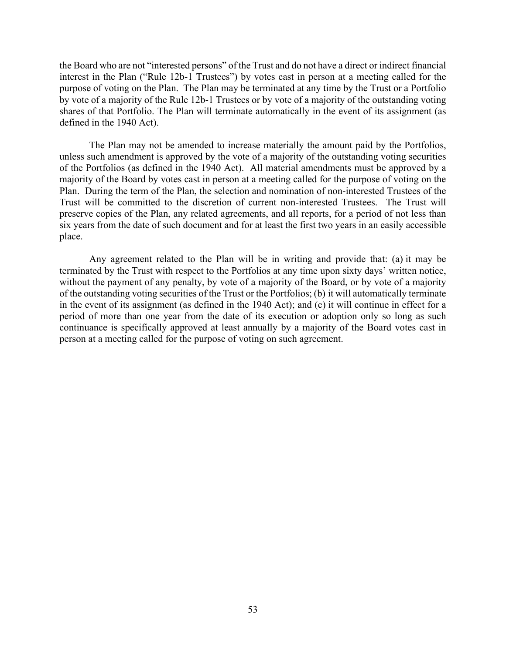the Board who are not "interested persons" of the Trust and do not have a direct or indirect financial interest in the Plan ("Rule 12b-1 Trustees") by votes cast in person at a meeting called for the purpose of voting on the Plan. The Plan may be terminated at any time by the Trust or a Portfolio by vote of a majority of the Rule 12b-1 Trustees or by vote of a majority of the outstanding voting shares of that Portfolio. The Plan will terminate automatically in the event of its assignment (as defined in the 1940 Act).

The Plan may not be amended to increase materially the amount paid by the Portfolios, unless such amendment is approved by the vote of a majority of the outstanding voting securities of the Portfolios (as defined in the 1940 Act). All material amendments must be approved by a majority of the Board by votes cast in person at a meeting called for the purpose of voting on the Plan. During the term of the Plan, the selection and nomination of non-interested Trustees of the Trust will be committed to the discretion of current non-interested Trustees. The Trust will preserve copies of the Plan, any related agreements, and all reports, for a period of not less than six years from the date of such document and for at least the first two years in an easily accessible place.

Any agreement related to the Plan will be in writing and provide that: (a) it may be terminated by the Trust with respect to the Portfolios at any time upon sixty days' written notice, without the payment of any penalty, by vote of a majority of the Board, or by vote of a majority of the outstanding voting securities of the Trust or the Portfolios; (b) it will automatically terminate in the event of its assignment (as defined in the 1940 Act); and (c) it will continue in effect for a period of more than one year from the date of its execution or adoption only so long as such continuance is specifically approved at least annually by a majority of the Board votes cast in person at a meeting called for the purpose of voting on such agreement.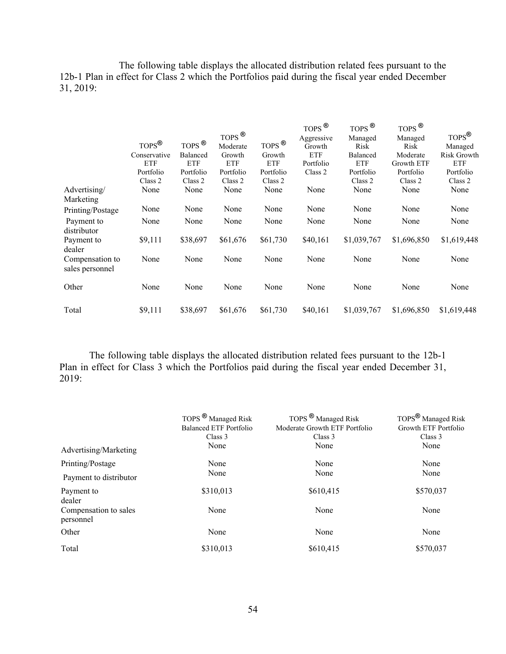The following table displays the allocated distribution related fees pursuant to the 12b-1 Plan in effect for Class 2 which the Portfolios paid during the fiscal year ended December 31, 2019:

| Advertising/<br>Marketing          | TOPS <sup>®</sup><br>Conservative<br><b>ETF</b><br>Portfolio<br>Class 2<br>None | TOPS $^{\circledR}$<br>Balanced<br><b>ETF</b><br>Portfolio<br>Class 2<br>None | TOPS <sup>®</sup><br>Moderate<br>Growth<br><b>ETF</b><br>Portfolio<br>Class 2<br>None | TOPS $^{\circledR}$<br>Growth<br>ETF<br>Portfolio<br>Class 2<br>None | TOPS <sup>®</sup><br>Aggressive<br>Growth<br><b>ETF</b><br>Portfolio<br>Class 2<br>None | TOPS <sup>®</sup><br>Managed<br>Risk<br>Balanced<br><b>ETF</b><br>Portfolio<br>Class 2<br>None | TOPS <sup>®</sup><br>Managed<br>Risk<br>Moderate<br><b>Growth ETF</b><br>Portfolio<br>Class 2<br>None | TOPS <sup>®</sup><br>Managed<br><b>Risk Growth</b><br><b>ETF</b><br>Portfolio<br>Class 2<br>None |
|------------------------------------|---------------------------------------------------------------------------------|-------------------------------------------------------------------------------|---------------------------------------------------------------------------------------|----------------------------------------------------------------------|-----------------------------------------------------------------------------------------|------------------------------------------------------------------------------------------------|-------------------------------------------------------------------------------------------------------|--------------------------------------------------------------------------------------------------|
| Printing/Postage                   | None                                                                            | None                                                                          | None                                                                                  | None                                                                 | None                                                                                    | None                                                                                           | None                                                                                                  | None                                                                                             |
| Payment to<br>distributor          | None                                                                            | None                                                                          | None                                                                                  | None                                                                 | None                                                                                    | None                                                                                           | None                                                                                                  | None                                                                                             |
| Payment to<br>dealer               | \$9,111                                                                         | \$38,697                                                                      | \$61,676                                                                              | \$61,730                                                             | \$40,161                                                                                | \$1,039,767                                                                                    | \$1,696,850                                                                                           | \$1,619,448                                                                                      |
| Compensation to<br>sales personnel | None                                                                            | None                                                                          | None                                                                                  | None                                                                 | None                                                                                    | None                                                                                           | None                                                                                                  | None                                                                                             |
| Other                              | None                                                                            | None                                                                          | None                                                                                  | None                                                                 | None                                                                                    | None                                                                                           | None                                                                                                  | None                                                                                             |
| Total                              | \$9,111                                                                         | \$38,697                                                                      | \$61,676                                                                              | \$61,730                                                             | \$40,161                                                                                | \$1,039,767                                                                                    | \$1,696,850                                                                                           | \$1,619,448                                                                                      |

The following table displays the allocated distribution related fees pursuant to the 12b-1 Plan in effect for Class 3 which the Portfolios paid during the fiscal year ended December 31, 2019:

|                                    | TOPS <sup>®</sup> Managed Risk | TOPS <sup>®</sup> Managed Risk | TOPS <sup>®</sup> Managed Risk |
|------------------------------------|--------------------------------|--------------------------------|--------------------------------|
|                                    | Balanced ETF Portfolio         | Moderate Growth ETF Portfolio  | Growth ETF Portfolio           |
|                                    | Class 3                        | Class 3                        | Class 3                        |
| Advertising/Marketing              | None                           | None                           | None                           |
| Printing/Postage                   | None                           | None                           | None                           |
| Payment to distributor             | None                           | None                           | None                           |
| Payment to<br>dealer               | \$310,013                      | \$610,415                      | \$570,037                      |
| Compensation to sales<br>personnel | None                           | None                           | None                           |
| Other                              | None                           | None                           | None                           |
| Total                              | \$310,013                      | \$610,415                      | \$570,037                      |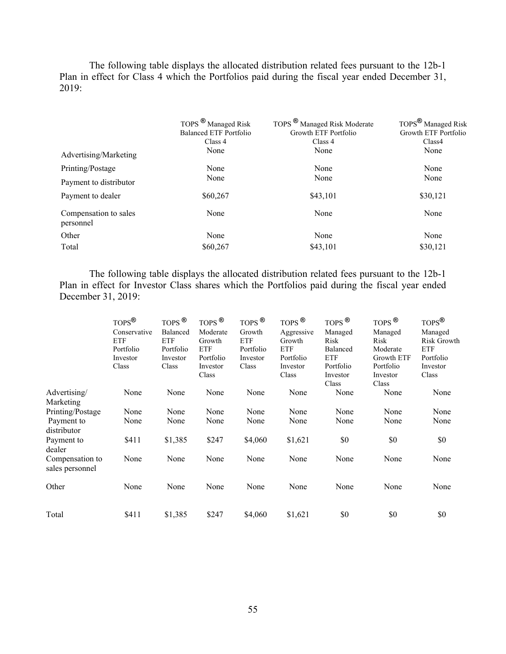The following table displays the allocated distribution related fees pursuant to the 12b-1 Plan in effect for Class 4 which the Portfolios paid during the fiscal year ended December 31, 2019:

|                                    | TOPS <sup>®</sup> Managed Risk<br>Balanced ETF Portfolio<br>Class 4 | TOPS <sup>®</sup> Managed Risk Moderate<br>Growth ETF Portfolio<br>Class 4 | TOPS <sup>®</sup> Managed Risk<br>Growth ETF Portfolio<br>Class4 |
|------------------------------------|---------------------------------------------------------------------|----------------------------------------------------------------------------|------------------------------------------------------------------|
| Advertising/Marketing              | None                                                                | None                                                                       | None                                                             |
| Printing/Postage                   | None                                                                | None                                                                       | None                                                             |
| Payment to distributor             | None                                                                | None                                                                       | None                                                             |
| Payment to dealer                  | \$60,267                                                            | \$43,101                                                                   | \$30,121                                                         |
| Compensation to sales<br>personnel | None                                                                | None                                                                       | None                                                             |
| Other                              | None                                                                | None                                                                       | None                                                             |
| Total                              | \$60,267                                                            | \$43,101                                                                   | \$30,121                                                         |

The following table displays the allocated distribution related fees pursuant to the 12b-1 Plan in effect for Investor Class shares which the Portfolios paid during the fiscal year ended December 31, 2019:

|                                    | TOPS®                      | TOPS $^\circledR$      | TOPS <sup>®</sup>  | TOPS <sup>®</sup>    | TOPS <sup>®</sup>    | TOPS <sup>®</sup> | TOPS <sup>®</sup> | TOPS®                  |
|------------------------------------|----------------------------|------------------------|--------------------|----------------------|----------------------|-------------------|-------------------|------------------------|
|                                    | Conservative<br><b>ETF</b> | Balanced<br><b>ETF</b> | Moderate<br>Growth | Growth<br><b>ETF</b> | Aggressive<br>Growth | Managed<br>Risk   | Managed<br>Risk   | Managed<br>Risk Growth |
|                                    | Portfolio                  | Portfolio              | <b>ETF</b>         | Portfolio            | <b>ETF</b>           | Balanced          | Moderate          | ETF                    |
|                                    | Investor                   | Investor               | Portfolio          | Investor             | Portfolio            | <b>ETF</b>        | Growth ETF        | Portfolio              |
|                                    | Class                      | Class                  | Investor           | Class                | Investor             | Portfolio         | Portfolio         | Investor               |
|                                    |                            |                        | Class              |                      | Class                | Investor<br>Class | Investor<br>Class | Class                  |
| Advertising/<br>Marketing          | None                       | None                   | None               | None                 | None                 | None              | None              | None                   |
| Printing/Postage                   | None                       | None                   | None               | None                 | None                 | None              | None              | None                   |
| Payment to<br>distributor          | None                       | None                   | None               | None                 | None                 | None              | None              | None                   |
| Payment to<br>dealer               | \$411                      | \$1,385                | \$247              | \$4,060              | \$1,621              | \$0               | \$0               | \$0                    |
| Compensation to<br>sales personnel | None                       | None                   | None               | None                 | None                 | None              | None              | None                   |
| Other                              | None                       | None                   | None               | None                 | None                 | None              | None              | None                   |
| Total                              | \$411                      | \$1,385                | \$247              | \$4,060              | \$1,621              | \$0               | \$0               | \$0                    |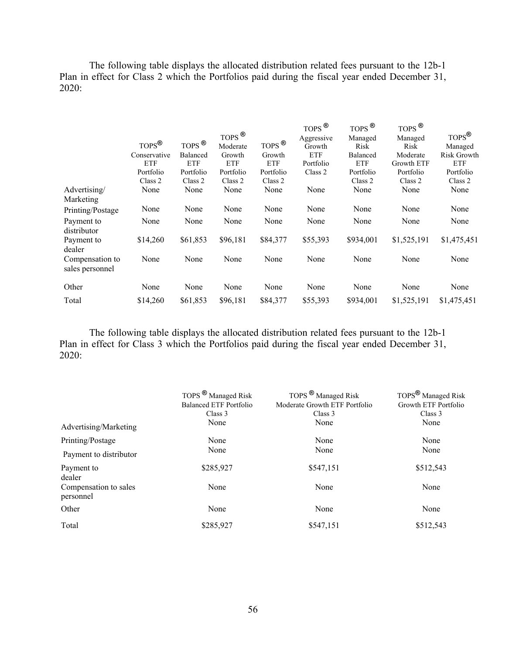The following table displays the allocated distribution related fees pursuant to the 12b-1 Plan in effect for Class 2 which the Portfolios paid during the fiscal year ended December 31, 2020:

|                                    | TOPS <sup>®</sup><br>Conservative<br><b>ETF</b><br>Portfolio<br>Class 2 | TOPS <sup>®</sup><br>Balanced<br><b>ETF</b><br>Portfolio<br>Class 2 | TOPS <sup>®</sup><br>Moderate<br>Growth<br>ETF<br>Portfolio<br>Class 2 | TOPS <sup>®</sup><br>Growth<br>ETF<br>Portfolio<br>Class 2 | TOPS <sup>®</sup><br>Aggressive<br>Growth<br><b>ETF</b><br>Portfolio<br>Class 2 | TOPS <sup>®</sup><br>Managed<br>Risk<br>Balanced<br>ETF<br>Portfolio<br>Class 2 | TOPS <sup>®</sup><br>Managed<br>Risk<br>Moderate<br><b>Growth ETF</b><br>Portfolio<br>Class 2 | TOPS®<br>Managed<br><b>Risk Growth</b><br><b>ETF</b><br>Portfolio<br>Class 2 |
|------------------------------------|-------------------------------------------------------------------------|---------------------------------------------------------------------|------------------------------------------------------------------------|------------------------------------------------------------|---------------------------------------------------------------------------------|---------------------------------------------------------------------------------|-----------------------------------------------------------------------------------------------|------------------------------------------------------------------------------|
| Advertising/<br>Marketing          | None                                                                    | None                                                                | None                                                                   | None                                                       | None                                                                            | None                                                                            | None                                                                                          | None                                                                         |
| Printing/Postage                   | None                                                                    | None                                                                | None                                                                   | None                                                       | None                                                                            | None                                                                            | None                                                                                          | None                                                                         |
| Payment to<br>distributor          | None                                                                    | None                                                                | None                                                                   | None                                                       | None                                                                            | None                                                                            | None                                                                                          | None                                                                         |
| Payment to<br>dealer               | \$14,260                                                                | \$61,853                                                            | \$96,181                                                               | \$84,377                                                   | \$55,393                                                                        | \$934,001                                                                       | \$1,525,191                                                                                   | \$1,475,451                                                                  |
| Compensation to<br>sales personnel | None                                                                    | None                                                                | None                                                                   | None                                                       | None                                                                            | None                                                                            | None                                                                                          | None                                                                         |
| Other                              | None                                                                    | None                                                                | None                                                                   | None                                                       | None                                                                            | None                                                                            | None                                                                                          | None                                                                         |
| Total                              | \$14,260                                                                | \$61,853                                                            | \$96,181                                                               | \$84,377                                                   | \$55,393                                                                        | \$934,001                                                                       | \$1,525,191                                                                                   | \$1,475,451                                                                  |

The following table displays the allocated distribution related fees pursuant to the 12b-1 Plan in effect for Class 3 which the Portfolios paid during the fiscal year ended December 31, 2020:

|                                    | TOPS <sup>®</sup> Managed Risk | TOPS <sup>®</sup> Managed Risk | TOPS <sup>®</sup> Managed Risk |
|------------------------------------|--------------------------------|--------------------------------|--------------------------------|
|                                    | <b>Balanced ETF Portfolio</b>  | Moderate Growth ETF Portfolio  | Growth ETF Portfolio           |
|                                    | Class 3                        | Class 3                        | Class 3                        |
| Advertising/Marketing              | None                           | None                           | None                           |
| Printing/Postage                   | None                           | None                           | None                           |
| Payment to distributor             | None                           | None                           | None                           |
| Payment to<br>dealer               | \$285,927                      | \$547,151                      | \$512,543                      |
| Compensation to sales<br>personnel | None                           | None                           | None                           |
| Other                              | None                           | None                           | None                           |
| Total                              | \$285,927                      | \$547,151                      | \$512,543                      |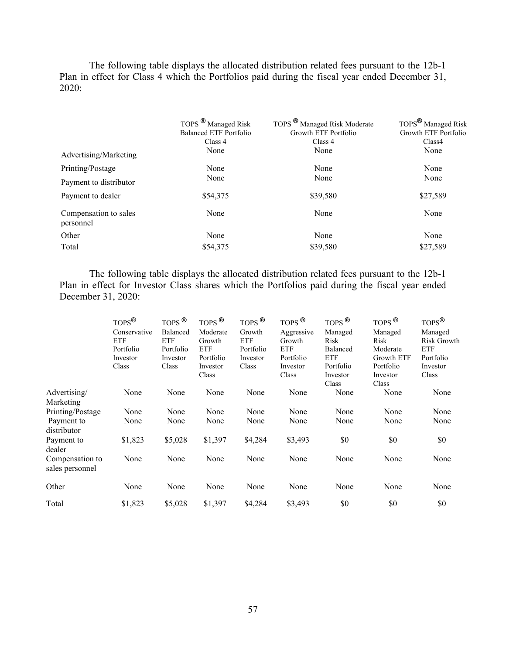The following table displays the allocated distribution related fees pursuant to the 12b-1 Plan in effect for Class 4 which the Portfolios paid during the fiscal year ended December 31, 2020:

|                                    | TOPS <sup>®</sup> Managed Risk<br>Balanced ETF Portfolio<br>Class 4 | TOPS <sup>®</sup> Managed Risk Moderate<br>Growth ETF Portfolio<br>Class 4 | TOPS <sup>®</sup> Managed Risk<br>Growth ETF Portfolio<br>Class4 |
|------------------------------------|---------------------------------------------------------------------|----------------------------------------------------------------------------|------------------------------------------------------------------|
| Advertising/Marketing              | None                                                                | None                                                                       | None                                                             |
| Printing/Postage                   | None                                                                | None                                                                       | None                                                             |
| Payment to distributor             | None                                                                | None                                                                       | None                                                             |
| Payment to dealer                  | \$54,375                                                            | \$39,580                                                                   | \$27,589                                                         |
| Compensation to sales<br>personnel | None                                                                | None                                                                       | None                                                             |
| Other                              | None                                                                | None                                                                       | None                                                             |
| Total                              | \$54,375                                                            | \$39,580                                                                   | \$27,589                                                         |

The following table displays the allocated distribution related fees pursuant to the 12b-1 Plan in effect for Investor Class shares which the Portfolios paid during the fiscal year ended December 31, 2020:

|                                    | TOPS <sup>®</sup><br>Conservative<br><b>ETF</b><br>Portfolio<br>Investor<br>Class | TOPS <sup>®</sup><br>Balanced<br><b>ETF</b><br>Portfolio<br>Investor<br>Class | TOPS <sup>®</sup><br>Moderate<br>Growth<br><b>ETF</b><br>Portfolio<br>Investor | TOPS <sup>®</sup><br>Growth<br><b>ETF</b><br>Portfolio<br>Investor<br>Class | TOPS <sup>®</sup><br>Aggressive<br>Growth<br><b>ETF</b><br>Portfolio<br>Investor | TOPS <sup>®</sup><br>Managed<br>Risk<br>Balanced<br><b>ETF</b><br>Portfolio | TOPS <sup>®</sup><br>Managed<br>Risk<br>Moderate<br>Growth ETF<br>Portfolio | TOPS <sup>®</sup><br>Managed<br>Risk Growth<br><b>ETF</b><br>Portfolio<br>Investor |
|------------------------------------|-----------------------------------------------------------------------------------|-------------------------------------------------------------------------------|--------------------------------------------------------------------------------|-----------------------------------------------------------------------------|----------------------------------------------------------------------------------|-----------------------------------------------------------------------------|-----------------------------------------------------------------------------|------------------------------------------------------------------------------------|
|                                    |                                                                                   |                                                                               | Class                                                                          |                                                                             | Class                                                                            | Investor<br>Class                                                           | Investor<br>Class                                                           | Class                                                                              |
| Advertising/<br>Marketing          | None                                                                              | None                                                                          | None                                                                           | None                                                                        | None                                                                             | None                                                                        | None                                                                        | None                                                                               |
| Printing/Postage                   | None                                                                              | None                                                                          | None                                                                           | None                                                                        | None                                                                             | None                                                                        | None                                                                        | None                                                                               |
| Payment to<br>distributor          | None                                                                              | None                                                                          | None                                                                           | None                                                                        | None                                                                             | None                                                                        | None                                                                        | None                                                                               |
| Payment to<br>dealer               | \$1,823                                                                           | \$5,028                                                                       | \$1,397                                                                        | \$4,284                                                                     | \$3,493                                                                          | \$0                                                                         | \$0                                                                         | \$0                                                                                |
| Compensation to<br>sales personnel | None                                                                              | None                                                                          | None                                                                           | None                                                                        | None                                                                             | None                                                                        | None                                                                        | None                                                                               |
| Other                              | None                                                                              | None                                                                          | None                                                                           | None                                                                        | None                                                                             | None                                                                        | None                                                                        | None                                                                               |
| Total                              | \$1,823                                                                           | \$5,028                                                                       | \$1,397                                                                        | \$4,284                                                                     | \$3,493                                                                          | \$0                                                                         | \$0                                                                         | \$0                                                                                |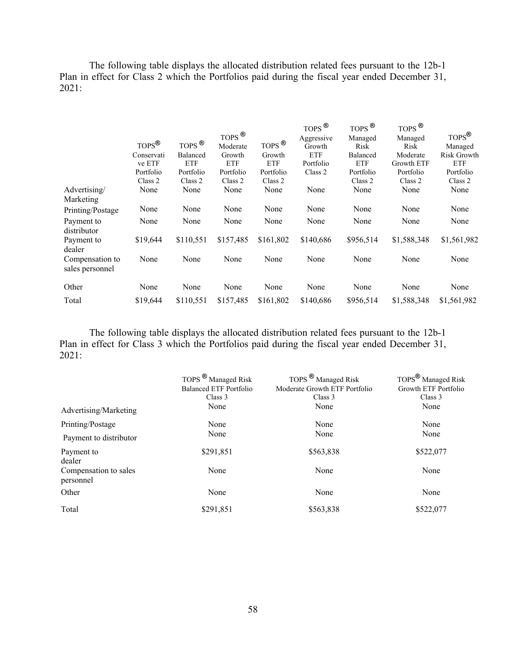The following table displays the allocated distribution related fees pursuant to the 12b-1 Plan in effect for Class 2 which the Portfolios paid during the fiscal year ended December 31, 2021:

|                  |            |                   |                   |                     | TOPS $^{\circledR}$ | TOPS $^{\circledR}$ | TOPS $^{\circledR}$ |                   |
|------------------|------------|-------------------|-------------------|---------------------|---------------------|---------------------|---------------------|-------------------|
|                  |            |                   | TOPS $^\circledR$ |                     | Aggressive          | Managed             | Managed             | TOPS <sup>®</sup> |
|                  | TOPS®      | TOPS <sup>®</sup> | Moderate          | TOPS $^{\circledR}$ | Growth              | Risk                | Risk                | Managed           |
|                  | Conservati | Balanced          | Growth            | Growth              | <b>ETF</b>          | Balanced            | Moderate            | Risk Growth       |
|                  | ve ETF     | <b>ETF</b>        | <b>ETF</b>        | <b>ETF</b>          | Portfolio           | <b>ETF</b>          | Growth ETF          | <b>ETF</b>        |
|                  | Portfolio  | Portfolio         | Portfolio         | Portfolio           | Class 2             | Portfolio           | Portfolio           | Portfolio         |
|                  | Class 2    | Class 2           | Class 2           | Class 2             |                     | Class 2             | Class 2             | Class 2           |
| Advertising/     | None       | None              | None              | None                | None                | None                | None                | None              |
| Marketing        |            |                   |                   |                     |                     |                     |                     |                   |
| Printing/Postage | None       | None              | None              | None                | None                | None                | None                | None              |
| Payment to       | None       | None              | None              | None                | None                | None                | None                | None              |
| distributor      |            |                   |                   |                     |                     |                     |                     |                   |
| Payment to       | \$19,644   | \$110,551         | \$157,485         | \$161,802           | \$140,686           | \$956,514           | \$1,588,348         | \$1,561,982       |
| dealer           |            |                   |                   |                     |                     |                     |                     |                   |
| Compensation to  | None       | None              | None              | None                | None                | None                | None                | None              |
| sales personnel  |            |                   |                   |                     |                     |                     |                     |                   |
| Other            | None       | None              | None              | None                | None                | None                | None                | None              |
| Total            | \$19,644   | \$110,551         | \$157,485         | \$161,802           | \$140,686           | \$956,514           | \$1,588,348         | \$1,561,982       |

The following table displays the allocated distribution related fees pursuant to the 12b-1 Plan in effect for Class 3 which the Portfolios paid during the fiscal year ended December 31, 2021:

|                                    | TOPS <sup>®</sup> Managed Risk | TOPS <sup>®</sup> Managed Risk | TOPS <sup>®</sup> Managed Risk |
|------------------------------------|--------------------------------|--------------------------------|--------------------------------|
|                                    | <b>Balanced ETF Portfolio</b>  | Moderate Growth ETF Portfolio  | Growth ETF Portfolio           |
|                                    | Class 3                        | Class 3                        | Class 3                        |
| Advertising/Marketing              | None                           | None                           | None                           |
| Printing/Postage                   | None                           | None                           | None                           |
| Payment to distributor             | None                           | None                           | None                           |
| Payment to<br>dealer               | \$291,851                      | \$563,838                      | \$522,077                      |
| Compensation to sales<br>personnel | None                           | None                           | None                           |
| Other                              | None                           | None                           | None                           |
| Total                              | \$291,851                      | \$563,838                      | \$522,077                      |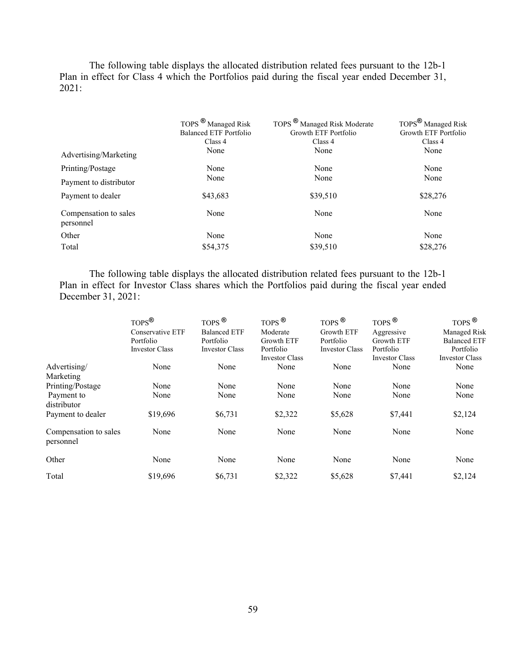The following table displays the allocated distribution related fees pursuant to the 12b-1 Plan in effect for Class 4 which the Portfolios paid during the fiscal year ended December 31, 2021:

|                                    | TOPS <sup>®</sup> Managed Risk | TOPS <sup>®</sup> Managed Risk Moderate | TOPS <sup>®</sup> Managed Risk |
|------------------------------------|--------------------------------|-----------------------------------------|--------------------------------|
|                                    | <b>Balanced ETF Portfolio</b>  | Growth ETF Portfolio                    | Growth ETF Portfolio           |
|                                    | Class 4                        | Class 4                                 | Class 4                        |
| Advertising/Marketing              | None                           | None                                    | None                           |
| Printing/Postage                   | None                           | None                                    | None                           |
| Payment to distributor             | None                           | None                                    | None                           |
| Payment to dealer                  | \$43,683                       | \$39,510                                | \$28,276                       |
| Compensation to sales<br>personnel | None                           | None                                    | None                           |
| Other                              | None                           | None                                    | None                           |
| Total                              | \$54,375                       | \$39,510                                | \$28,276                       |

The following table displays the allocated distribution related fees pursuant to the 12b-1 Plan in effect for Investor Class shares which the Portfolios paid during the fiscal year ended December 31, 2021:

|                                    | TOPS <sup>®</sup>     | TOPS <sup>®</sup>     | TOPS <sup>®</sup>     | $TOPS^{\circledR}$    | TOPS <sup>®</sup>     | TOPS <sup>®</sup>     |
|------------------------------------|-----------------------|-----------------------|-----------------------|-----------------------|-----------------------|-----------------------|
|                                    | Conservative ETF      | <b>Balanced ETF</b>   | Moderate              | Growth ETF            | Aggressive            | Managed Risk          |
|                                    | Portfolio             | Portfolio             | Growth ETF            | Portfolio             | <b>Growth ETF</b>     | <b>Balanced ETF</b>   |
|                                    | <b>Investor Class</b> | <b>Investor Class</b> | Portfolio             | <b>Investor Class</b> | Portfolio             | Portfolio             |
|                                    |                       |                       | <b>Investor Class</b> |                       | <b>Investor Class</b> | <b>Investor Class</b> |
| Advertising/                       | None                  | None                  | None                  | None                  | None                  | None                  |
| Marketing                          |                       |                       |                       |                       |                       |                       |
| Printing/Postage                   | None                  | None                  | None                  | None                  | None                  | None                  |
| Payment to                         | None                  | None                  | None                  | None                  | None                  | None                  |
| distributor                        |                       |                       |                       |                       |                       |                       |
| Payment to dealer                  | \$19,696              | \$6,731               | \$2,322               | \$5,628               | \$7,441               | \$2,124               |
| Compensation to sales<br>personnel | None                  | None                  | None                  | None                  | None                  | None                  |
| Other                              | None                  | None                  | None                  | None                  | None                  | None                  |
| Total                              | \$19,696              | \$6,731               | \$2,322               | \$5,628               | \$7,441               | \$2,124               |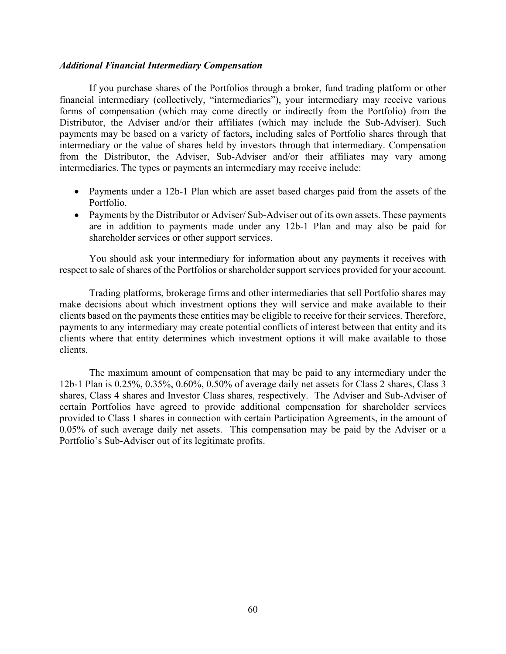#### *Additional Financial Intermediary Compensation*

If you purchase shares of the Portfolios through a broker, fund trading platform or other financial intermediary (collectively, "intermediaries"), your intermediary may receive various forms of compensation (which may come directly or indirectly from the Portfolio) from the Distributor, the Adviser and/or their affiliates (which may include the Sub-Adviser). Such payments may be based on a variety of factors, including sales of Portfolio shares through that intermediary or the value of shares held by investors through that intermediary. Compensation from the Distributor, the Adviser, Sub-Adviser and/or their affiliates may vary among intermediaries. The types or payments an intermediary may receive include:

- Payments under a 12b-1 Plan which are asset based charges paid from the assets of the Portfolio.
- Payments by the Distributor or Adviser/ Sub-Adviser out of its own assets. These payments are in addition to payments made under any 12b-1 Plan and may also be paid for shareholder services or other support services.

You should ask your intermediary for information about any payments it receives with respect to sale of shares of the Portfolios or shareholder support services provided for your account.

Trading platforms, brokerage firms and other intermediaries that sell Portfolio shares may make decisions about which investment options they will service and make available to their clients based on the payments these entities may be eligible to receive for their services. Therefore, payments to any intermediary may create potential conflicts of interest between that entity and its clients where that entity determines which investment options it will make available to those clients.

The maximum amount of compensation that may be paid to any intermediary under the 12b-1 Plan is 0.25%, 0.35%, 0.60%, 0.50% of average daily net assets for Class 2 shares, Class 3 shares, Class 4 shares and Investor Class shares, respectively. The Adviser and Sub-Adviser of certain Portfolios have agreed to provide additional compensation for shareholder services provided to Class 1 shares in connection with certain Participation Agreements, in the amount of 0.05% of such average daily net assets. This compensation may be paid by the Adviser or a Portfolio's Sub-Adviser out of its legitimate profits.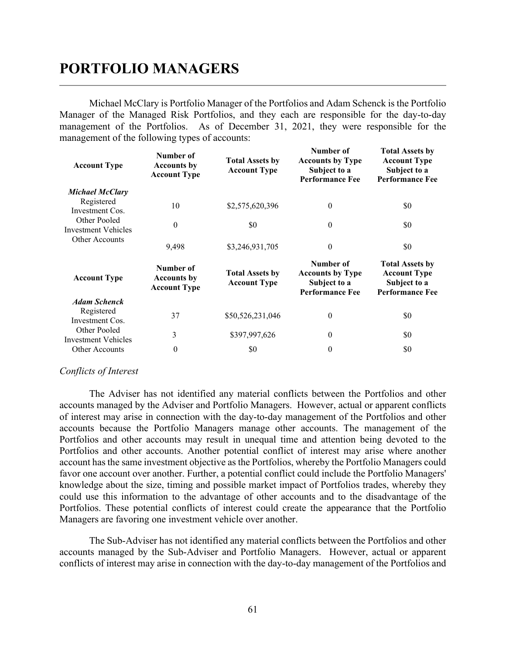# **PORTFOLIO MANAGERS**

Michael McClary is Portfolio Manager of the Portfolios and Adam Schenck is the Portfolio Manager of the Managed Risk Portfolios, and they each are responsible for the day-to-day management of the Portfolios. As of December 31, 2021, they were responsible for the management of the following types of accounts:

| Number of<br><b>Accounts by</b><br><b>Account Type</b> | <b>Total Assets by</b><br><b>Account Type</b> | Number of<br><b>Accounts by Type</b><br>Subject to a<br><b>Performance Fee</b> | <b>Total Assets by</b><br><b>Account Type</b><br>Subject to a<br><b>Performance Fee</b> |
|--------------------------------------------------------|-----------------------------------------------|--------------------------------------------------------------------------------|-----------------------------------------------------------------------------------------|
| 10                                                     | \$2,575,620,396                               | 0                                                                              | \$0                                                                                     |
| $\boldsymbol{0}$                                       | \$0                                           | $\theta$                                                                       | \$0                                                                                     |
| 9,498                                                  | \$3,246,931,705                               | $\theta$                                                                       | \$0                                                                                     |
|                                                        |                                               | Number of                                                                      | <b>Total Assets by</b>                                                                  |
| Number of<br><b>Accounts by</b><br><b>Account Type</b> | <b>Total Assets by</b><br><b>Account Type</b> | <b>Accounts by Type</b><br>Subject to a<br><b>Performance Fee</b>              | <b>Account Type</b><br>Subject to a<br><b>Performance Fee</b>                           |
| 37                                                     | \$50,526,231,046                              | 0                                                                              | \$0                                                                                     |
| 3                                                      | \$397,997,626                                 | 0                                                                              | \$0                                                                                     |
|                                                        |                                               |                                                                                |                                                                                         |

#### *Conflicts of Interest*

The Adviser has not identified any material conflicts between the Portfolios and other accounts managed by the Adviser and Portfolio Managers. However, actual or apparent conflicts of interest may arise in connection with the day-to-day management of the Portfolios and other accounts because the Portfolio Managers manage other accounts. The management of the Portfolios and other accounts may result in unequal time and attention being devoted to the Portfolios and other accounts. Another potential conflict of interest may arise where another account has the same investment objective as the Portfolios, whereby the Portfolio Managers could favor one account over another. Further, a potential conflict could include the Portfolio Managers' knowledge about the size, timing and possible market impact of Portfolios trades, whereby they could use this information to the advantage of other accounts and to the disadvantage of the Portfolios. These potential conflicts of interest could create the appearance that the Portfolio Managers are favoring one investment vehicle over another.

The Sub-Adviser has not identified any material conflicts between the Portfolios and other accounts managed by the Sub-Adviser and Portfolio Managers. However, actual or apparent conflicts of interest may arise in connection with the day-to-day management of the Portfolios and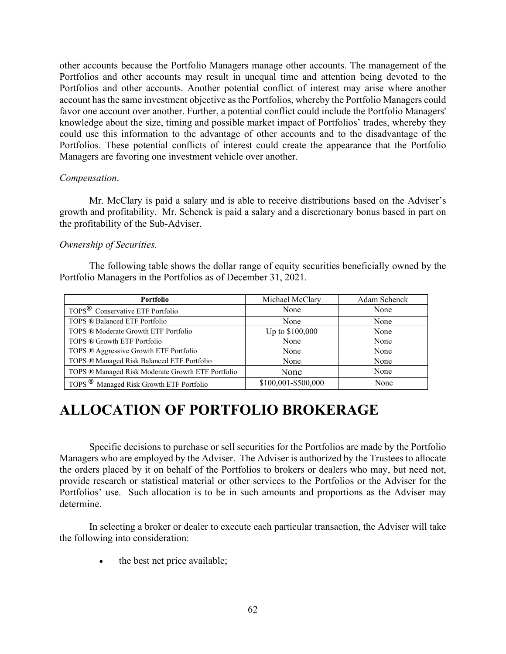other accounts because the Portfolio Managers manage other accounts. The management of the Portfolios and other accounts may result in unequal time and attention being devoted to the Portfolios and other accounts. Another potential conflict of interest may arise where another account has the same investment objective as the Portfolios, whereby the Portfolio Managers could favor one account over another. Further, a potential conflict could include the Portfolio Managers' knowledge about the size, timing and possible market impact of Portfolios' trades, whereby they could use this information to the advantage of other accounts and to the disadvantage of the Portfolios. These potential conflicts of interest could create the appearance that the Portfolio Managers are favoring one investment vehicle over another.

#### *Compensation*.

Mr. McClary is paid a salary and is able to receive distributions based on the Adviser's growth and profitability. Mr. Schenck is paid a salary and a discretionary bonus based in part on the profitability of the Sub-Adviser.

#### *Ownership of Securities.*

The following table shows the dollar range of equity securities beneficially owned by the Portfolio Managers in the Portfolios as of December 31, 2021.

| Portfolio                                           | Michael McClary     | Adam Schenck |
|-----------------------------------------------------|---------------------|--------------|
| TOPS <sup>®</sup> Conservative ETF Portfolio        | None                | None         |
| TOPS ® Balanced ETF Portfolio                       | None                | None         |
| TOPS ® Moderate Growth ETF Portfolio                | Up to \$100,000     | None         |
| TOPS ® Growth ETF Portfolio                         | None                | None         |
| TOPS ® Aggressive Growth ETF Portfolio              | None                | None         |
| TOPS ® Managed Risk Balanced ETF Portfolio          | None                | None         |
| TOPS ® Managed Risk Moderate Growth ETF Portfolio   | None                | None         |
| TOPS <sup>®</sup> Managed Risk Growth ETF Portfolio | \$100,001-\$500,000 | None         |

# **ALLOCATION OF PORTFOLIO BROKERAGE**

Specific decisions to purchase or sell securities for the Portfolios are made by the Portfolio Managers who are employed by the Adviser. The Adviser is authorized by the Trustees to allocate the orders placed by it on behalf of the Portfolios to brokers or dealers who may, but need not, provide research or statistical material or other services to the Portfolios or the Adviser for the Portfolios' use. Such allocation is to be in such amounts and proportions as the Adviser may determine.

In selecting a broker or dealer to execute each particular transaction, the Adviser will take the following into consideration:

the best net price available;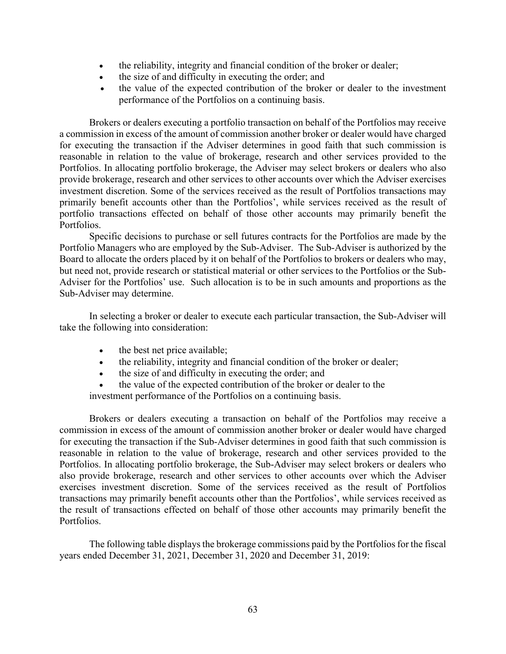- the reliability, integrity and financial condition of the broker or dealer;
- the size of and difficulty in executing the order; and
- the value of the expected contribution of the broker or dealer to the investment performance of the Portfolios on a continuing basis.

Brokers or dealers executing a portfolio transaction on behalf of the Portfolios may receive a commission in excess of the amount of commission another broker or dealer would have charged for executing the transaction if the Adviser determines in good faith that such commission is reasonable in relation to the value of brokerage, research and other services provided to the Portfolios. In allocating portfolio brokerage, the Adviser may select brokers or dealers who also provide brokerage, research and other services to other accounts over which the Adviser exercises investment discretion. Some of the services received as the result of Portfolios transactions may primarily benefit accounts other than the Portfolios', while services received as the result of portfolio transactions effected on behalf of those other accounts may primarily benefit the Portfolios.

Specific decisions to purchase or sell futures contracts for the Portfolios are made by the Portfolio Managers who are employed by the Sub-Adviser. The Sub-Adviser is authorized by the Board to allocate the orders placed by it on behalf of the Portfolios to brokers or dealers who may, but need not, provide research or statistical material or other services to the Portfolios or the Sub-Adviser for the Portfolios' use. Such allocation is to be in such amounts and proportions as the Sub-Adviser may determine.

In selecting a broker or dealer to execute each particular transaction, the Sub-Adviser will take the following into consideration:

- the best net price available;
- the reliability, integrity and financial condition of the broker or dealer;
- the size of and difficulty in executing the order; and
- the value of the expected contribution of the broker or dealer to the

investment performance of the Portfolios on a continuing basis.

Brokers or dealers executing a transaction on behalf of the Portfolios may receive a commission in excess of the amount of commission another broker or dealer would have charged for executing the transaction if the Sub-Adviser determines in good faith that such commission is reasonable in relation to the value of brokerage, research and other services provided to the Portfolios. In allocating portfolio brokerage, the Sub-Adviser may select brokers or dealers who also provide brokerage, research and other services to other accounts over which the Adviser exercises investment discretion. Some of the services received as the result of Portfolios transactions may primarily benefit accounts other than the Portfolios', while services received as the result of transactions effected on behalf of those other accounts may primarily benefit the Portfolios.

The following table displays the brokerage commissions paid by the Portfolios for the fiscal years ended December 31, 2021, December 31, 2020 and December 31, 2019: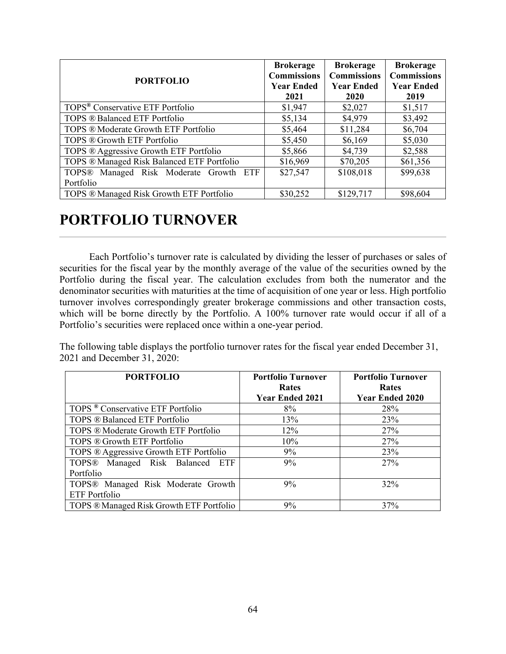| <b>PORTFOLIO</b>                             | <b>Brokerage</b><br><b>Commissions</b><br><b>Year Ended</b><br>2021 | <b>Brokerage</b><br><b>Commissions</b><br><b>Year Ended</b><br>2020 | <b>Brokerage</b><br><b>Commissions</b><br><b>Year Ended</b><br>2019 |
|----------------------------------------------|---------------------------------------------------------------------|---------------------------------------------------------------------|---------------------------------------------------------------------|
| TOPS <sup>®</sup> Conservative ETF Portfolio | \$1,947                                                             | \$2,027                                                             | \$1,517                                                             |
| TOPS ® Balanced ETF Portfolio                | \$5,134                                                             | \$4,979                                                             | \$3,492                                                             |
| TOPS ® Moderate Growth ETF Portfolio         | \$5,464                                                             | \$11,284                                                            | \$6,704                                                             |
| TOPS ® Growth ETF Portfolio                  | \$5,450                                                             | \$6,169                                                             | \$5,030                                                             |
| TOPS ® Aggressive Growth ETF Portfolio       | \$5,866                                                             | \$4,739                                                             | \$2,588                                                             |
| TOPS ® Managed Risk Balanced ETF Portfolio   | \$16,969                                                            | \$70,205                                                            | \$61,356                                                            |
| TOPS® Managed Risk Moderate Growth ETF       | \$27,547                                                            | \$108,018                                                           | \$99,638                                                            |
| Portfolio                                    |                                                                     |                                                                     |                                                                     |
| TOPS ® Managed Risk Growth ETF Portfolio     | \$30,252                                                            | \$129,717                                                           | \$98,604                                                            |

### **PORTFOLIO TURNOVER**

Each Portfolio's turnover rate is calculated by dividing the lesser of purchases or sales of securities for the fiscal year by the monthly average of the value of the securities owned by the Portfolio during the fiscal year. The calculation excludes from both the numerator and the denominator securities with maturities at the time of acquisition of one year or less. High portfolio turnover involves correspondingly greater brokerage commissions and other transaction costs, which will be borne directly by the Portfolio. A 100% turnover rate would occur if all of a Portfolio's securities were replaced once within a one-year period.

The following table displays the portfolio turnover rates for the fiscal year ended December 31, 2021 and December 31, 2020:

| <b>PORTFOLIO</b>                             | <b>Portfolio Turnover</b> | <b>Portfolio Turnover</b> |
|----------------------------------------------|---------------------------|---------------------------|
|                                              | <b>Rates</b>              | Rates                     |
|                                              | <b>Year Ended 2021</b>    | <b>Year Ended 2020</b>    |
| TOPS <sup>®</sup> Conservative ETF Portfolio | 8%                        | 28%                       |
| TOPS ® Balanced ETF Portfolio                | 13%                       | 23%                       |
| TOPS ® Moderate Growth ETF Portfolio         | 12%                       | 27%                       |
| TOPS ® Growth ETF Portfolio                  | 10%                       | 27%                       |
| TOPS ® Aggressive Growth ETF Portfolio       | $9\%$                     | 23%                       |
| Managed Risk Balanced ETF<br><b>TOPS®</b>    | 9%                        | 27%                       |
| Portfolio                                    |                           |                           |
| TOPS® Managed Risk Moderate Growth           | 9%                        | 32%                       |
| <b>ETF</b> Portfolio                         |                           |                           |
| TOPS ® Managed Risk Growth ETF Portfolio     | 9%                        | 37%                       |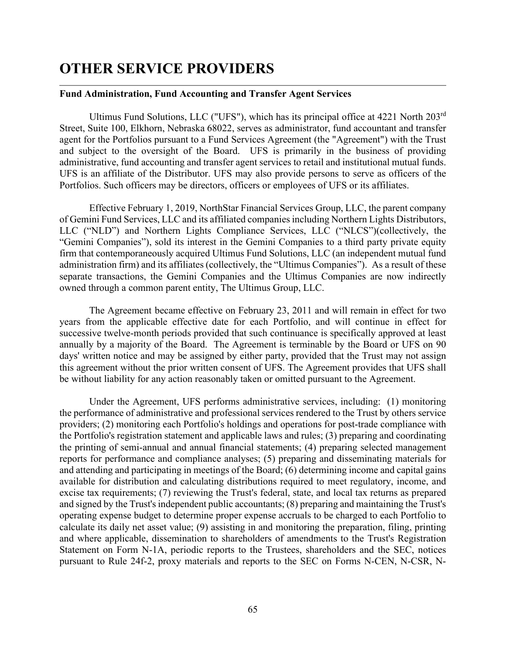# **OTHER SERVICE PROVIDERS**

#### **Fund Administration, Fund Accounting and Transfer Agent Services**

Ultimus Fund Solutions, LLC ("UFS"), which has its principal office at 4221 North 203rd Street, Suite 100, Elkhorn, Nebraska 68022, serves as administrator, fund accountant and transfer agent for the Portfolios pursuant to a Fund Services Agreement (the "Agreement") with the Trust and subject to the oversight of the Board. UFS is primarily in the business of providing administrative, fund accounting and transfer agent services to retail and institutional mutual funds. UFS is an affiliate of the Distributor. UFS may also provide persons to serve as officers of the Portfolios. Such officers may be directors, officers or employees of UFS or its affiliates.

Effective February 1, 2019, NorthStar Financial Services Group, LLC, the parent company of Gemini Fund Services, LLC and its affiliated companies including Northern Lights Distributors, LLC ("NLD") and Northern Lights Compliance Services, LLC ("NLCS")(collectively, the "Gemini Companies"), sold its interest in the Gemini Companies to a third party private equity firm that contemporaneously acquired Ultimus Fund Solutions, LLC (an independent mutual fund administration firm) and its affiliates (collectively, the "Ultimus Companies"). As a result of these separate transactions, the Gemini Companies and the Ultimus Companies are now indirectly owned through a common parent entity, The Ultimus Group, LLC.

The Agreement became effective on February 23, 2011 and will remain in effect for two years from the applicable effective date for each Portfolio, and will continue in effect for successive twelve-month periods provided that such continuance is specifically approved at least annually by a majority of the Board. The Agreement is terminable by the Board or UFS on 90 days' written notice and may be assigned by either party, provided that the Trust may not assign this agreement without the prior written consent of UFS. The Agreement provides that UFS shall be without liability for any action reasonably taken or omitted pursuant to the Agreement.

Under the Agreement, UFS performs administrative services, including: (1) monitoring the performance of administrative and professional services rendered to the Trust by others service providers; (2) monitoring each Portfolio's holdings and operations for post-trade compliance with the Portfolio's registration statement and applicable laws and rules; (3) preparing and coordinating the printing of semi-annual and annual financial statements; (4) preparing selected management reports for performance and compliance analyses; (5) preparing and disseminating materials for and attending and participating in meetings of the Board; (6) determining income and capital gains available for distribution and calculating distributions required to meet regulatory, income, and excise tax requirements; (7) reviewing the Trust's federal, state, and local tax returns as prepared and signed by the Trust's independent public accountants; (8) preparing and maintaining the Trust's operating expense budget to determine proper expense accruals to be charged to each Portfolio to calculate its daily net asset value; (9) assisting in and monitoring the preparation, filing, printing and where applicable, dissemination to shareholders of amendments to the Trust's Registration Statement on Form N-1A, periodic reports to the Trustees, shareholders and the SEC, notices pursuant to Rule 24f-2, proxy materials and reports to the SEC on Forms N-CEN, N-CSR, N-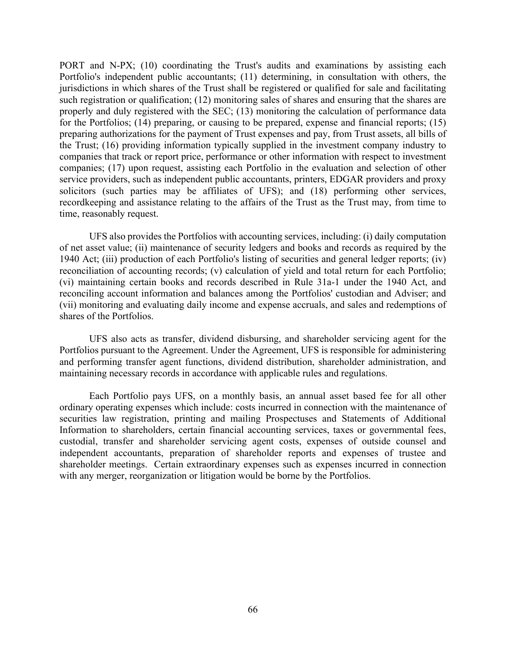PORT and N-PX; (10) coordinating the Trust's audits and examinations by assisting each Portfolio's independent public accountants; (11) determining, in consultation with others, the jurisdictions in which shares of the Trust shall be registered or qualified for sale and facilitating such registration or qualification; (12) monitoring sales of shares and ensuring that the shares are properly and duly registered with the SEC; (13) monitoring the calculation of performance data for the Portfolios; (14) preparing, or causing to be prepared, expense and financial reports; (15) preparing authorizations for the payment of Trust expenses and pay, from Trust assets, all bills of the Trust; (16) providing information typically supplied in the investment company industry to companies that track or report price, performance or other information with respect to investment companies; (17) upon request, assisting each Portfolio in the evaluation and selection of other service providers, such as independent public accountants, printers, EDGAR providers and proxy solicitors (such parties may be affiliates of UFS); and (18) performing other services, recordkeeping and assistance relating to the affairs of the Trust as the Trust may, from time to time, reasonably request.

UFS also provides the Portfolios with accounting services, including: (i) daily computation of net asset value; (ii) maintenance of security ledgers and books and records as required by the 1940 Act; (iii) production of each Portfolio's listing of securities and general ledger reports; (iv) reconciliation of accounting records; (v) calculation of yield and total return for each Portfolio; (vi) maintaining certain books and records described in Rule 31a-1 under the 1940 Act, and reconciling account information and balances among the Portfolios' custodian and Adviser; and (vii) monitoring and evaluating daily income and expense accruals, and sales and redemptions of shares of the Portfolios.

UFS also acts as transfer, dividend disbursing, and shareholder servicing agent for the Portfolios pursuant to the Agreement. Under the Agreement, UFS is responsible for administering and performing transfer agent functions, dividend distribution, shareholder administration, and maintaining necessary records in accordance with applicable rules and regulations.

Each Portfolio pays UFS, on a monthly basis, an annual asset based fee for all other ordinary operating expenses which include: costs incurred in connection with the maintenance of securities law registration, printing and mailing Prospectuses and Statements of Additional Information to shareholders, certain financial accounting services, taxes or governmental fees, custodial, transfer and shareholder servicing agent costs, expenses of outside counsel and independent accountants, preparation of shareholder reports and expenses of trustee and shareholder meetings. Certain extraordinary expenses such as expenses incurred in connection with any merger, reorganization or litigation would be borne by the Portfolios.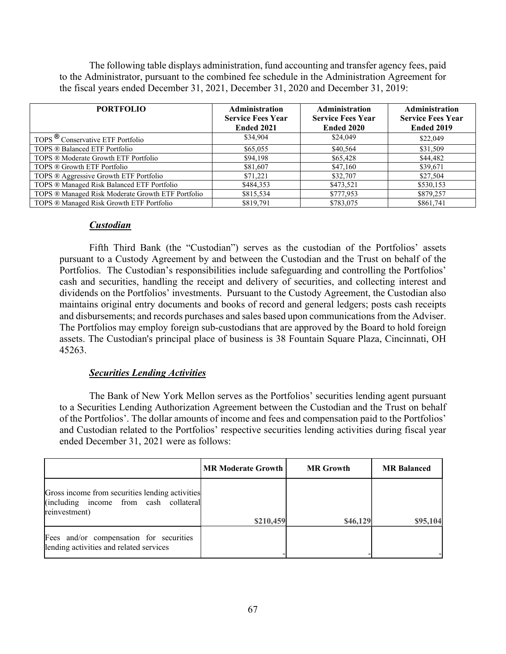The following table displays administration, fund accounting and transfer agency fees, paid to the Administrator, pursuant to the combined fee schedule in the Administration Agreement for the fiscal years ended December 31, 2021, December 31, 2020 and December 31, 2019:

| <b>PORTFOLIO</b>                                  | <b>Administration</b><br><b>Service Fees Year</b><br>Ended 2021 | <b>Administration</b><br><b>Service Fees Year</b><br>Ended 2020 | <b>Administration</b><br><b>Service Fees Year</b><br>Ended 2019 |
|---------------------------------------------------|-----------------------------------------------------------------|-----------------------------------------------------------------|-----------------------------------------------------------------|
| TOPS <sup>®</sup> Conservative ETF Portfolio      | \$34,904                                                        | \$24,049                                                        | \$22,049                                                        |
| TOPS ® Balanced ETF Portfolio                     | \$65,055                                                        | \$40,564                                                        | \$31,509                                                        |
| TOPS ® Moderate Growth ETF Portfolio              | \$94,198                                                        | \$65,428                                                        | \$44,482                                                        |
| TOPS ® Growth ETF Portfolio                       | \$81,607                                                        | \$47,160                                                        | \$39,671                                                        |
| TOPS ® Aggressive Growth ETF Portfolio            | \$71,221                                                        | \$32,707                                                        | \$27,504                                                        |
| TOPS ® Managed Risk Balanced ETF Portfolio        | \$484,353                                                       | \$473,521                                                       | \$530,153                                                       |
| TOPS ® Managed Risk Moderate Growth ETF Portfolio | \$815,534                                                       | \$777,953                                                       | \$879,257                                                       |
| TOPS ® Managed Risk Growth ETF Portfolio          | \$819,791                                                       | \$783,075                                                       | \$861,741                                                       |

#### *Custodian*

Fifth Third Bank (the "Custodian") serves as the custodian of the Portfolios' assets pursuant to a Custody Agreement by and between the Custodian and the Trust on behalf of the Portfolios. The Custodian's responsibilities include safeguarding and controlling the Portfolios' cash and securities, handling the receipt and delivery of securities, and collecting interest and dividends on the Portfolios' investments. Pursuant to the Custody Agreement, the Custodian also maintains original entry documents and books of record and general ledgers; posts cash receipts and disbursements; and records purchases and sales based upon communications from the Adviser. The Portfolios may employ foreign sub-custodians that are approved by the Board to hold foreign assets. The Custodian's principal place of business is 38 Fountain Square Plaza, Cincinnati, OH 45263.

### *Securities Lending Activities*

The Bank of New York Mellon serves as the Portfolios' securities lending agent pursuant to a Securities Lending Authorization Agreement between the Custodian and the Trust on behalf of the Portfolios'. The dollar amounts of income and fees and compensation paid to the Portfolios' and Custodian related to the Portfolios' respective securities lending activities during fiscal year ended December 31, 2021 were as follows:

|                                                                                                            | <b>MR Moderate Growth</b> | <b>MR</b> Growth | <b>MR</b> Balanced |
|------------------------------------------------------------------------------------------------------------|---------------------------|------------------|--------------------|
| Gross income from securities lending activities<br>(including income from cash collateral<br>reinvestment) | \$210,459                 | \$46,129         | \$95,104           |
| Fees and/or compensation for securities<br>lending activities and related services                         |                           |                  |                    |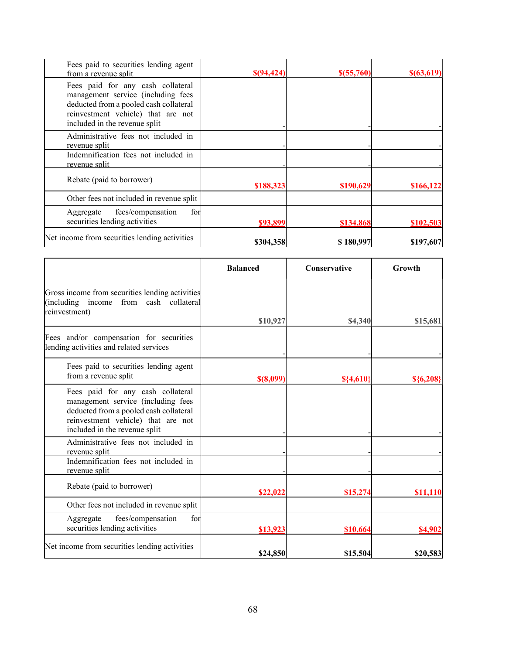| Fees paid to securities lending agent<br>from a revenue split                                                                                                                            | \$(94, 424) | \$(55,760) | \$(63,619) |
|------------------------------------------------------------------------------------------------------------------------------------------------------------------------------------------|-------------|------------|------------|
| Fees paid for any cash collateral<br>management service (including fees<br>deducted from a pooled cash collateral<br>reinvestment vehicle) that are not<br>included in the revenue split |             |            |            |
| Administrative fees not included in<br>revenue split                                                                                                                                     |             |            |            |
| Indemnification fees not included in<br>revenue split                                                                                                                                    |             |            |            |
| Rebate (paid to borrower)                                                                                                                                                                | \$188,323   | \$190,629  | \$166,122  |
| Other fees not included in revenue split                                                                                                                                                 |             |            |            |
| for<br>fees/compensation<br>Aggregate<br>securities lending activities                                                                                                                   | \$93,899    | \$134,868  | \$102,503  |
| Net income from securities lending activities                                                                                                                                            | \$304,358   | \$180,997  | \$197,607  |

|                                                                                                                                                                                          | <b>Balanced</b> | <b>Conservative</b> | Growth         |
|------------------------------------------------------------------------------------------------------------------------------------------------------------------------------------------|-----------------|---------------------|----------------|
| Gross income from securities lending activities<br>(including income from cash collateral<br>reinvestment)                                                                               | \$10,927        | \$4,340             | \$15,681       |
| Fees and/or compensation for securities<br>lending activities and related services                                                                                                       |                 |                     |                |
| Fees paid to securities lending agent<br>from a revenue split                                                                                                                            | $$$ (8,099)     | \$4,610             | $${6,208}$     |
| Fees paid for any cash collateral<br>management service (including fees<br>deducted from a pooled cash collateral<br>reinvestment vehicle) that are not<br>included in the revenue split |                 |                     |                |
| Administrative fees not included in<br>revenue split                                                                                                                                     |                 |                     |                |
| Indemnification fees not included in<br>revenue split                                                                                                                                    |                 |                     |                |
| Rebate (paid to borrower)                                                                                                                                                                | \$22,022        | \$15,274            | \$11,110       |
| Other fees not included in revenue split                                                                                                                                                 |                 |                     |                |
| fees/compensation<br>for<br>Aggregate<br>securities lending activities                                                                                                                   | \$13,923        | \$10,664            | <b>\$4,902</b> |
| Net income from securities lending activities                                                                                                                                            | \$24,850        | \$15,504            | \$20,583       |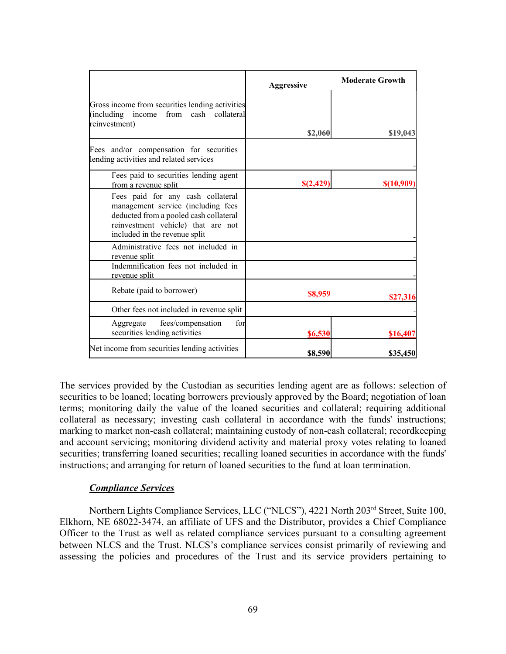|                                                                                                                                                                                          | Aggressive | <b>Moderate Growth</b> |
|------------------------------------------------------------------------------------------------------------------------------------------------------------------------------------------|------------|------------------------|
| Gross income from securities lending activities<br>from cash collateral<br>(including income<br>reinvestment)                                                                            | \$2,060    | \$19,043               |
| Fees and/or compensation for securities<br>lending activities and related services                                                                                                       |            |                        |
| Fees paid to securities lending agent<br>from a revenue split                                                                                                                            | \$(2,429)  | \$(10,909              |
| Fees paid for any cash collateral<br>management service (including fees<br>deducted from a pooled cash collateral<br>reinvestment vehicle) that are not<br>included in the revenue split |            |                        |
| Administrative fees not included in<br>revenue split<br>Indemnification fees not included in                                                                                             |            |                        |
| revenue split<br>Rebate (paid to borrower)                                                                                                                                               | \$8,959    | \$27,316               |
| Other fees not included in revenue split                                                                                                                                                 |            |                        |
| fees/compensation<br>Aggregate<br>for<br>securities lending activities                                                                                                                   | \$6,530    | \$16,407               |
| Net income from securities lending activities                                                                                                                                            | \$8,590    | \$35,450               |

The services provided by the Custodian as securities lending agent are as follows: selection of securities to be loaned; locating borrowers previously approved by the Board; negotiation of loan terms; monitoring daily the value of the loaned securities and collateral; requiring additional collateral as necessary; investing cash collateral in accordance with the funds' instructions; marking to market non-cash collateral; maintaining custody of non-cash collateral; recordkeeping and account servicing; monitoring dividend activity and material proxy votes relating to loaned securities; transferring loaned securities; recalling loaned securities in accordance with the funds' instructions; and arranging for return of loaned securities to the fund at loan termination.

#### *Compliance Services*

Northern Lights Compliance Services, LLC ("NLCS"), 4221 North 203rd Street, Suite 100, Elkhorn, NE 68022-3474, an affiliate of UFS and the Distributor, provides a Chief Compliance Officer to the Trust as well as related compliance services pursuant to a consulting agreement between NLCS and the Trust. NLCS's compliance services consist primarily of reviewing and assessing the policies and procedures of the Trust and its service providers pertaining to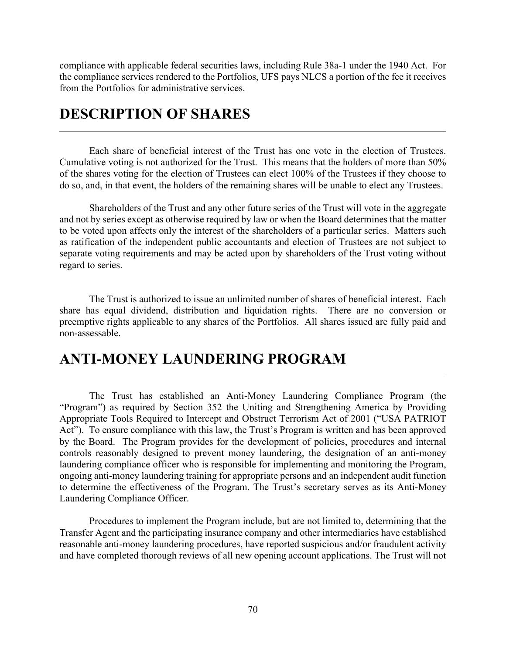compliance with applicable federal securities laws, including Rule 38a-1 under the 1940 Act. For the compliance services rendered to the Portfolios, UFS pays NLCS a portion of the fee it receives from the Portfolios for administrative services.

### **DESCRIPTION OF SHARES**

Each share of beneficial interest of the Trust has one vote in the election of Trustees. Cumulative voting is not authorized for the Trust. This means that the holders of more than 50% of the shares voting for the election of Trustees can elect 100% of the Trustees if they choose to do so, and, in that event, the holders of the remaining shares will be unable to elect any Trustees.

Shareholders of the Trust and any other future series of the Trust will vote in the aggregate and not by series except as otherwise required by law or when the Board determines that the matter to be voted upon affects only the interest of the shareholders of a particular series. Matters such as ratification of the independent public accountants and election of Trustees are not subject to separate voting requirements and may be acted upon by shareholders of the Trust voting without regard to series.

The Trust is authorized to issue an unlimited number of shares of beneficial interest. Each share has equal dividend, distribution and liquidation rights. There are no conversion or preemptive rights applicable to any shares of the Portfolios. All shares issued are fully paid and non-assessable.

### **ANTI-MONEY LAUNDERING PROGRAM**

The Trust has established an Anti-Money Laundering Compliance Program (the "Program") as required by Section 352 the Uniting and Strengthening America by Providing Appropriate Tools Required to Intercept and Obstruct Terrorism Act of 2001 ("USA PATRIOT Act"). To ensure compliance with this law, the Trust's Program is written and has been approved by the Board. The Program provides for the development of policies, procedures and internal controls reasonably designed to prevent money laundering, the designation of an anti-money laundering compliance officer who is responsible for implementing and monitoring the Program, ongoing anti-money laundering training for appropriate persons and an independent audit function to determine the effectiveness of the Program. The Trust's secretary serves as its Anti-Money Laundering Compliance Officer.

Procedures to implement the Program include, but are not limited to, determining that the Transfer Agent and the participating insurance company and other intermediaries have established reasonable anti-money laundering procedures, have reported suspicious and/or fraudulent activity and have completed thorough reviews of all new opening account applications. The Trust will not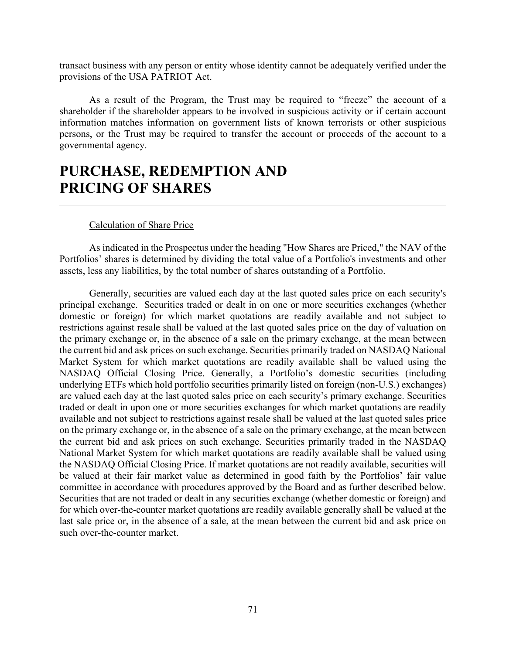transact business with any person or entity whose identity cannot be adequately verified under the provisions of the USA PATRIOT Act.

As a result of the Program, the Trust may be required to "freeze" the account of a shareholder if the shareholder appears to be involved in suspicious activity or if certain account information matches information on government lists of known terrorists or other suspicious persons, or the Trust may be required to transfer the account or proceeds of the account to a governmental agency.

# **PURCHASE, REDEMPTION AND PRICING OF SHARES**

#### Calculation of Share Price

As indicated in the Prospectus under the heading "How Shares are Priced," the NAV of the Portfolios' shares is determined by dividing the total value of a Portfolio's investments and other assets, less any liabilities, by the total number of shares outstanding of a Portfolio.

Generally, securities are valued each day at the last quoted sales price on each security's principal exchange. Securities traded or dealt in on one or more securities exchanges (whether domestic or foreign) for which market quotations are readily available and not subject to restrictions against resale shall be valued at the last quoted sales price on the day of valuation on the primary exchange or, in the absence of a sale on the primary exchange, at the mean between the current bid and ask prices on such exchange. Securities primarily traded on NASDAQ National Market System for which market quotations are readily available shall be valued using the NASDAQ Official Closing Price. Generally, a Portfolio's domestic securities (including underlying ETFs which hold portfolio securities primarily listed on foreign (non-U.S.) exchanges) are valued each day at the last quoted sales price on each security's primary exchange. Securities traded or dealt in upon one or more securities exchanges for which market quotations are readily available and not subject to restrictions against resale shall be valued at the last quoted sales price on the primary exchange or, in the absence of a sale on the primary exchange, at the mean between the current bid and ask prices on such exchange. Securities primarily traded in the NASDAQ National Market System for which market quotations are readily available shall be valued using the NASDAQ Official Closing Price. If market quotations are not readily available, securities will be valued at their fair market value as determined in good faith by the Portfolios' fair value committee in accordance with procedures approved by the Board and as further described below. Securities that are not traded or dealt in any securities exchange (whether domestic or foreign) and for which over-the-counter market quotations are readily available generally shall be valued at the last sale price or, in the absence of a sale, at the mean between the current bid and ask price on such over-the-counter market.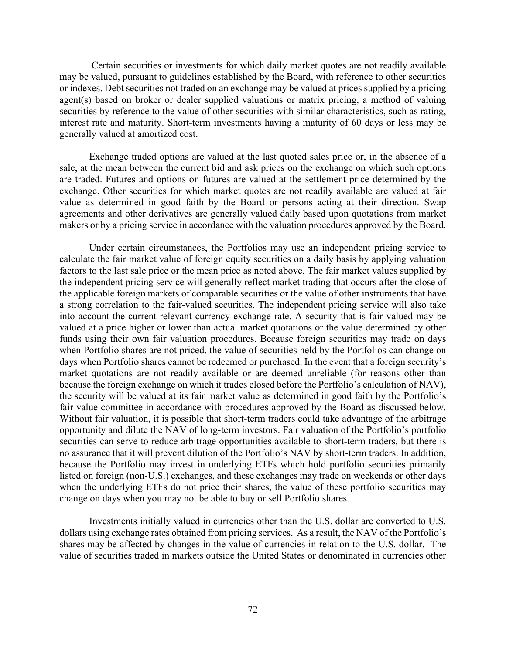Certain securities or investments for which daily market quotes are not readily available may be valued, pursuant to guidelines established by the Board, with reference to other securities or indexes. Debt securities not traded on an exchange may be valued at prices supplied by a pricing agent(s) based on broker or dealer supplied valuations or matrix pricing, a method of valuing securities by reference to the value of other securities with similar characteristics, such as rating, interest rate and maturity. Short-term investments having a maturity of 60 days or less may be generally valued at amortized cost.

Exchange traded options are valued at the last quoted sales price or, in the absence of a sale, at the mean between the current bid and ask prices on the exchange on which such options are traded. Futures and options on futures are valued at the settlement price determined by the exchange. Other securities for which market quotes are not readily available are valued at fair value as determined in good faith by the Board or persons acting at their direction. Swap agreements and other derivatives are generally valued daily based upon quotations from market makers or by a pricing service in accordance with the valuation procedures approved by the Board.

Under certain circumstances, the Portfolios may use an independent pricing service to calculate the fair market value of foreign equity securities on a daily basis by applying valuation factors to the last sale price or the mean price as noted above. The fair market values supplied by the independent pricing service will generally reflect market trading that occurs after the close of the applicable foreign markets of comparable securities or the value of other instruments that have a strong correlation to the fair-valued securities. The independent pricing service will also take into account the current relevant currency exchange rate. A security that is fair valued may be valued at a price higher or lower than actual market quotations or the value determined by other funds using their own fair valuation procedures. Because foreign securities may trade on days when Portfolio shares are not priced, the value of securities held by the Portfolios can change on days when Portfolio shares cannot be redeemed or purchased. In the event that a foreign security's market quotations are not readily available or are deemed unreliable (for reasons other than because the foreign exchange on which it trades closed before the Portfolio's calculation of NAV), the security will be valued at its fair market value as determined in good faith by the Portfolio's fair value committee in accordance with procedures approved by the Board as discussed below. Without fair valuation, it is possible that short-term traders could take advantage of the arbitrage opportunity and dilute the NAV of long-term investors. Fair valuation of the Portfolio's portfolio securities can serve to reduce arbitrage opportunities available to short-term traders, but there is no assurance that it will prevent dilution of the Portfolio's NAV by short-term traders. In addition, because the Portfolio may invest in underlying ETFs which hold portfolio securities primarily listed on foreign (non-U.S.) exchanges, and these exchanges may trade on weekends or other days when the underlying ETFs do not price their shares, the value of these portfolio securities may change on days when you may not be able to buy or sell Portfolio shares.

Investments initially valued in currencies other than the U.S. dollar are converted to U.S. dollars using exchange rates obtained from pricing services. As a result, the NAV of the Portfolio's shares may be affected by changes in the value of currencies in relation to the U.S. dollar. The value of securities traded in markets outside the United States or denominated in currencies other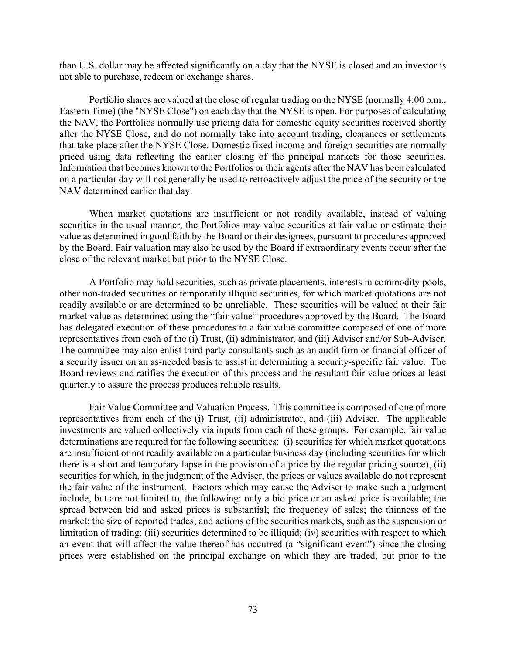than U.S. dollar may be affected significantly on a day that the NYSE is closed and an investor is not able to purchase, redeem or exchange shares.

Portfolio shares are valued at the close of regular trading on the NYSE (normally 4:00 p.m., Eastern Time) (the "NYSE Close") on each day that the NYSE is open. For purposes of calculating the NAV, the Portfolios normally use pricing data for domestic equity securities received shortly after the NYSE Close, and do not normally take into account trading, clearances or settlements that take place after the NYSE Close. Domestic fixed income and foreign securities are normally priced using data reflecting the earlier closing of the principal markets for those securities. Information that becomes known to the Portfolios or their agents after the NAV has been calculated on a particular day will not generally be used to retroactively adjust the price of the security or the NAV determined earlier that day.

When market quotations are insufficient or not readily available, instead of valuing securities in the usual manner, the Portfolios may value securities at fair value or estimate their value as determined in good faith by the Board or their designees, pursuant to procedures approved by the Board. Fair valuation may also be used by the Board if extraordinary events occur after the close of the relevant market but prior to the NYSE Close.

A Portfolio may hold securities, such as private placements, interests in commodity pools, other non-traded securities or temporarily illiquid securities, for which market quotations are not readily available or are determined to be unreliable. These securities will be valued at their fair market value as determined using the "fair value" procedures approved by the Board. The Board has delegated execution of these procedures to a fair value committee composed of one of more representatives from each of the (i) Trust, (ii) administrator, and (iii) Adviser and/or Sub-Adviser. The committee may also enlist third party consultants such as an audit firm or financial officer of a security issuer on an as-needed basis to assist in determining a security-specific fair value. The Board reviews and ratifies the execution of this process and the resultant fair value prices at least quarterly to assure the process produces reliable results.

Fair Value Committee and Valuation Process. This committee is composed of one of more representatives from each of the (i) Trust, (ii) administrator, and (iii) Adviser. The applicable investments are valued collectively via inputs from each of these groups. For example, fair value determinations are required for the following securities: (i) securities for which market quotations are insufficient or not readily available on a particular business day (including securities for which there is a short and temporary lapse in the provision of a price by the regular pricing source), (ii) securities for which, in the judgment of the Adviser, the prices or values available do not represent the fair value of the instrument. Factors which may cause the Adviser to make such a judgment include, but are not limited to, the following: only a bid price or an asked price is available; the spread between bid and asked prices is substantial; the frequency of sales; the thinness of the market; the size of reported trades; and actions of the securities markets, such as the suspension or limitation of trading; (iii) securities determined to be illiquid; (iv) securities with respect to which an event that will affect the value thereof has occurred (a "significant event") since the closing prices were established on the principal exchange on which they are traded, but prior to the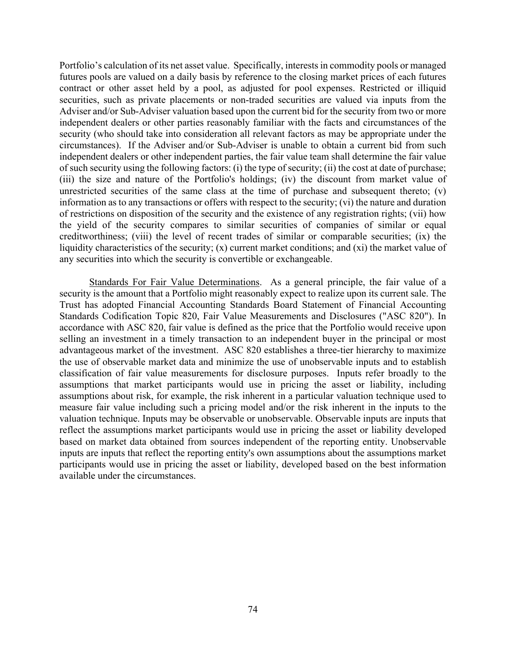Portfolio's calculation of its net asset value. Specifically, interests in commodity pools or managed futures pools are valued on a daily basis by reference to the closing market prices of each futures contract or other asset held by a pool, as adjusted for pool expenses. Restricted or illiquid securities, such as private placements or non-traded securities are valued via inputs from the Adviser and/or Sub-Adviser valuation based upon the current bid for the security from two or more independent dealers or other parties reasonably familiar with the facts and circumstances of the security (who should take into consideration all relevant factors as may be appropriate under the circumstances). If the Adviser and/or Sub-Adviser is unable to obtain a current bid from such independent dealers or other independent parties, the fair value team shall determine the fair value of such security using the following factors: (i) the type of security; (ii) the cost at date of purchase; (iii) the size and nature of the Portfolio's holdings; (iv) the discount from market value of unrestricted securities of the same class at the time of purchase and subsequent thereto; (v) information as to any transactions or offers with respect to the security; (vi) the nature and duration of restrictions on disposition of the security and the existence of any registration rights; (vii) how the yield of the security compares to similar securities of companies of similar or equal creditworthiness; (viii) the level of recent trades of similar or comparable securities; (ix) the liquidity characteristics of the security; (x) current market conditions; and (xi) the market value of any securities into which the security is convertible or exchangeable.

Standards For Fair Value Determinations. As a general principle, the fair value of a security is the amount that a Portfolio might reasonably expect to realize upon its current sale. The Trust has adopted Financial Accounting Standards Board Statement of Financial Accounting Standards Codification Topic 820, Fair Value Measurements and Disclosures ("ASC 820"). In accordance with ASC 820, fair value is defined as the price that the Portfolio would receive upon selling an investment in a timely transaction to an independent buyer in the principal or most advantageous market of the investment. ASC 820 establishes a three-tier hierarchy to maximize the use of observable market data and minimize the use of unobservable inputs and to establish classification of fair value measurements for disclosure purposes. Inputs refer broadly to the assumptions that market participants would use in pricing the asset or liability, including assumptions about risk, for example, the risk inherent in a particular valuation technique used to measure fair value including such a pricing model and/or the risk inherent in the inputs to the valuation technique. Inputs may be observable or unobservable. Observable inputs are inputs that reflect the assumptions market participants would use in pricing the asset or liability developed based on market data obtained from sources independent of the reporting entity. Unobservable inputs are inputs that reflect the reporting entity's own assumptions about the assumptions market participants would use in pricing the asset or liability, developed based on the best information available under the circumstances.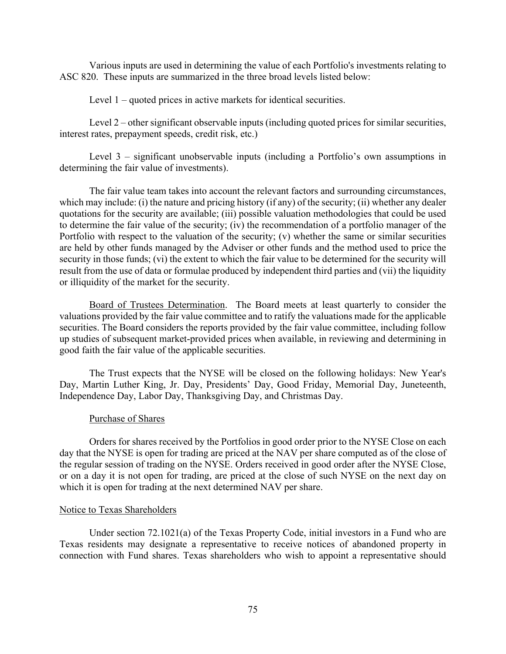Various inputs are used in determining the value of each Portfolio's investments relating to ASC 820. These inputs are summarized in the three broad levels listed below:

Level 1 – quoted prices in active markets for identical securities.

Level 2 – other significant observable inputs (including quoted prices for similar securities, interest rates, prepayment speeds, credit risk, etc.)

Level 3 – significant unobservable inputs (including a Portfolio's own assumptions in determining the fair value of investments).

The fair value team takes into account the relevant factors and surrounding circumstances, which may include: (i) the nature and pricing history (if any) of the security; (ii) whether any dealer quotations for the security are available; (iii) possible valuation methodologies that could be used to determine the fair value of the security; (iv) the recommendation of a portfolio manager of the Portfolio with respect to the valuation of the security; (v) whether the same or similar securities are held by other funds managed by the Adviser or other funds and the method used to price the security in those funds; (vi) the extent to which the fair value to be determined for the security will result from the use of data or formulae produced by independent third parties and (vii) the liquidity or illiquidity of the market for the security.

Board of Trustees Determination. The Board meets at least quarterly to consider the valuations provided by the fair value committee and to ratify the valuations made for the applicable securities. The Board considers the reports provided by the fair value committee, including follow up studies of subsequent market-provided prices when available, in reviewing and determining in good faith the fair value of the applicable securities.

The Trust expects that the NYSE will be closed on the following holidays: New Year's Day, Martin Luther King, Jr. Day, Presidents' Day, Good Friday, Memorial Day, Juneteenth, Independence Day, Labor Day, Thanksgiving Day, and Christmas Day.

#### Purchase of Shares

Orders for shares received by the Portfolios in good order prior to the NYSE Close on each day that the NYSE is open for trading are priced at the NAV per share computed as of the close of the regular session of trading on the NYSE. Orders received in good order after the NYSE Close, or on a day it is not open for trading, are priced at the close of such NYSE on the next day on which it is open for trading at the next determined NAV per share.

#### Notice to Texas Shareholders

Under section 72.1021(a) of the Texas Property Code, initial investors in a Fund who are Texas residents may designate a representative to receive notices of abandoned property in connection with Fund shares. Texas shareholders who wish to appoint a representative should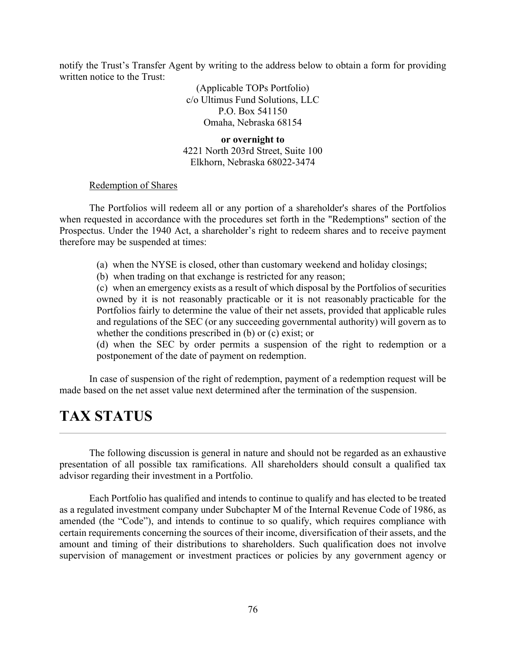notify the Trust's Transfer Agent by writing to the address below to obtain a form for providing written notice to the Trust:

> (Applicable TOPs Portfolio) c/o Ultimus Fund Solutions, LLC P.O. Box 541150 Omaha, Nebraska 68154

**or overnight to**  4221 North 203rd Street, Suite 100 Elkhorn, Nebraska 68022-3474

#### Redemption of Shares

The Portfolios will redeem all or any portion of a shareholder's shares of the Portfolios when requested in accordance with the procedures set forth in the "Redemptions" section of the Prospectus. Under the 1940 Act, a shareholder's right to redeem shares and to receive payment therefore may be suspended at times:

- (a) when the NYSE is closed, other than customary weekend and holiday closings;
- (b) when trading on that exchange is restricted for any reason;

(c) when an emergency exists as a result of which disposal by the Portfolios of securities owned by it is not reasonably practicable or it is not reasonably practicable for the Portfolios fairly to determine the value of their net assets, provided that applicable rules and regulations of the SEC (or any succeeding governmental authority) will govern as to whether the conditions prescribed in (b) or (c) exist; or

(d) when the SEC by order permits a suspension of the right to redemption or a postponement of the date of payment on redemption.

In case of suspension of the right of redemption, payment of a redemption request will be made based on the net asset value next determined after the termination of the suspension.

# **TAX STATUS**

The following discussion is general in nature and should not be regarded as an exhaustive presentation of all possible tax ramifications. All shareholders should consult a qualified tax advisor regarding their investment in a Portfolio.

Each Portfolio has qualified and intends to continue to qualify and has elected to be treated as a regulated investment company under Subchapter M of the Internal Revenue Code of 1986, as amended (the "Code"), and intends to continue to so qualify, which requires compliance with certain requirements concerning the sources of their income, diversification of their assets, and the amount and timing of their distributions to shareholders. Such qualification does not involve supervision of management or investment practices or policies by any government agency or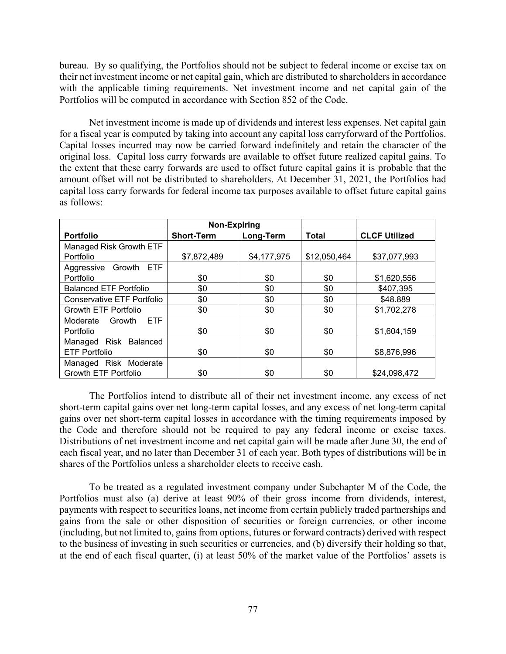bureau. By so qualifying, the Portfolios should not be subject to federal income or excise tax on their net investment income or net capital gain, which are distributed to shareholders in accordance with the applicable timing requirements. Net investment income and net capital gain of the Portfolios will be computed in accordance with Section 852 of the Code.

Net investment income is made up of dividends and interest less expenses. Net capital gain for a fiscal year is computed by taking into account any capital loss carryforward of the Portfolios. Capital losses incurred may now be carried forward indefinitely and retain the character of the original loss. Capital loss carry forwards are available to offset future realized capital gains. To the extent that these carry forwards are used to offset future capital gains it is probable that the amount offset will not be distributed to shareholders. At December 31, 2021, the Portfolios had capital loss carry forwards for federal income tax purposes available to offset future capital gains as follows:

|                                   | <b>Non-Expiring</b> |             |              |                      |
|-----------------------------------|---------------------|-------------|--------------|----------------------|
| <b>Portfolio</b>                  | <b>Short-Term</b>   | Long-Term   | <b>Total</b> | <b>CLCF Utilized</b> |
| Managed Risk Growth ETF           |                     |             |              |                      |
| Portfolio                         | \$7,872,489         | \$4,177,975 | \$12,050,464 | \$37,077,993         |
| Aggressive Growth ETF             |                     |             |              |                      |
| Portfolio                         | \$0                 | \$0         | \$0          | \$1,620,556          |
| <b>Balanced ETF Portfolio</b>     | \$0                 | \$0         | \$0          | \$407,395            |
| <b>Conservative ETF Portfolio</b> | \$0                 | \$0         | \$0          | \$48.889             |
| <b>Growth ETF Portfolio</b>       | \$0                 | \$0         | \$0          | \$1,702,278          |
| ETF<br>Moderate Growth            |                     |             |              |                      |
| Portfolio                         | \$0                 | \$0         | \$0          | \$1,604,159          |
| Managed Risk Balanced             |                     |             |              |                      |
| <b>ETF Portfolio</b>              | \$0                 | \$0         | \$0          | \$8,876,996          |
| Managed Risk Moderate             |                     |             |              |                      |
| <b>Growth ETF Portfolio</b>       | \$0                 | \$0         | \$0          | \$24,098,472         |

The Portfolios intend to distribute all of their net investment income, any excess of net short-term capital gains over net long-term capital losses, and any excess of net long-term capital gains over net short-term capital losses in accordance with the timing requirements imposed by the Code and therefore should not be required to pay any federal income or excise taxes. Distributions of net investment income and net capital gain will be made after June 30, the end of each fiscal year, and no later than December 31 of each year. Both types of distributions will be in shares of the Portfolios unless a shareholder elects to receive cash.

To be treated as a regulated investment company under Subchapter M of the Code, the Portfolios must also (a) derive at least 90% of their gross income from dividends, interest, payments with respect to securities loans, net income from certain publicly traded partnerships and gains from the sale or other disposition of securities or foreign currencies, or other income (including, but not limited to, gains from options, futures or forward contracts) derived with respect to the business of investing in such securities or currencies, and (b) diversify their holding so that, at the end of each fiscal quarter, (i) at least 50% of the market value of the Portfolios' assets is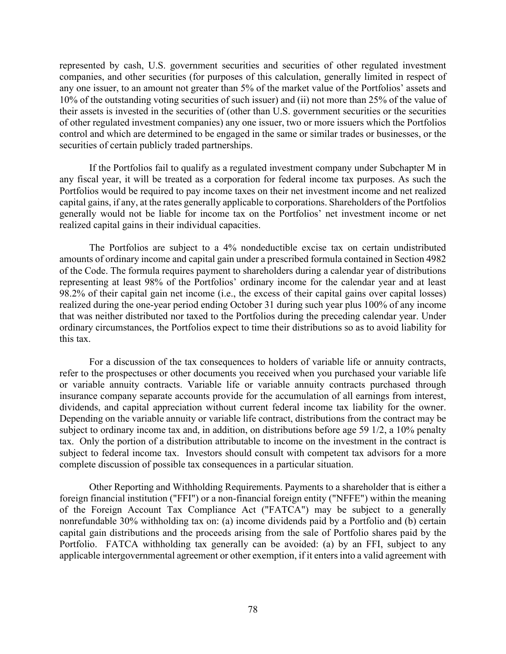represented by cash, U.S. government securities and securities of other regulated investment companies, and other securities (for purposes of this calculation, generally limited in respect of any one issuer, to an amount not greater than 5% of the market value of the Portfolios' assets and 10% of the outstanding voting securities of such issuer) and (ii) not more than 25% of the value of their assets is invested in the securities of (other than U.S. government securities or the securities of other regulated investment companies) any one issuer, two or more issuers which the Portfolios control and which are determined to be engaged in the same or similar trades or businesses, or the securities of certain publicly traded partnerships.

If the Portfolios fail to qualify as a regulated investment company under Subchapter M in any fiscal year, it will be treated as a corporation for federal income tax purposes. As such the Portfolios would be required to pay income taxes on their net investment income and net realized capital gains, if any, at the rates generally applicable to corporations. Shareholders of the Portfolios generally would not be liable for income tax on the Portfolios' net investment income or net realized capital gains in their individual capacities.

The Portfolios are subject to a 4% nondeductible excise tax on certain undistributed amounts of ordinary income and capital gain under a prescribed formula contained in Section 4982 of the Code. The formula requires payment to shareholders during a calendar year of distributions representing at least 98% of the Portfolios' ordinary income for the calendar year and at least 98.2% of their capital gain net income (i.e., the excess of their capital gains over capital losses) realized during the one-year period ending October 31 during such year plus 100% of any income that was neither distributed nor taxed to the Portfolios during the preceding calendar year. Under ordinary circumstances, the Portfolios expect to time their distributions so as to avoid liability for this tax.

For a discussion of the tax consequences to holders of variable life or annuity contracts, refer to the prospectuses or other documents you received when you purchased your variable life or variable annuity contracts. Variable life or variable annuity contracts purchased through insurance company separate accounts provide for the accumulation of all earnings from interest, dividends, and capital appreciation without current federal income tax liability for the owner. Depending on the variable annuity or variable life contract, distributions from the contract may be subject to ordinary income tax and, in addition, on distributions before age 59 1/2, a 10% penalty tax. Only the portion of a distribution attributable to income on the investment in the contract is subject to federal income tax. Investors should consult with competent tax advisors for a more complete discussion of possible tax consequences in a particular situation.

Other Reporting and Withholding Requirements. Payments to a shareholder that is either a foreign financial institution ("FFI") or a non-financial foreign entity ("NFFE") within the meaning of the Foreign Account Tax Compliance Act ("FATCA") may be subject to a generally nonrefundable 30% withholding tax on: (a) income dividends paid by a Portfolio and (b) certain capital gain distributions and the proceeds arising from the sale of Portfolio shares paid by the Portfolio. FATCA withholding tax generally can be avoided: (a) by an FFI, subject to any applicable intergovernmental agreement or other exemption, if it enters into a valid agreement with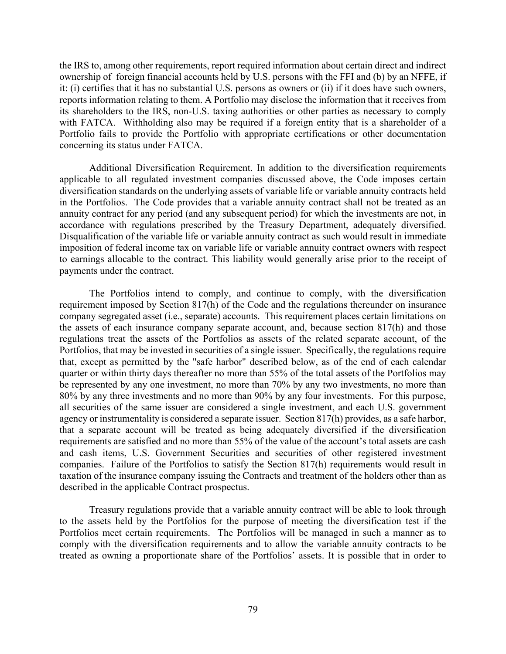the IRS to, among other requirements, report required information about certain direct and indirect ownership of foreign financial accounts held by U.S. persons with the FFI and (b) by an NFFE, if it: (i) certifies that it has no substantial U.S. persons as owners or (ii) if it does have such owners, reports information relating to them. A Portfolio may disclose the information that it receives from its shareholders to the IRS, non-U.S. taxing authorities or other parties as necessary to comply with FATCA. Withholding also may be required if a foreign entity that is a shareholder of a Portfolio fails to provide the Portfolio with appropriate certifications or other documentation concerning its status under FATCA.

Additional Diversification Requirement. In addition to the diversification requirements applicable to all regulated investment companies discussed above, the Code imposes certain diversification standards on the underlying assets of variable life or variable annuity contracts held in the Portfolios. The Code provides that a variable annuity contract shall not be treated as an annuity contract for any period (and any subsequent period) for which the investments are not, in accordance with regulations prescribed by the Treasury Department, adequately diversified. Disqualification of the variable life or variable annuity contract as such would result in immediate imposition of federal income tax on variable life or variable annuity contract owners with respect to earnings allocable to the contract. This liability would generally arise prior to the receipt of payments under the contract.

The Portfolios intend to comply, and continue to comply, with the diversification requirement imposed by Section 817(h) of the Code and the regulations thereunder on insurance company segregated asset (i.e., separate) accounts. This requirement places certain limitations on the assets of each insurance company separate account, and, because section 817(h) and those regulations treat the assets of the Portfolios as assets of the related separate account, of the Portfolios, that may be invested in securities of a single issuer. Specifically, the regulations require that, except as permitted by the "safe harbor" described below, as of the end of each calendar quarter or within thirty days thereafter no more than 55% of the total assets of the Portfolios may be represented by any one investment, no more than 70% by any two investments, no more than 80% by any three investments and no more than 90% by any four investments. For this purpose, all securities of the same issuer are considered a single investment, and each U.S. government agency or instrumentality is considered a separate issuer. Section 817(h) provides, as a safe harbor, that a separate account will be treated as being adequately diversified if the diversification requirements are satisfied and no more than 55% of the value of the account's total assets are cash and cash items, U.S. Government Securities and securities of other registered investment companies. Failure of the Portfolios to satisfy the Section 817(h) requirements would result in taxation of the insurance company issuing the Contracts and treatment of the holders other than as described in the applicable Contract prospectus.

Treasury regulations provide that a variable annuity contract will be able to look through to the assets held by the Portfolios for the purpose of meeting the diversification test if the Portfolios meet certain requirements. The Portfolios will be managed in such a manner as to comply with the diversification requirements and to allow the variable annuity contracts to be treated as owning a proportionate share of the Portfolios' assets. It is possible that in order to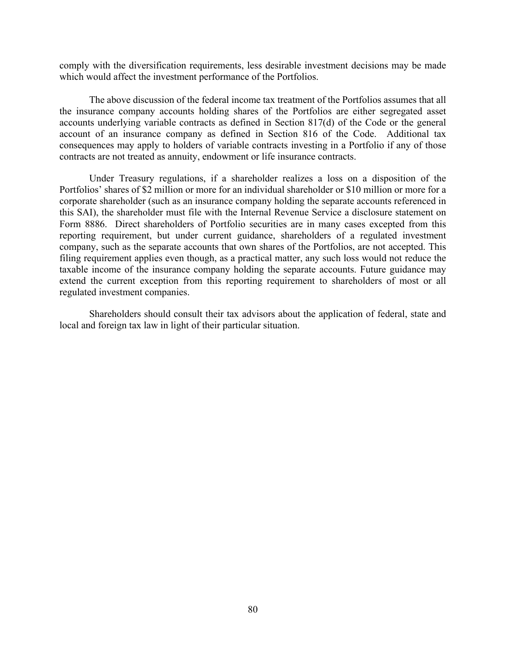comply with the diversification requirements, less desirable investment decisions may be made which would affect the investment performance of the Portfolios.

The above discussion of the federal income tax treatment of the Portfolios assumes that all the insurance company accounts holding shares of the Portfolios are either segregated asset accounts underlying variable contracts as defined in Section 817(d) of the Code or the general account of an insurance company as defined in Section 816 of the Code. Additional tax consequences may apply to holders of variable contracts investing in a Portfolio if any of those contracts are not treated as annuity, endowment or life insurance contracts.

Under Treasury regulations, if a shareholder realizes a loss on a disposition of the Portfolios' shares of \$2 million or more for an individual shareholder or \$10 million or more for a corporate shareholder (such as an insurance company holding the separate accounts referenced in this SAI), the shareholder must file with the Internal Revenue Service a disclosure statement on Form 8886. Direct shareholders of Portfolio securities are in many cases excepted from this reporting requirement, but under current guidance, shareholders of a regulated investment company, such as the separate accounts that own shares of the Portfolios, are not accepted. This filing requirement applies even though, as a practical matter, any such loss would not reduce the taxable income of the insurance company holding the separate accounts. Future guidance may extend the current exception from this reporting requirement to shareholders of most or all regulated investment companies.

Shareholders should consult their tax advisors about the application of federal, state and local and foreign tax law in light of their particular situation.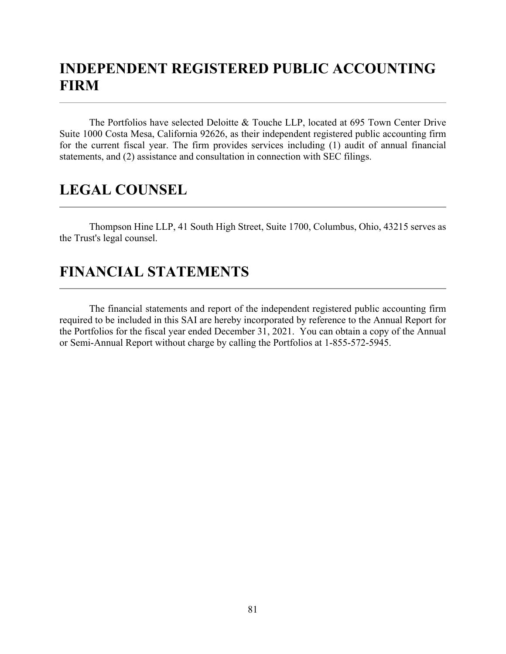# **INDEPENDENT REGISTERED PUBLIC ACCOUNTING FIRM**

The Portfolios have selected Deloitte & Touche LLP, located at 695 Town Center Drive Suite 1000 Costa Mesa, California 92626, as their independent registered public accounting firm for the current fiscal year. The firm provides services including (1) audit of annual financial statements, and (2) assistance and consultation in connection with SEC filings.

# **LEGAL COUNSEL**

Thompson Hine LLP, 41 South High Street, Suite 1700, Columbus, Ohio, 43215 serves as the Trust's legal counsel.

# **FINANCIAL STATEMENTS**

The financial statements and report of the independent registered public accounting firm required to be included in this SAI are hereby incorporated by reference to the Annual Report for the Portfolios for the fiscal year ended December 31, 2021. You can obtain a copy of the Annual or Semi-Annual Report without charge by calling the Portfolios at 1-855-572-5945.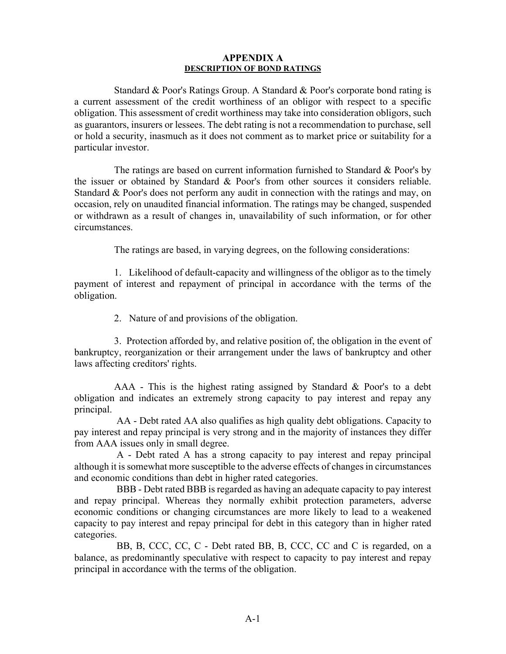#### **APPENDIX A DESCRIPTION OF BOND RATINGS**

Standard & Poor's Ratings Group. A Standard & Poor's corporate bond rating is a current assessment of the credit worthiness of an obligor with respect to a specific obligation. This assessment of credit worthiness may take into consideration obligors, such as guarantors, insurers or lessees. The debt rating is not a recommendation to purchase, sell or hold a security, inasmuch as it does not comment as to market price or suitability for a particular investor.

The ratings are based on current information furnished to Standard & Poor's by the issuer or obtained by Standard & Poor's from other sources it considers reliable. Standard & Poor's does not perform any audit in connection with the ratings and may, on occasion, rely on unaudited financial information. The ratings may be changed, suspended or withdrawn as a result of changes in, unavailability of such information, or for other circumstances.

The ratings are based, in varying degrees, on the following considerations:

1. Likelihood of default-capacity and willingness of the obligor as to the timely payment of interest and repayment of principal in accordance with the terms of the obligation.

2. Nature of and provisions of the obligation.

3. Protection afforded by, and relative position of, the obligation in the event of bankruptcy, reorganization or their arrangement under the laws of bankruptcy and other laws affecting creditors' rights.

AAA - This is the highest rating assigned by Standard & Poor's to a debt obligation and indicates an extremely strong capacity to pay interest and repay any principal.

AA - Debt rated AA also qualifies as high quality debt obligations. Capacity to pay interest and repay principal is very strong and in the majority of instances they differ from AAA issues only in small degree.

A - Debt rated A has a strong capacity to pay interest and repay principal although it is somewhat more susceptible to the adverse effects of changes in circumstances and economic conditions than debt in higher rated categories.

BBB - Debt rated BBB is regarded as having an adequate capacity to pay interest and repay principal. Whereas they normally exhibit protection parameters, adverse economic conditions or changing circumstances are more likely to lead to a weakened capacity to pay interest and repay principal for debt in this category than in higher rated categories.

BB, B, CCC, CC, C - Debt rated BB, B, CCC, CC and C is regarded, on a balance, as predominantly speculative with respect to capacity to pay interest and repay principal in accordance with the terms of the obligation.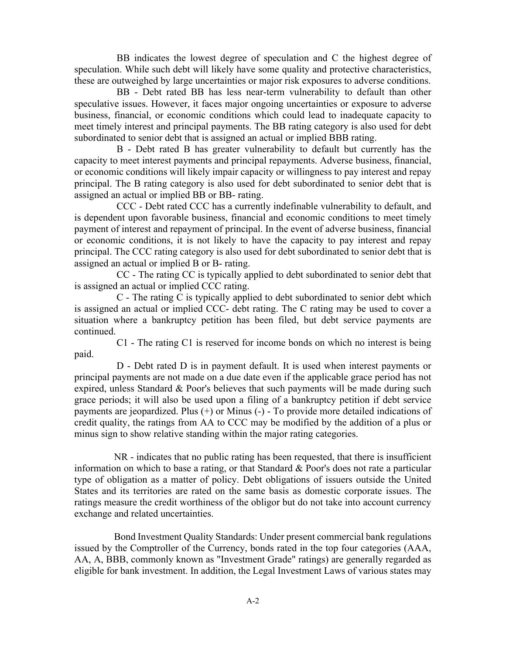BB indicates the lowest degree of speculation and C the highest degree of speculation. While such debt will likely have some quality and protective characteristics, these are outweighed by large uncertainties or major risk exposures to adverse conditions.

BB - Debt rated BB has less near-term vulnerability to default than other speculative issues. However, it faces major ongoing uncertainties or exposure to adverse business, financial, or economic conditions which could lead to inadequate capacity to meet timely interest and principal payments. The BB rating category is also used for debt subordinated to senior debt that is assigned an actual or implied BBB rating.

B - Debt rated B has greater vulnerability to default but currently has the capacity to meet interest payments and principal repayments. Adverse business, financial, or economic conditions will likely impair capacity or willingness to pay interest and repay principal. The B rating category is also used for debt subordinated to senior debt that is assigned an actual or implied BB or BB- rating.

CCC - Debt rated CCC has a currently indefinable vulnerability to default, and is dependent upon favorable business, financial and economic conditions to meet timely payment of interest and repayment of principal. In the event of adverse business, financial or economic conditions, it is not likely to have the capacity to pay interest and repay principal. The CCC rating category is also used for debt subordinated to senior debt that is assigned an actual or implied B or B- rating.

CC - The rating CC is typically applied to debt subordinated to senior debt that is assigned an actual or implied CCC rating.

C - The rating C is typically applied to debt subordinated to senior debt which is assigned an actual or implied CCC- debt rating. The C rating may be used to cover a situation where a bankruptcy petition has been filed, but debt service payments are continued.

C1 - The rating C1 is reserved for income bonds on which no interest is being paid.

D - Debt rated D is in payment default. It is used when interest payments or principal payments are not made on a due date even if the applicable grace period has not expired, unless Standard & Poor's believes that such payments will be made during such grace periods; it will also be used upon a filing of a bankruptcy petition if debt service payments are jeopardized. Plus (+) or Minus (-) - To provide more detailed indications of credit quality, the ratings from AA to CCC may be modified by the addition of a plus or minus sign to show relative standing within the major rating categories.

NR - indicates that no public rating has been requested, that there is insufficient information on which to base a rating, or that Standard & Poor's does not rate a particular type of obligation as a matter of policy. Debt obligations of issuers outside the United States and its territories are rated on the same basis as domestic corporate issues. The ratings measure the credit worthiness of the obligor but do not take into account currency exchange and related uncertainties.

Bond Investment Quality Standards: Under present commercial bank regulations issued by the Comptroller of the Currency, bonds rated in the top four categories (AAA, AA, A, BBB, commonly known as "Investment Grade" ratings) are generally regarded as eligible for bank investment. In addition, the Legal Investment Laws of various states may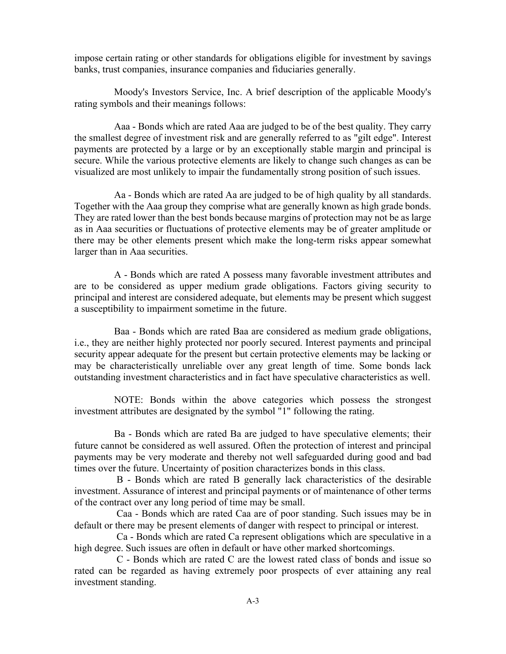impose certain rating or other standards for obligations eligible for investment by savings banks, trust companies, insurance companies and fiduciaries generally.

Moody's Investors Service, Inc. A brief description of the applicable Moody's rating symbols and their meanings follows:

Aaa - Bonds which are rated Aaa are judged to be of the best quality. They carry the smallest degree of investment risk and are generally referred to as "gilt edge". Interest payments are protected by a large or by an exceptionally stable margin and principal is secure. While the various protective elements are likely to change such changes as can be visualized are most unlikely to impair the fundamentally strong position of such issues.

Aa - Bonds which are rated Aa are judged to be of high quality by all standards. Together with the Aaa group they comprise what are generally known as high grade bonds. They are rated lower than the best bonds because margins of protection may not be as large as in Aaa securities or fluctuations of protective elements may be of greater amplitude or there may be other elements present which make the long-term risks appear somewhat larger than in Aaa securities.

A - Bonds which are rated A possess many favorable investment attributes and are to be considered as upper medium grade obligations. Factors giving security to principal and interest are considered adequate, but elements may be present which suggest a susceptibility to impairment sometime in the future.

Baa - Bonds which are rated Baa are considered as medium grade obligations, i.e., they are neither highly protected nor poorly secured. Interest payments and principal security appear adequate for the present but certain protective elements may be lacking or may be characteristically unreliable over any great length of time. Some bonds lack outstanding investment characteristics and in fact have speculative characteristics as well.

NOTE: Bonds within the above categories which possess the strongest investment attributes are designated by the symbol "1" following the rating.

Ba - Bonds which are rated Ba are judged to have speculative elements; their future cannot be considered as well assured. Often the protection of interest and principal payments may be very moderate and thereby not well safeguarded during good and bad times over the future. Uncertainty of position characterizes bonds in this class.

B - Bonds which are rated B generally lack characteristics of the desirable investment. Assurance of interest and principal payments or of maintenance of other terms of the contract over any long period of time may be small.

Caa - Bonds which are rated Caa are of poor standing. Such issues may be in default or there may be present elements of danger with respect to principal or interest.

Ca - Bonds which are rated Ca represent obligations which are speculative in a high degree. Such issues are often in default or have other marked shortcomings.

C - Bonds which are rated C are the lowest rated class of bonds and issue so rated can be regarded as having extremely poor prospects of ever attaining any real investment standing.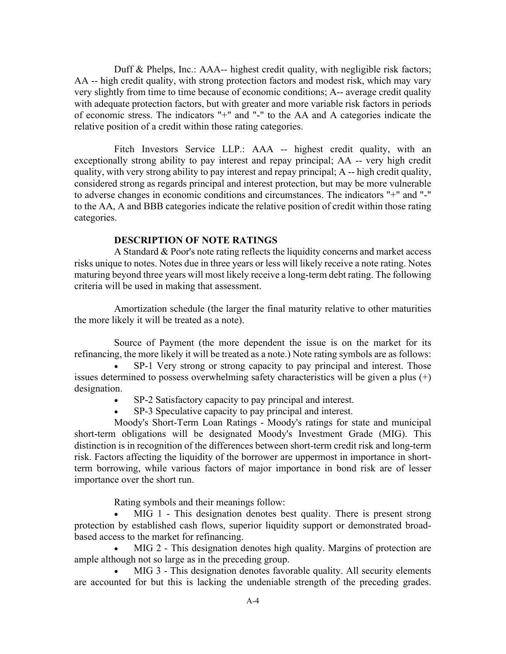Duff & Phelps, Inc.: AAA-- highest credit quality, with negligible risk factors; AA -- high credit quality, with strong protection factors and modest risk, which may vary very slightly from time to time because of economic conditions; A-- average credit quality with adequate protection factors, but with greater and more variable risk factors in periods of economic stress. The indicators "+" and "-" to the AA and A categories indicate the relative position of a credit within those rating categories.

Fitch Investors Service LLP.: AAA -- highest credit quality, with an exceptionally strong ability to pay interest and repay principal; AA -- very high credit quality, with very strong ability to pay interest and repay principal; A -- high credit quality, considered strong as regards principal and interest protection, but may be more vulnerable to adverse changes in economic conditions and circumstances. The indicators "+" and "-" to the AA, A and BBB categories indicate the relative position of credit within those rating categories.

#### **DESCRIPTION OF NOTE RATINGS**

A Standard & Poor's note rating reflects the liquidity concerns and market access risks unique to notes. Notes due in three years or less will likely receive a note rating. Notes maturing beyond three years will most likely receive a long-term debt rating. The following criteria will be used in making that assessment.

Amortization schedule (the larger the final maturity relative to other maturities the more likely it will be treated as a note).

Source of Payment (the more dependent the issue is on the market for its refinancing, the more likely it will be treated as a note.) Note rating symbols are as follows:

SP-1 Very strong or strong capacity to pay principal and interest. Those issues determined to possess overwhelming safety characteristics will be given a plus (+) designation.

- SP-2 Satisfactory capacity to pay principal and interest.
- SP-3 Speculative capacity to pay principal and interest.

Moody's Short-Term Loan Ratings - Moody's ratings for state and municipal short-term obligations will be designated Moody's Investment Grade (MIG). This distinction is in recognition of the differences between short-term credit risk and long-term risk. Factors affecting the liquidity of the borrower are uppermost in importance in shortterm borrowing, while various factors of major importance in bond risk are of lesser importance over the short run.

Rating symbols and their meanings follow:

MIG 1 - This designation denotes best quality. There is present strong protection by established cash flows, superior liquidity support or demonstrated broadbased access to the market for refinancing.

MIG 2 - This designation denotes high quality. Margins of protection are ample although not so large as in the preceding group.

• MIG 3 - This designation denotes favorable quality. All security elements are accounted for but this is lacking the undeniable strength of the preceding grades.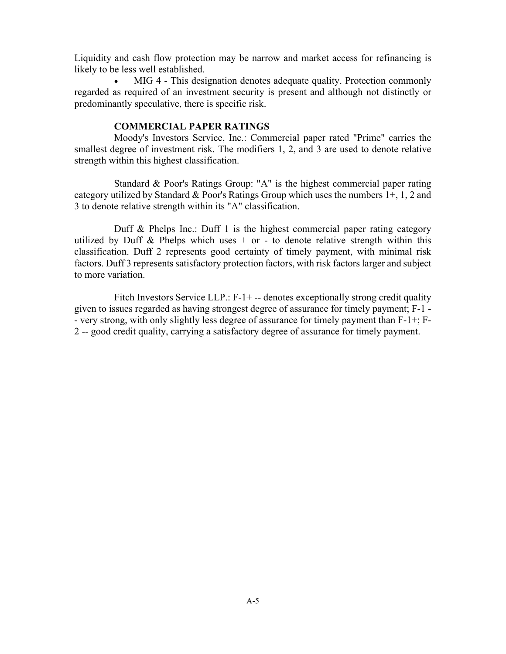Liquidity and cash flow protection may be narrow and market access for refinancing is likely to be less well established.

MIG 4 - This designation denotes adequate quality. Protection commonly regarded as required of an investment security is present and although not distinctly or predominantly speculative, there is specific risk.

#### **COMMERCIAL PAPER RATINGS**

Moody's Investors Service, Inc.: Commercial paper rated "Prime" carries the smallest degree of investment risk. The modifiers 1, 2, and 3 are used to denote relative strength within this highest classification.

Standard & Poor's Ratings Group: "A" is the highest commercial paper rating category utilized by Standard & Poor's Ratings Group which uses the numbers  $1+, 1, 2$  and 3 to denote relative strength within its "A" classification.

Duff  $\&$  Phelps Inc.: Duff 1 is the highest commercial paper rating category utilized by Duff & Phelps which uses  $+$  or - to denote relative strength within this classification. Duff 2 represents good certainty of timely payment, with minimal risk factors. Duff 3 represents satisfactory protection factors, with risk factors larger and subject to more variation.

Fitch Investors Service LLP.: F-1+- denotes exceptionally strong credit quality given to issues regarded as having strongest degree of assurance for timely payment; F-1 - - very strong, with only slightly less degree of assurance for timely payment than F-1+; F-2 -- good credit quality, carrying a satisfactory degree of assurance for timely payment.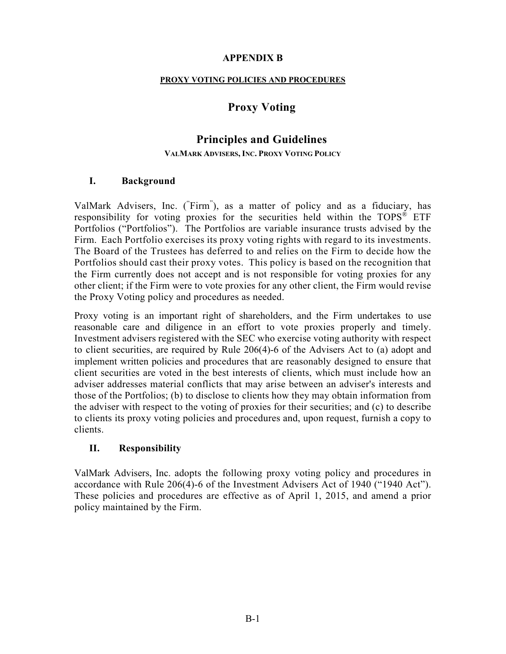### **APPENDIX B**

#### **PROXY VOTING POLICIES AND PROCEDURES**

# **Proxy Voting**

# **Principles and Guidelines**

#### **VALMARK ADVISERS, INC. PROXY VOTING POLICY**

### **I. Background**

ValMark Advisers, Inc. (" Firm" ), as a matter of policy and as a fiduciary, has responsibility for voting proxies for the securities held within the  $TOPS^{\otimes}$  ETF Portfolios ("Portfolios"). The Portfolios are variable insurance trusts advised by the Firm. Each Portfolio exercises its proxy voting rights with regard to its investments. The Board of the Trustees has deferred to and relies on the Firm to decide how the Portfolios should cast their proxy votes. This policy is based on the recognition that the Firm currently does not accept and is not responsible for voting proxies for any other client; if the Firm were to vote proxies for any other client, the Firm would revise the Proxy Voting policy and procedures as needed.

Proxy voting is an important right of shareholders, and the Firm undertakes to use reasonable care and diligence in an effort to vote proxies properly and timely. Investment advisers registered with the SEC who exercise voting authority with respect to client securities, are required by Rule 206(4)-6 of the Advisers Act to (a) adopt and implement written policies and procedures that are reasonably designed to ensure that client securities are voted in the best interests of clients, which must include how an adviser addresses material conflicts that may arise between an adviser's interests and those of the Portfolios; (b) to disclose to clients how they may obtain information from the adviser with respect to the voting of proxies for their securities; and (c) to describe to clients its proxy voting policies and procedures and, upon request, furnish a copy to clients.

### **II. Responsibility**

ValMark Advisers, Inc. adopts the following proxy voting policy and procedures in accordance with Rule 206(4)-6 of the Investment Advisers Act of 1940 ("1940 Act"). These policies and procedures are effective as of April 1, 2015, and amend a prior policy maintained by the Firm.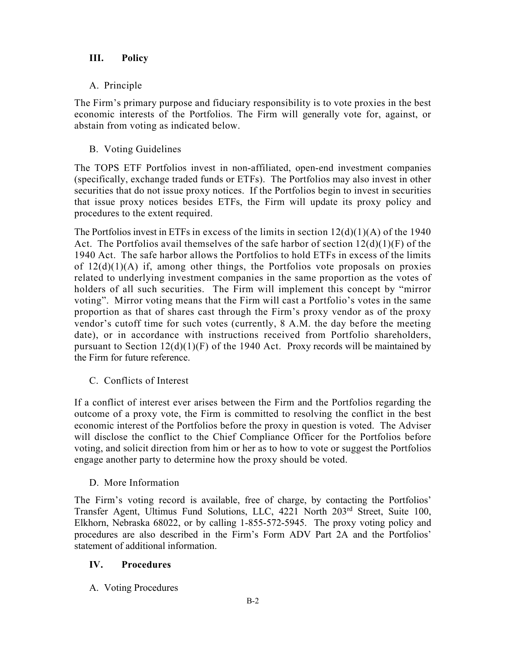## **III. Policy**

# A. Principle

The Firm's primary purpose and fiduciary responsibility is to vote proxies in the best economic interests of the Portfolios. The Firm will generally vote for, against, or abstain from voting as indicated below.

## B. Voting Guidelines

The TOPS ETF Portfolios invest in non-affiliated, open-end investment companies (specifically, exchange traded funds or ETFs). The Portfolios may also invest in other securities that do not issue proxy notices. If the Portfolios begin to invest in securities that issue proxy notices besides ETFs, the Firm will update its proxy policy and procedures to the extent required.

The Portfolios invest in ETFs in excess of the limits in section  $12(d)(1)(A)$  of the 1940 Act. The Portfolios avail themselves of the safe harbor of section  $12(d)(1)(F)$  of the 1940 Act. The safe harbor allows the Portfolios to hold ETFs in excess of the limits of  $12(d)(1)(A)$  if, among other things, the Portfolios vote proposals on proxies related to underlying investment companies in the same proportion as the votes of holders of all such securities. The Firm will implement this concept by "mirror voting". Mirror voting means that the Firm will cast a Portfolio's votes in the same proportion as that of shares cast through the Firm's proxy vendor as of the proxy vendor's cutoff time for such votes (currently, 8 A.M. the day before the meeting date), or in accordance with instructions received from Portfolio shareholders, pursuant to Section  $12(d)(1)(F)$  of the 1940 Act. Proxy records will be maintained by the Firm for future reference.

C. Conflicts of Interest

If a conflict of interest ever arises between the Firm and the Portfolios regarding the outcome of a proxy vote, the Firm is committed to resolving the conflict in the best economic interest of the Portfolios before the proxy in question is voted. The Adviser will disclose the conflict to the Chief Compliance Officer for the Portfolios before voting, and solicit direction from him or her as to how to vote or suggest the Portfolios engage another party to determine how the proxy should be voted.

### D. More Information

The Firm's voting record is available, free of charge, by contacting the Portfolios' Transfer Agent, Ultimus Fund Solutions, LLC, 4221 North 203rd Street, Suite 100, Elkhorn, Nebraska 68022, or by calling 1-855-572-5945. The proxy voting policy and procedures are also described in the Firm's Form ADV Part 2A and the Portfolios' statement of additional information.

### **IV. Procedures**

A. Voting Procedures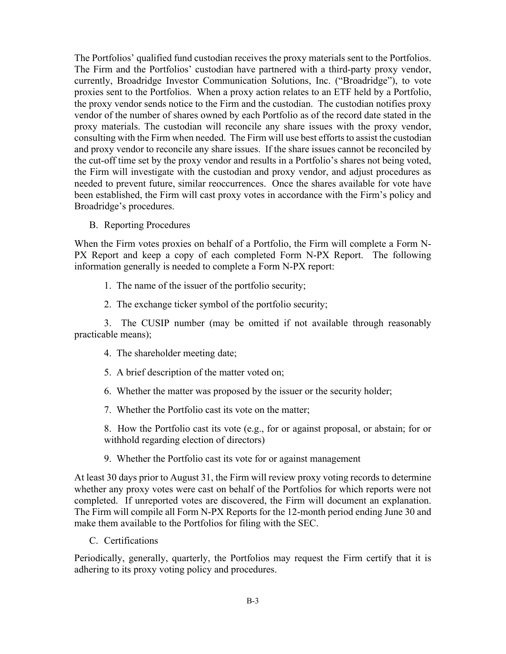The Portfolios' qualified fund custodian receives the proxy materials sent to the Portfolios. The Firm and the Portfolios' custodian have partnered with a third-party proxy vendor, currently, Broadridge Investor Communication Solutions, Inc. ("Broadridge"), to vote proxies sent to the Portfolios. When a proxy action relates to an ETF held by a Portfolio, the proxy vendor sends notice to the Firm and the custodian. The custodian notifies proxy vendor of the number of shares owned by each Portfolio as of the record date stated in the proxy materials. The custodian will reconcile any share issues with the proxy vendor, consulting with the Firm when needed. The Firm will use best efforts to assist the custodian and proxy vendor to reconcile any share issues. If the share issues cannot be reconciled by the cut-off time set by the proxy vendor and results in a Portfolio's shares not being voted, the Firm will investigate with the custodian and proxy vendor, and adjust procedures as needed to prevent future, similar reoccurrences. Once the shares available for vote have been established, the Firm will cast proxy votes in accordance with the Firm's policy and Broadridge's procedures.

B. Reporting Procedures

When the Firm votes proxies on behalf of a Portfolio, the Firm will complete a Form N-PX Report and keep a copy of each completed Form N-PX Report. The following information generally is needed to complete a Form N-PX report:

- 1. The name of the issuer of the portfolio security;
- 2. The exchange ticker symbol of the portfolio security;

3. The CUSIP number (may be omitted if not available through reasonably practicable means);

- 4. The shareholder meeting date;
- 5. A brief description of the matter voted on;
- 6. Whether the matter was proposed by the issuer or the security holder;
- 7. Whether the Portfolio cast its vote on the matter;

8. How the Portfolio cast its vote (e.g., for or against proposal, or abstain; for or withhold regarding election of directors)

9. Whether the Portfolio cast its vote for or against management

At least 30 days prior to August 31, the Firm will review proxy voting records to determine whether any proxy votes were cast on behalf of the Portfolios for which reports were not completed. If unreported votes are discovered, the Firm will document an explanation. The Firm will compile all Form N-PX Reports for the 12-month period ending June 30 and make them available to the Portfolios for filing with the SEC.

C. Certifications

Periodically, generally, quarterly, the Portfolios may request the Firm certify that it is adhering to its proxy voting policy and procedures.